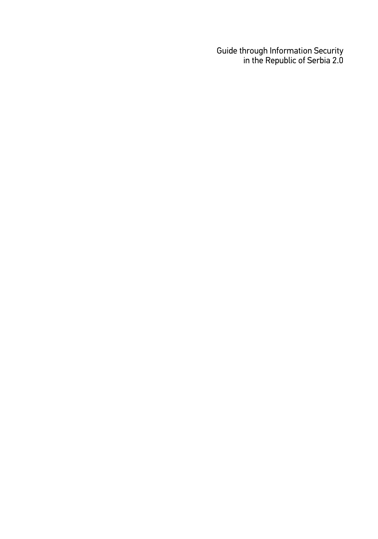Guide through Information Security in the Republic of Serbia 2.0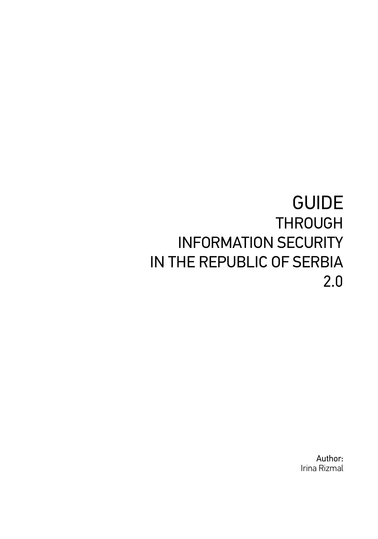# GUIDE **THROUGH** INFORMATION SECURITY IN THE REPUBLIC OF SERBIA 2.0

Author: Irina Rizmal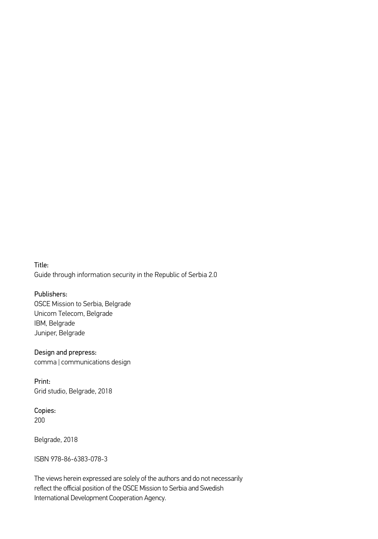Title: Guide through information security in the Republic of Serbia 2.0

Publishers: OSCE Mission to Serbia, Belgrade Unicom Telecom, Belgrade IBM, Belgrade Juniper, Belgrade

Design and prepress: comma | communications design

Print: Grid studio, Belgrade, 2018

Copies: 200

Belgrade, 2018

ISBN 978-86-6383-078-3

The views herein expressed are solely of the authors and do not necessarily reflect the official position of the OSCE Mission to Serbia and Swedish International Development Cooperation Agency.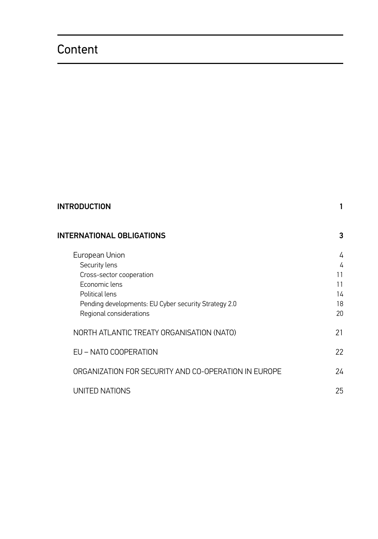### Content

| <b>INTRODUCTION</b>                                                             |          |
|---------------------------------------------------------------------------------|----------|
| <b>INTERNATIONAL OBLIGATIONS</b>                                                | 3        |
| European Union<br>Security lens                                                 | 4<br>4   |
| Cross-sector cooperation                                                        | 11       |
| Economic lens<br>Political lens                                                 | 11<br>14 |
| Pending developments: EU Cyber security Strategy 2.0<br>Regional considerations | 18<br>20 |
| NORTH ATLANTIC TREATY ORGANISATION (NATO)                                       | 21       |
| EU - NATO COOPERATION                                                           | 22       |
| ORGANIZATION FOR SECURITY AND CO-OPERATION IN EUROPE                            | 24       |
| UNITED NATIONS                                                                  | 25       |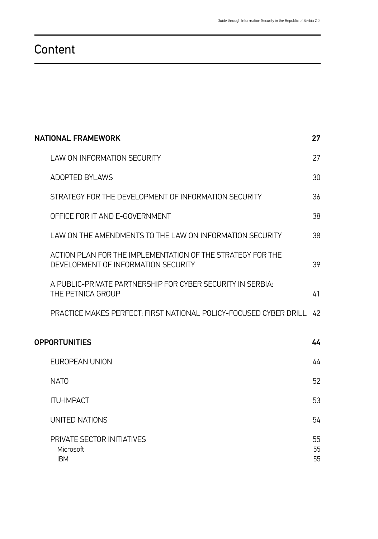#### **Content**

| <b>NATIONAL FRAMEWORK</b><br>27 |                                                                                                   |                |
|---------------------------------|---------------------------------------------------------------------------------------------------|----------------|
|                                 | <b>LAW ON INFORMATION SECURITY</b>                                                                | 27             |
|                                 | <b>ADOPTED BYLAWS</b>                                                                             | 30             |
|                                 | STRATEGY FOR THE DEVELOPMENT OF INFORMATION SECURITY                                              | 36             |
|                                 | OFFICE FOR IT AND E-GOVERNMENT                                                                    | 38             |
|                                 | LAW ON THE AMENDMENTS TO THE LAW ON INFORMATION SECURITY                                          | 38             |
|                                 | ACTION PLAN FOR THE IMPLEMENTATION OF THE STRATEGY FOR THE<br>DEVELOPMENT OF INFORMATION SECURITY | 39             |
|                                 | A PUBLIC-PRIVATE PARTNERSHIP FOR CYBER SECURITY IN SERBIA:<br>THE PETNICA GROUP                   | 41             |
|                                 | PRACTICE MAKES PERFECT: FIRST NATIONAL POLICY-FOCUSED CYBER DRILL                                 | 42             |
| <b>OPPORTUNITIES</b><br>44      |                                                                                                   |                |
|                                 | EUROPEAN UNION                                                                                    | 44             |
|                                 | <b>NATO</b>                                                                                       | 52             |
|                                 | <b>ITU-IMPACT</b>                                                                                 | 53             |
|                                 | UNITED NATIONS                                                                                    | 54             |
|                                 | PRIVATE SECTOR INITIATIVES<br>Microsoft<br><b>IBM</b>                                             | 55<br>55<br>55 |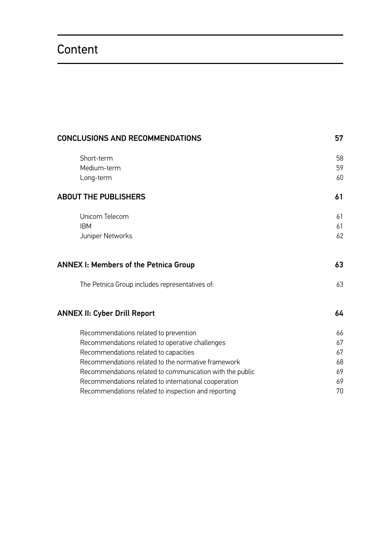### Content

| CONCLUSIONS AND RECOMMENDATIONS                          |    |
|----------------------------------------------------------|----|
| Short-term                                               | 58 |
| Medium-term                                              | 59 |
| Long-term                                                | 60 |
| <b>ABOUT THE PUBLISHERS</b>                              | 61 |
| Unicom Telecom                                           | 61 |
| <b>IBM</b>                                               | 61 |
| Juniper Networks                                         | 62 |
| ANNEX I: Members of the Petnica Group                    | 63 |
| The Petnica Group includes representatives of:           | 63 |
| <b>ANNEX II: Cyber Drill Report</b>                      | 64 |
| Recommendations related to prevention                    | 66 |
| Recommendations related to operative challenges          | 67 |
| Recommendations related to capacities                    | 67 |
| Recommendations related to the normative framework       | 68 |
| Recommendations related to communication with the public | 69 |
| Recommendations related to international cooperation     | 69 |
| Recommendations related to inspection and reporting      | 70 |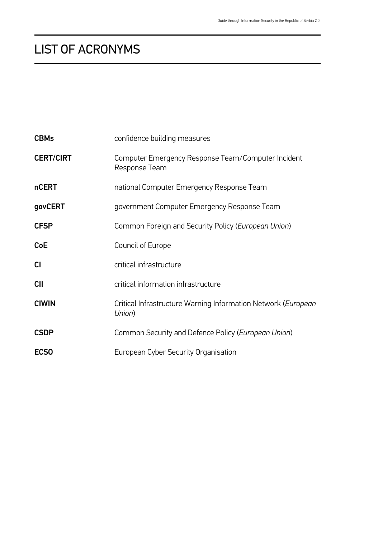| <b>CBMs</b>      | confidence building measures                                            |
|------------------|-------------------------------------------------------------------------|
| <b>CERT/CIRT</b> | Computer Emergency Response Team/Computer Incident<br>Response Team     |
| <b>nCERT</b>     | national Computer Emergency Response Team                               |
| govCERT          | government Computer Emergency Response Team                             |
| <b>CFSP</b>      | Common Foreign and Security Policy (European Union)                     |
| <b>CoE</b>       | Council of Europe                                                       |
| СI               | critical infrastructure                                                 |
| <b>CII</b>       | critical information infrastructure                                     |
| <b>CIWIN</b>     | Critical Infrastructure Warning Information Network (European<br>Union) |
| <b>CSDP</b>      | Common Security and Defence Policy (European Union)                     |
| <b>ECSO</b>      | European Cyber Security Organisation                                    |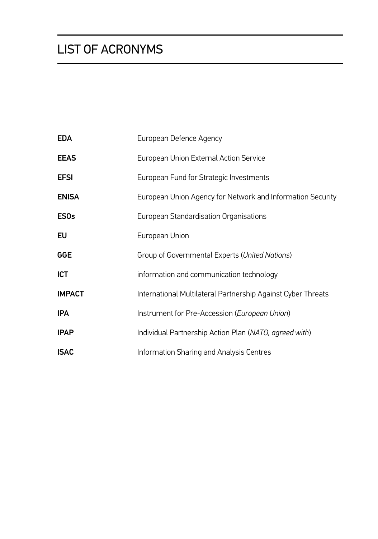| <b>EDA</b>    | European Defence Agency                                      |
|---------------|--------------------------------------------------------------|
| <b>EEAS</b>   | European Union External Action Service                       |
| <b>EFSI</b>   | European Fund for Strategic Investments                      |
| <b>ENISA</b>  | European Union Agency for Network and Information Security   |
| <b>ESOs</b>   | European Standardisation Organisations                       |
| EU            | European Union                                               |
| <b>GGE</b>    | Group of Governmental Experts (United Nations)               |
| ICT           | information and communication technology                     |
| <b>IMPACT</b> | International Multilateral Partnership Against Cyber Threats |
| <b>IPA</b>    | Instrument for Pre-Accession (European Union)                |
| <b>IPAP</b>   | Individual Partnership Action Plan (NATO, agreed with)       |
| <b>ISAC</b>   | Information Sharing and Analysis Centres                     |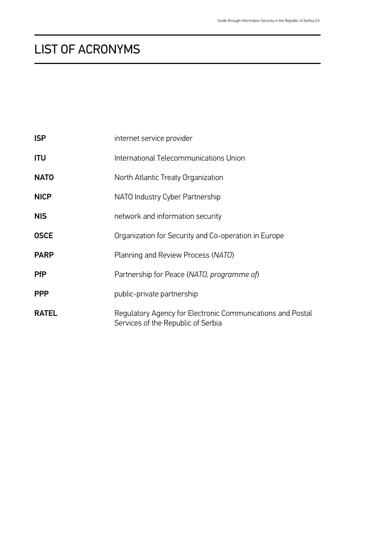| <b>ISP</b>   | internet service provider                                                                        |
|--------------|--------------------------------------------------------------------------------------------------|
| ITU          | International Telecommunications Union                                                           |
| <b>NATO</b>  | North Atlantic Treaty Organization                                                               |
| <b>NICP</b>  | NATO Industry Cyber Partnership                                                                  |
| <b>NIS</b>   | network and information security                                                                 |
| <b>OSCE</b>  | Organization for Security and Co-operation in Europe                                             |
| <b>PARP</b>  | Planning and Review Process (NATO)                                                               |
| <b>PfP</b>   | Partnership for Peace (NATO, programme of)                                                       |
| <b>PPP</b>   | public-private partnership                                                                       |
| <b>RATEL</b> | Regulatory Agency for Electronic Communications and Postal<br>Services of the Republic of Serbia |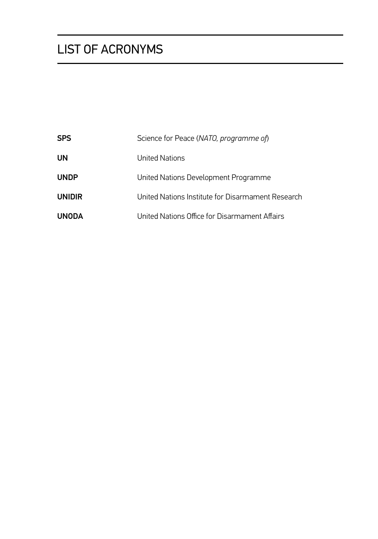| <b>SPS</b>    | Science for Peace (NATO, programme of)            |
|---------------|---------------------------------------------------|
| UN            | United Nations                                    |
| <b>UNDP</b>   | United Nations Development Programme              |
| <b>UNIDIR</b> | United Nations Institute for Disarmament Research |
| <b>UNODA</b>  | United Nations Office for Disarmament Affairs     |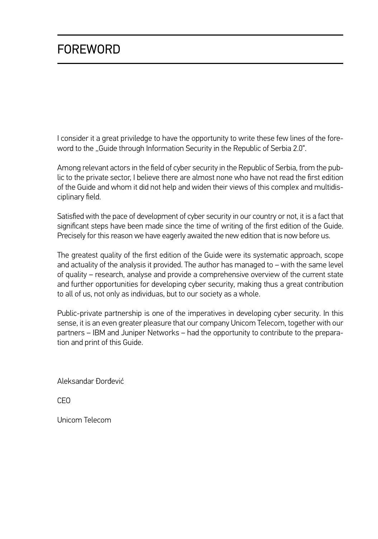### FOREWORD

I consider it a great priviledge to have the opportunity to write these few lines of the foreword to the "Guide through Information Security in the Republic of Serbia 2.0".

Among relevant actors in the field of cyber security in the Republic of Serbia, from the public to the private sector, I believe there are almost none who have not read the first edition of the Guide and whom it did not help and widen their views of this complex and multidisciplinary field.

Satisfied with the pace of development of cyber security in our country or not, it is a fact that significant steps have been made since the time of writing of the first edition of the Guide. Precisely for this reason we have eagerly awaited the new edition that is now before us.

The greatest quality of the first edition of the Guide were its systematic approach, scope and actuality of the analysis it provided. The author has managed to – with the same level of quality – research, analyse and provide a comprehensive overview of the current state and further opportunities for developing cyber security, making thus a great contribution to all of us, not only as individuas, but to our society as a whole.

Public-private partnership is one of the imperatives in developing cyber security. In this sense, it is an even greater pleasure that our company Unicom Telecom, together with our partners – IBM and Juniper Networks – had the opportunity to contribute to the preparation and print of this Guide.

Aleksandar Đorđević

CEO

Unicom Telecom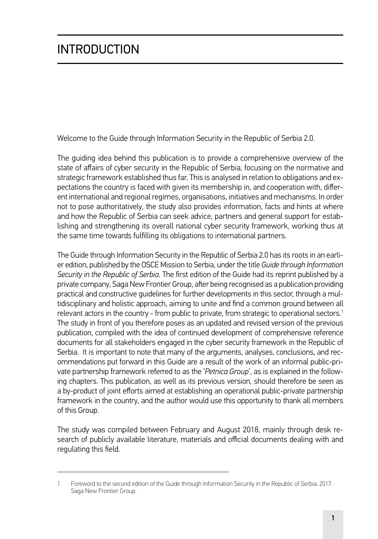# <span id="page-14-0"></span>INTRODUCTION

Welcome to the Guide through Information Security in the Republic of Serbia 2.0.

The guiding idea behind this publication is to provide a comprehensive overview of the state of affairs of cyber security in the Republic of Serbia, focusing on the normative and strategic framework established thus far. This is analysed in relation to obligations and expectations the country is faced with given its membership in, and cooperation with, different international and regional regimes, organisations, initiatives and mechanisms. In order not to pose authoritatively, the study also provides information, facts and hints at where and how the Republic of Serbia can seek advice, partners and general support for establishing and strengthening its overall national cyber security framework, working thus at the same time towards fulfilling its obligations to international partners.

The Guide through Information Security in the Republic of Serbia 2.0 has its roots in an earlier edition, published by the OSCE Mission to Serbia, under the title *Guide through Information Security in the Republic of Serbia*. The first edition of the Guide had its reprint published by a private company, Saga New Frontier Group, after being recognised as a publication providing practical and constructive guidelines for further developments in this sector, through a multidisciplinary and holistic approach, aiming to unite and find a common ground between all relevant actors in the country - from public to private, from strategic to operational sectors.<sup>1</sup> The study in front of you therefore poses as an updated and revised version of the previous publication, compiled with the idea of continued development of comprehensive reference documents for all stakeholders engaged in the cyber security framework in the Republic of Serbia. It is important to note that many of the arguments, analyses, conclusions, and recommendations put forward in this Guide are a result of the work of an informal public-private partnership framework referred to as the '*Petnica Group*', as is explained in the following chapters. This publication, as well as its previous version, should therefore be seen as a by-product of joint efforts aimed at establishing an operational public-private partnership framework in the country, and the author would use this opportunity to thank all members of this Group.

The study was compiled between February and August 2018, mainly through desk research of publicly available literature, materials and official documents dealing with and regulating this field.

<sup>1</sup> Foreword to the second edition of the Guide through Information Security in the Republic of Serbia. 2017. Saga New Frontier Group.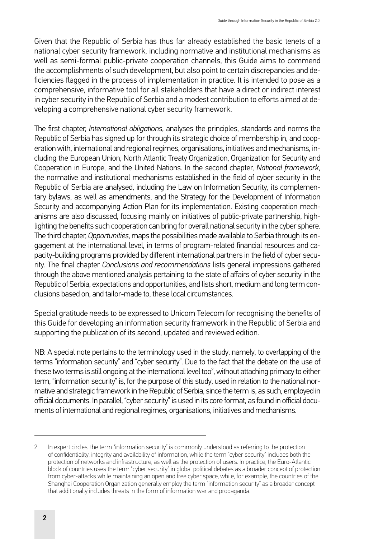Given that the Republic of Serbia has thus far already established the basic tenets of a national cyber security framework, including normative and institutional mechanisms as well as semi-formal public-private cooperation channels, this Guide aims to commend the accomplishments of such development, but also point to certain discrepancies and deficiencies flagged in the process of implementation in practice. It is intended to pose as a comprehensive, informative tool for all stakeholders that have a direct or indirect interest in cyber security in the Republic of Serbia and a modest contribution to efforts aimed at developing a comprehensive national cyber security framework.

The first chapter, *International obligations*, analyses the principles, standards and norms the Republic of Serbia has signed up for through its strategic choice of membership in, and cooperation with, international and regional regimes, organisations, initiatives and mechanisms, including the European Union, North Atlantic Treaty Organization, Organization for Security and Cooperation in Europe, and the United Nations. In the second chapter, *National framework*, the normative and institutional mechanisms established in the field of cyber security in the Republic of Serbia are analysed, including the Law on Information Security, its complementary bylaws, as well as amendments, and the Strategy for the Development of Information Security and accompanying Action Plan for its implementation. Existing cooperation mechanisms are also discussed, focusing mainly on initiatives of public-private partnership, highlighting the benefits such cooperation can bring for overall national security in the cyber sphere. The third chapter, *Opportunities*, maps the possibilities made available to Serbia through its engagement at the international level, in terms of program-related financial resources and capacity-building programs provided by different international partners in the field of cyber security. The final chapter *Conclusions and recommendations* lists general impressions gathered through the above mentioned analysis pertaining to the state of affairs of cyber security in the Republic of Serbia, expectations and opportunities, and lists short, medium and long term conclusions based on, and tailor-made to, these local circumstances.

Special gratitude needs to be expressed to Unicom Telecom for recognising the benefits of this Guide for developing an information security framework in the Republic of Serbia and supporting the publication of its second, updated and reviewed edition.

NB: A special note pertains to the terminology used in the study, namely, to overlapping of the terms "information security" and "cyber security". Due to the fact that the debate on the use of these two terms is still ongoing at the international level too<sup>2</sup>, without attaching primacy to either term, "information security" is, for the purpose of this study, used in relation to the national normative and strategic framework in the Republic of Serbia, since the term is, as such, employed in official documents. In parallel, "cyber security" is used in its core format, as found in official documents of international and regional regimes, organisations, initiatives and mechanisms.

<sup>2</sup> In expert circles, the term "information security" is commonly understood as referring to the protection of confidentiality, integrity and availability of information, while the term "cyber security" includes both the protection of networks and infrastructure, as well as the protection of users. In practice, the Euro-Atlantic block of countries uses the term "cyber security" in global political debates as a broader concept of protection from cyber-attacks while maintaining an open and free cyber space, while, for example, the countries of the Shanghai Cooperation Organization generally employ the term "information security" as a broader concept that additionally includes threats in the form of information war and propaganda.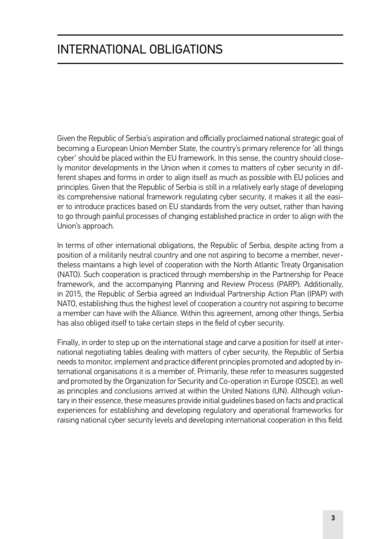# <span id="page-16-0"></span>INTERNATIONAL OBLIGATIONS

Given the Republic of Serbia's aspiration and officially proclaimed national strategic goal of becoming a European Union Member State, the country's primary reference for 'all things cyber' should be placed within the EU framework. In this sense, the country should closely monitor developments in the Union when it comes to matters of cyber security in different shapes and forms in order to align itself as much as possible with EU policies and principles. Given that the Republic of Serbia is still in a relatively early stage of developing its comprehensive national framework regulating cyber security, it makes it all the easier to introduce practices based on EU standards from the very outset, rather than having to go through painful processes of changing established practice in order to align with the Union's approach.

In terms of other international obligations, the Republic of Serbia, despite acting from a position of a militarily neutral country and one not aspiring to become a member, nevertheless maintains a high level of cooperation with the North Atlantic Treaty Organisation (NATO). Such cooperation is practiced through membership in the Partnership for Peace framework, and the accompanying Planning and Review Process (PARP). Additionally, in 2015, the Republic of Serbia agreed an Individual Partnership Action Plan (IPAP) with NATO, establishing thus the highest level of cooperation a country not aspiring to become a member can have with the Alliance. Within this agreement, among other things, Serbia has also obliged itself to take certain steps in the field of cyber security.

Finally, in order to step up on the international stage and carve a position for itself at international negotiating tables dealing with matters of cyber security, the Republic of Serbia needs to monitor, implement and practice different principles promoted and adopted by international organisations it is a member of. Primarily, these refer to measures suggested and promoted by the Organization for Security and Co-operation in Europe (OSCE), as well as principles and conclusions arrived at within the United Nations (UN). Although voluntary in their essence, these measures provide initial guidelines based on facts and practical experiences for establishing and developing regulatory and operational frameworks for raising national cyber security levels and developing international cooperation in this field.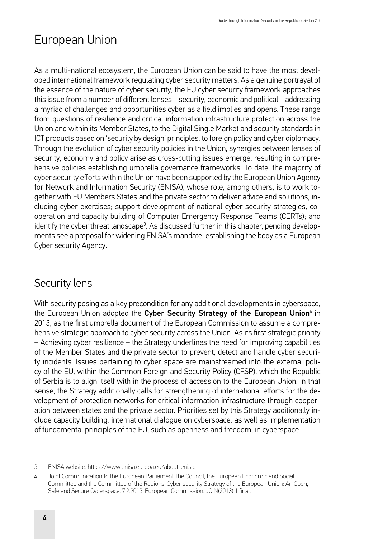# <span id="page-17-0"></span>European Union

As a multi-national ecosystem, the European Union can be said to have the most developed international framework regulating cyber security matters. As a genuine portrayal of the essence of the nature of cyber security, the EU cyber security framework approaches this issue from a number of different lenses – security, economic and political – addressing a myriad of challenges and opportunities cyber as a field implies and opens. These range from questions of resilience and critical information infrastructure protection across the Union and within its Member States, to the Digital Single Market and security standards in ICT products based on 'security by design' principles, to foreign policy and cyber diplomacy. Through the evolution of cyber security policies in the Union, synergies between lenses of security, economy and policy arise as cross-cutting issues emerge, resulting in comprehensive policies establishing umbrella governance frameworks. To date, the majority of cyber security efforts within the Union have been supported by the European Union Agency for Network and Information Security (ENISA), whose role, among others, is to work together with EU Members States and the private sector to deliver advice and solutions, including cyber exercises; support development of national cyber security strategies, cooperation and capacity building of Computer Emergency Response Teams (CERTs); and identify the cyber threat landscape<sup>3</sup>. As discussed further in this chapter, pending developments see a proposal for widening ENISA's mandate, establishing the body as a European Cyber security Agency.

#### Security lens

With security posing as a key precondition for any additional developments in cyberspace, the European Union adopted the **Cyber Security Strategy of the European Union**4 in 2013, as the first umbrella document of the European Commission to assume a comprehensive strategic approach to cyber security across the Union. As its first strategic priority – Achieving cyber resilience – the Strategy underlines the need for improving capabilities of the Member States and the private sector to prevent, detect and handle cyber security incidents. Issues pertaining to cyber space are mainstreamed into the external policy of the EU, within the Common Foreign and Security Policy (CFSP), which the Republic of Serbia is to align itself with in the process of accession to the European Union. In that sense, the Strategy additionally calls for strengthening of international efforts for the development of protection networks for critical information infrastructure through cooperation between states and the private sector. Priorities set by this Strategy additionally include capacity building, international dialogue on cyberspace, as well as implementation of fundamental principles of the EU, such as openness and freedom, in cyberspace.

<sup>3</sup> ENISA website. [https://www.enisa.europa.eu/about-enisa.](https://www.enisa.europa.eu/about-enisa)

<sup>4</sup> Joint Communication to the European Parliament, the Council, the European Economic and Social Committee and the Committee of the Regions. Cyber security Strategy of the European Union: An Open, Safe and Secure Cyberspace. 7.2.2013. European Commission. JOIN(2013) 1 final.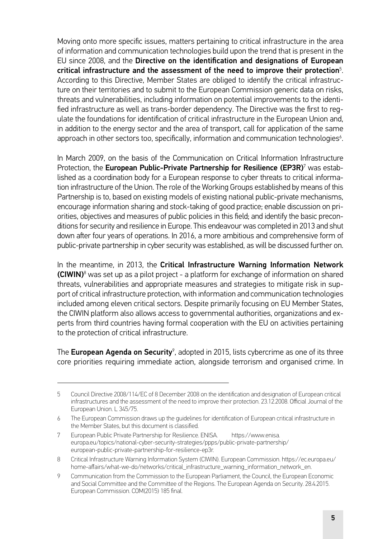Moving onto more specific issues, matters pertaining to critical infrastructure in the area of information and communication technologies build upon the trend that is present in the EU since 2008, and the Directive on the identification and designations of European critical infrastructure and the assessment of the need to improve their protection $^5\!$ . According to this Directive, Member States are obliged to identify the critical infrastructure on their territories and to submit to the European Commission generic data on risks, threats and vulnerabilities, including information on potential improvements to the identified infrastructure as well as trans-border dependency. The Directive was the first to regulate the foundations for identification of critical infrastructure in the European Union and, in addition to the energy sector and the area of transport, call for application of the same  $a$ pproach in other sectors too, specifically, information and communication technologies $\delta$ .

In March 2009, on the basis of the Communication on Critical Information Infrastructure Protection, the **European Public-Private Partnership for Resilience (EP3R)**<sup>7</sup> was established as a coordination body for a European response to cyber threats to critical information infrastructure of the Union. The role of the Working Groups established by means of this Partnership is to, based on existing models of existing national public-private mechanisms, encourage information sharing and stock-taking of good practice; enable discussion on priorities, objectives and measures of public policies in this field; and identify the basic preconditions for security and resilience in Europe. This endeavour was completed in 2013 and shut down after four years of operations. In 2016, a more ambitious and comprehensive form of public-private partnership in cyber security was established, as will be discussed further on.

In the meantime, in 2013, the Critical Infrastructure Warning Information Network **(CIWIN)**<sup>8</sup> was set up as a pilot project - a platform for exchange of information on shared threats, vulnerabilities and appropriate measures and strategies to mitigate risk in support of critical infrastructure protection, with information and communication technologies included among eleven critical sectors. Despite primarily focusing on EU Member States, the CIWIN platform also allows access to governmental authorities, organizations and experts from third countries having formal cooperation with the EU on activities pertaining to the protection of critical infrastructure.

The **European Agenda on Security**<sup>9</sup>, adopted in 2015, lists cybercrime as one of its three core priorities requiring immediate action, alongside terrorism and organised crime. In

<sup>5</sup> Council Directive 2008/114/EC of 8 December 2008 on the identification and designation of European critical infrastructures and the assessment of the need to improve their protection. 23.12.2008. Official Journal of the European Union. L 345/75.

<sup>6</sup> The European Commission draws up the guidelines for identification of European critical infrastructure in the Member States, but this document is classified.

<sup>7</sup> European Public Private Partnership for Resilience. ENISA. [https://www.enisa.](https://www.enisa.europa.eu/topics/national-cyber-security-strategies/ppps/public-private-partnership/european-public-private-partnership-for-resilience-ep3r) [europa.eu/topics/national-cyber-security-strategies/ppps/public-private-partnership/](https://www.enisa.europa.eu/topics/national-cyber-security-strategies/ppps/public-private-partnership/european-public-private-partnership-for-resilience-ep3r) [european-public-private-partnership-for-resilience-ep3r.](https://www.enisa.europa.eu/topics/national-cyber-security-strategies/ppps/public-private-partnership/european-public-private-partnership-for-resilience-ep3r)

<sup>8</sup> Critical Infrastructure Warning Information System (CIWIN). European Commission. [https://ec.europa.eu/](https://ec.europa.eu/home-affairs/what-we-do/networks/critical_infrastructure_warning_information_network_en) [home-affairs/what-we-do/networks/critical\\_infrastructure\\_warning\\_information\\_network\\_en.](https://ec.europa.eu/home-affairs/what-we-do/networks/critical_infrastructure_warning_information_network_en)

<sup>9</sup> Communication from the Commission to the European Parliament, the Council, the European Economic and Social Committee and the Committee of the Regions. The European Agenda on Security. 28.4.2015. European Commission. COM(2015) 185 final.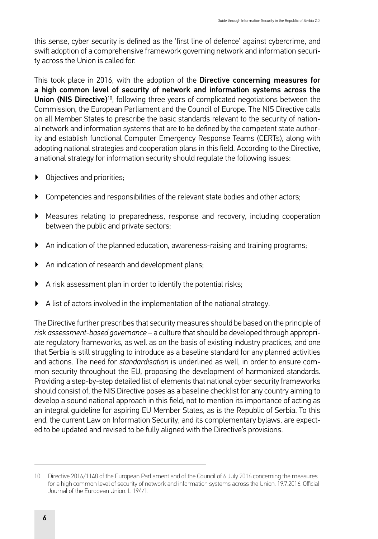this sense, cyber security is defined as the 'first line of defence' against cybercrime, and swift adoption of a comprehensive framework governing network and information security across the Union is called for.

This took place in 2016, with the adoption of the Directive concerning measures for a high common level of security of network and information systems across the Union (NIS Directive)<sup>10</sup>, following three years of complicated negotiations between the Commission, the European Parliament and the Council of Europe. The NIS Directive calls on all Member States to prescribe the basic standards relevant to the security of national network and information systems that are to be defined by the competent state authority and establish functional Computer Emergency Response Teams (CERTs), along with adopting national strategies and cooperation plans in this field. According to the Directive, a national strategy for information security should regulate the following issues:

- Objectives and priorities;
- ▶ Competencies and responsibilities of the relevant state bodies and other actors;
- ▶ Measures relating to preparedness, response and recovery, including cooperation between the public and private sectors;
- ▶ An indication of the planned education, awareness-raising and training programs;
- ▶ An indication of research and development plans;
- ▶ A risk assessment plan in order to identify the potential risks;
- ▶ A list of actors involved in the implementation of the national strategy.

The Directive further prescribes that security measures should be based on the principle of *risk assessment-based governance* – a culture that should be developed through appropriate regulatory frameworks, as well as on the basis of existing industry practices, and one that Serbia is still struggling to introduce as a baseline standard for any planned activities and actions. The need for *standardisation* is underlined as well, in order to ensure common security throughout the EU, proposing the development of harmonized standards. Providing a step-by-step detailed list of elements that national cyber security frameworks should consist of, the NIS Directive poses as a baseline checklist for any country aiming to develop a sound national approach in this field, not to mention its importance of acting as an integral guideline for aspiring EU Member States, as is the Republic of Serbia. To this end, the current Law on Information Security, and its complementary bylaws, are expected to be updated and revised to be fully aligned with the Directive's provisions.

<sup>10</sup> Directive 2016/1148 of the European Parliament and of the Council of 6 July 2016 concerning the measures for a high common level of security of network and information systems across the Union. 19.7.2016. Official Journal of the European Union. L 194/1.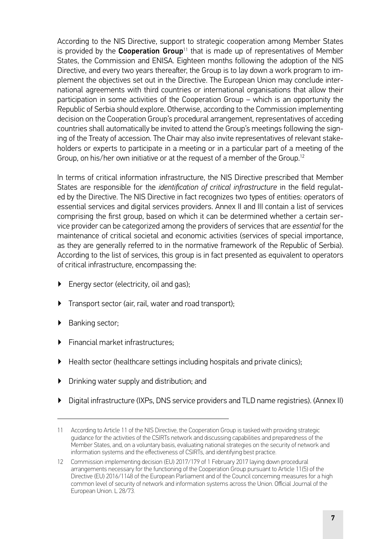According to the NIS Directive, support to strategic cooperation among Member States is provided by the **Cooperation Group**<sup>11</sup> that is made up of representatives of Member States, the Commission and ENISA. Eighteen months following the adoption of the NIS Directive, and every two years thereafter, the Group is to lay down a work program to implement the objectives set out in the Directive. The European Union may conclude international agreements with third countries or international organisations that allow their participation in some activities of the Cooperation Group – which is an opportunity the Republic of Serbia should explore. Otherwise, according to the Commission implementing decision on the Cooperation Group's procedural arrangement, representatives of acceding countries shall automatically be invited to attend the Group's meetings following the signing of the Treaty of accession. The Chair may also invite representatives of relevant stakeholders or experts to participate in a meeting or in a particular part of a meeting of the Group, on his/her own initiative or at the request of a member of the Group.<sup>12</sup>

In terms of critical information infrastructure, the NIS Directive prescribed that Member States are responsible for the *identification of critical infrastructure* in the field regulated by the Directive. The NIS Directive in fact recognizes two types of entities: operators of essential services and digital services providers. Annex II and III contain a list of services comprising the first group, based on which it can be determined whether a certain service provider can be categorized among the providers of services that are *essential* for the maintenance of critical societal and economic activities (services of special importance, as they are generally referred to in the normative framework of the Republic of Serbia). According to the list of services, this group is in fact presented as equivalent to operators of critical infrastructure, encompassing the:

- ▶ Energy sector (electricity, oil and gas);
- ▶ Transport sector (air, rail, water and road transport);
- **Banking sector:**
- **Financial market infrastructures:**
- ▶ Health sector (healthcare settings including hospitals and private clinics);
- Drinking water supply and distribution; and
- ▶ Digital infrastructure (IXPs, DNS service providers and TLD name registries). (Annex II)

<sup>11</sup> According to Article 11 of the NIS Directive, the Cooperation Group is tasked with providing strategic guidance for the activities of the CSIRTs network and discussing capabilities and preparedness of the Member States, and, on a voluntary basis, evaluating national strategies on the security of network and information systems and the effectiveness of CSIRTs, and identifying best practice.

<sup>12</sup> Commission implementing decision (EU) 2017/179 of 1 February 2017 laying down procedural arrangements necessary for the functioning of the Cooperation Group pursuant to Article 11(5) of the Directive (EU) 2016/1148 of the European Parliament and of the Council concerning measures for a high common level of security of network and information systems across the Union. Official Journal of the European Union. L 28/73.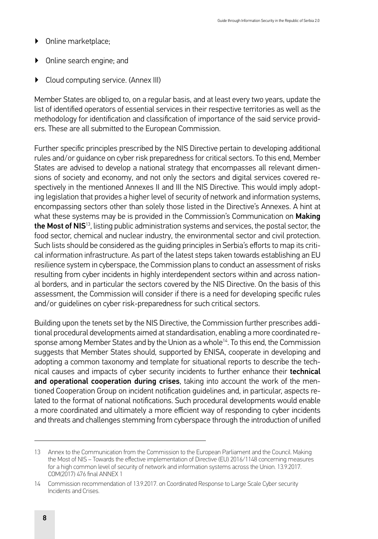- ▶ Online marketplace;
- ▶ Online search engine; and
- Cloud computing service. (Annex III)

Member States are obliged to, on a regular basis, and at least every two years, update the list of identified operators of essential services in their respective territories as well as the methodology for identification and classification of importance of the said service providers. These are all submitted to the European Commission.

Further specific principles prescribed by the NIS Directive pertain to developing additional rules and/or guidance on cyber risk preparedness for critical sectors. To this end, Member States are advised to develop a national strategy that encompasses all relevant dimensions of society and economy, and not only the sectors and digital services covered respectively in the mentioned Annexes II and III the NIS Directive. This would imply adopting legislation that provides a higher level of security of network and information systems, encompassing sectors other than solely those listed in the Directive's Annexes. A hint at what these systems may be is provided in the Commission's Communication on Making the Most of NIS<sup>13</sup>, listing public administration systems and services, the postal sector, the food sector, chemical and nuclear industry, the environmental sector and civil protection. Such lists should be considered as the guiding principles in Serbia's efforts to map its critical information infrastructure. As part of the latest steps taken towards establishing an EU resilience system in cyberspace, the Commission plans to conduct an assessment of risks resulting from cyber incidents in highly interdependent sectors within and across national borders, and in particular the sectors covered by the NIS Directive. On the basis of this assessment, the Commission will consider if there is a need for developing specific rules and/or guidelines on cyber risk-preparedness for such critical sectors.

Building upon the tenets set by the NIS Directive, the Commission further prescribes additional procedural developments aimed at standardisation, enabling a more coordinated response among Member States and by the Union as a whole<sup>14</sup>. To this end, the Commission suggests that Member States should, supported by ENISA, cooperate in developing and adopting a common taxonomy and template for situational reports to describe the technical causes and impacts of cyber security incidents to further enhance their technical and operational cooperation during crises, taking into account the work of the mentioned Cooperation Group on incident notification guidelines and, in particular, aspects related to the format of national notifications. Such procedural developments would enable a more coordinated and ultimately a more efficient way of responding to cyber incidents and threats and challenges stemming from cyberspace through the introduction of unified

<sup>13</sup> Annex to the Communication from the Commission to the European Parliament and the Council. Making the Most of NIS – Towards the effective implementation of Directive (EU) 2016/1148 concerning measures for a high common level of security of network and information systems across the Union. 13.9.2017. COM(2017) 476 final ANNEX 1

<sup>14</sup> Commission recommendation of 13.9.2017. on Coordinated Response to Large Scale Cyber security Incidents and Crises.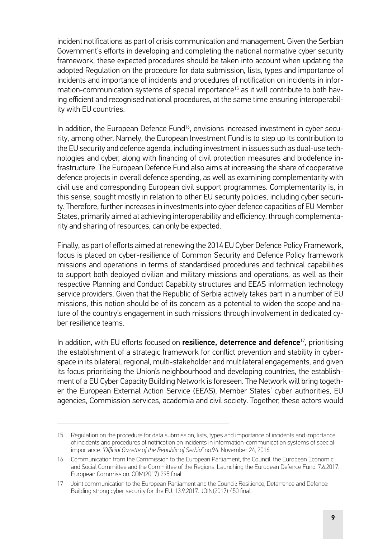incident notifications as part of crisis communication and management. Given the Serbian Government's efforts in developing and completing the national normative cyber security framework, these expected procedures should be taken into account when updating the adopted Regulation on the procedure for data submission, lists, types and importance of incidents and importance of incidents and procedures of notification on incidents in information-communication systems of special importance<sup>15</sup> as it will contribute to both having efficient and recognised national procedures, at the same time ensuring interoperability with EU countries.

In addition, the European Defence Fund<sup>16</sup>, envisions increased investment in cyber security, among other. Namely, the European Investment Fund is to step up its contribution to the EU security and defence agenda, including investment in issues such as dual-use technologies and cyber, along with financing of civil protection measures and biodefence infrastructure. The European Defence Fund also aims at increasing the share of cooperative defence projects in overall defence spending, as well as examining complementarity with civil use and corresponding European civil support programmes. Complementarity is, in this sense, sought mostly in relation to other EU security policies, including cyber security. Therefore, further increases in investments into cyber defence capacities of EU Member States, primarily aimed at achieving interoperability and efficiency, through complementarity and sharing of resources, can only be expected.

Finally, as part of efforts aimed at renewing the 2014 EU Cyber Defence Policy Framework, focus is placed on cyber-resilience of Common Security and Defence Policy framework missions and operations in terms of standardised procedures and technical capabilities to support both deployed civilian and military missions and operations, as well as their respective Planning and Conduct Capability structures and EEAS information technology service providers. Given that the Republic of Serbia actively takes part in a number of EU missions, this notion should be of its concern as a potential to widen the scope and nature of the country's engagement in such missions through involvement in dedicated cyber resilience teams.

In addition, with EU efforts focused on resilience, deterrence and defence<sup>17</sup>, prioritising the establishment of a strategic framework for conflict prevention and stability in cyberspace in its bilateral, regional, multi-stakeholder and multilateral engagements, and given its focus prioritising the Union's neighbourhood and developing countries, the establishment of a EU Cyber Capacity Building Network is foreseen. The Network will bring together the European External Action Service (EEAS), Member States' cyber authorities, EU agencies, Commission services, academia and civil society. Together, these actors would

<sup>15</sup> Regulation on the procedure for data submission, lists, types and importance of incidents and importance of incidents and procedures of notification on incidents in information-communication systems of special importance. *"Official Gazette of the Republic of Serbia"* no.94. November 24, 2016.

<sup>16</sup> Communication from the Commission to the European Parliament, the Council, the European Economic and Social Committee and the Committee of the Regions. Launching the European Defence Fund. 7.6.2017. European Commission. COM(2017) 295 final.

<sup>17</sup> Joint communication to the European Parliament and the Council: Resilience, Deterrence and Defence: Building strong cyber security for the EU. 13.9.2017. JOIN(2017) 450 final.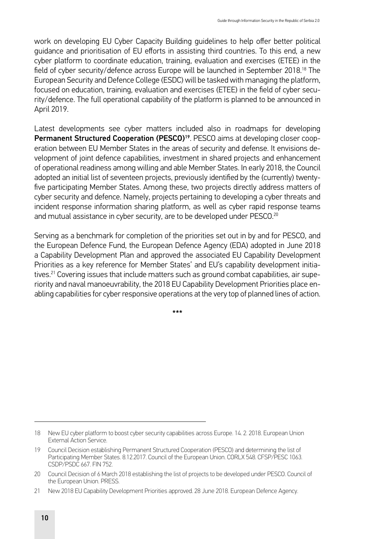work on developing EU Cyber Capacity Building guidelines to help offer better political guidance and prioritisation of EU efforts in assisting third countries. To this end, a new cyber platform to coordinate education, training, evaluation and exercises (ETEE) in the field of cyber security/defence across Europe will be launched in September 2018.18 The European Security and Defence College (ESDC) will be tasked with managing the platform, focused on education, training, evaluation and exercises (ETEE) in the field of cyber security/defence. The full operational capability of the platform is planned to be announced in April 2019.

Latest developments see cyber matters included also in roadmaps for developing Permanent Structured Cooperation (PESCO)<sup>19</sup>. PESCO aims at developing closer cooperation between EU Member States in the areas of security and defense. It envisions development of joint defence capabilities, investment in shared projects and enhancement of operational readiness among willing and able Member States. In early 2018, the Council adopted an initial list of seventeen projects, previously identified by the (currently) twentyfive participating Member States. Among these, two projects directly address matters of cyber security and defence. Namely, projects pertaining to developing a cyber threats and incident response information sharing platform, as well as cyber rapid response teams and mutual assistance in cyber security, are to be developed under PESCO.<sup>20</sup>

Serving as a benchmark for completion of the priorities set out in by and for PESCO, and the European Defence Fund, the European Defence Agency (EDA) adopted in June 2018 a Capability Development Plan and approved the associated EU Capability Development Priorities as a key reference for Member States' and EU's capability development initiatives.<sup>21</sup> Covering issues that include matters such as ground combat capabilities, air superiority and naval manoeuvrability, the 2018 EU Capability Development Priorities place enabling capabilities for cyber responsive operations at the very top of planned lines of action.

\*\*\*

<sup>18</sup> New EU cyber platform to boost cyber security capabilities across Europe. 14. 2. 2018. European Union External Action Service.

<sup>19</sup> Council Decision establishing Permanent Structured Cooperation (PESCO) and determining the list of Participating Member States. 8.12.2017. Council of the European Union. CORLX 548. CFSP/PESC 1063. CSDP/PSDC 667. FIN 752.

<sup>20</sup> Council Decision of 6 March 2018 establishing the list of projects to be developed under PESCO. Council of the European Union. PRESS.

<sup>21</sup> New 2018 EU Capability Development Priorities approved. 28 June 2018. European Defence Agency.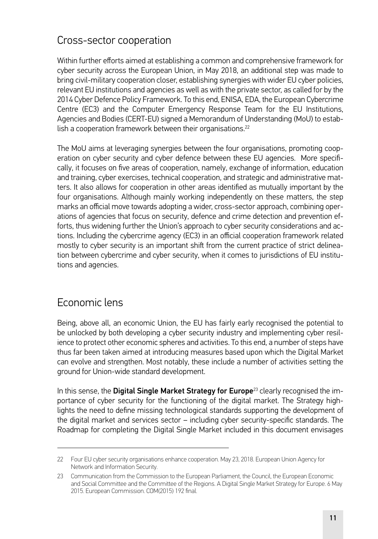#### <span id="page-24-0"></span>Cross-sector cooperation

Within further efforts aimed at establishing a common and comprehensive framework for cyber security across the European Union, in May 2018, an additional step was made to bring civil-military cooperation closer, establishing synergies with wider EU cyber policies, relevant EU institutions and agencies as well as with the private sector, as called for by the 2014 Cyber Defence Policy Framework. To this end, ENISA, EDA, the European Cybercrime Centre (EC3) and the Computer Emergency Response Team for the EU Institutions, Agencies and Bodies (CERT-EU) signed a Memorandum of Understanding (MoU) to establish a cooperation framework between their organisations.<sup>22</sup>

The MoU aims at leveraging synergies between the four organisations, promoting cooperation on cyber security and cyber defence between these EU agencies. More specifically, it focuses on five areas of cooperation, namely, exchange of information, education and training, cyber exercises, technical cooperation, and strategic and administrative matters. It also allows for cooperation in other areas identified as mutually important by the four organisations. Although mainly working independently on these matters, the step marks an official move towards adopting a wider, cross-sector approach, combining operations of agencies that focus on security, defence and crime detection and prevention efforts, thus widening further the Union's approach to cyber security considerations and actions. Including the cybercrime agency (EC3) in an official cooperation framework related mostly to cyber security is an important shift from the current practice of strict delineation between cybercrime and cyber security, when it comes to jurisdictions of EU institutions and agencies.

#### Economic lens

Being, above all, an economic Union, the EU has fairly early recognised the potential to be unlocked by both developing a cyber security industry and implementing cyber resilience to protect other economic spheres and activities. To this end, a number of steps have thus far been taken aimed at introducing measures based upon which the Digital Market can evolve and strengthen. Most notably, these include a number of activities setting the ground for Union-wide standard development.

In this sense, the Digital Single Market Strategy for Europe<sup>23</sup> clearly recognised the importance of cyber security for the functioning of the digital market. The Strategy highlights the need to define missing technological standards supporting the development of the digital market and services sector – including cyber security-specific standards. The Roadmap for completing the Digital Single Market included in this document envisages

<sup>22</sup> Four EU cyber security organisations enhance cooperation. May 23, 2018. European Union Agency for Network and Information Security.

<sup>23</sup> Communication from the Commission to the European Parliament, the Council, the European Economic and Social Committee and the Committee of the Regions. A Digital Single Market Strategy for Europe. 6 May 2015. European Commission. COM(2015) 192 final.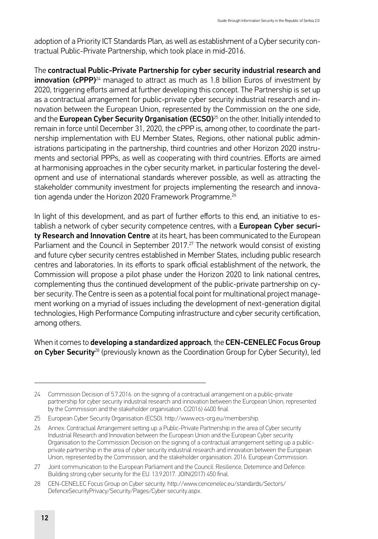adoption of a Priority ICT Standards Plan, as well as establishment of a Cyber security contractual Public-Private Partnership, which took place in mid-2016.

The contractual Public-Private Partnership for cyber security industrial research and **innovation (cPPP)**<sup>24</sup> managed to attract as much as 1.8 billion Euros of investment by 2020, triggering efforts aimed at further developing this concept. The Partnership is set up as a contractual arrangement for public-private cyber security industrial research and innovation between the European Union, represented by the Commission on the one side, and the European Cyber Security Organisation (ECSO) $^{25}$  on the other. Initially intended to remain in force until December 31, 2020, the cPPP is, among other, to coordinate the partnership implementation with EU Member States, Regions, other national public administrations participating in the partnership, third countries and other Horizon 2020 instruments and sectorial PPPs, as well as cooperating with third countries. Efforts are aimed at harmonising approaches in the cyber security market, in particular fostering the development and use of international standards wherever possible, as well as attracting the stakeholder community investment for projects implementing the research and innovation agenda under the Horizon 2020 Framework Programme.<sup>26</sup>

In light of this development, and as part of further efforts to this end, an initiative to establish a network of cyber security competence centres, with a European Cyber security Research and Innovation Centre at its heart, has been communicated to the European Parliament and the Council in September 2017.27 The network would consist of existing and future cyber security centres established in Member States, including public research centres and laboratories. In its efforts to spark official establishment of the network, the Commission will propose a pilot phase under the Horizon 2020 to link national centres, complementing thus the continued development of the public-private partnership on cyber security. The Centre is seen as a potential focal point for multinational project management working on a myriad of issues including the development of next-generation digital technologies, High Performance Computing infrastructure and cyber security certification, among others.

When it comes to developing a standardized approach, the CEN-CENELEC Focus Group on Cyber Security<sup>28</sup> (previously known as the Coordination Group for Cyber Security). led

<sup>24</sup> Commission Decision of 5.7.2016. on the signing of a contractual arrangement on a public-private partnership for cyber security industrial research and innovation between the European Union, represented by the Commission and the stakeholder organisation. C(2016) 4400 final.

<sup>25</sup> European Cyber Security Organisation (ECSO). [http://www.ecs-org.eu/membership.](http://www.ecs-org.eu/membership)

<sup>26</sup> Annex: Contractual Arrangement setting up a Public-Private Partnership in the area of Cyber security Industrial Research and Innovation between the European Union and the European Cyber security Organisation to the Commission Decision on the signing of a contractual arrangement setting up a publicprivate partnership in the area of cyber security industrial research and innovation between the European Union, represented by the Commission, and the stakeholder organisation. 2016. European Commission.

<sup>27</sup> Joint communication to the European Parliament and the Council: Resilience, Deterrence and Defence: Building strong cyber security for the EU. 13.9.2017. JOIN(2017) 450 final.

<sup>28</sup> CEN-CENELEC Focus Group on Cyber security. http://www.cencenelec.eu/standards/Sectors/ DefenceSecurityPrivacy/Security/Pages/Cyber security.aspx.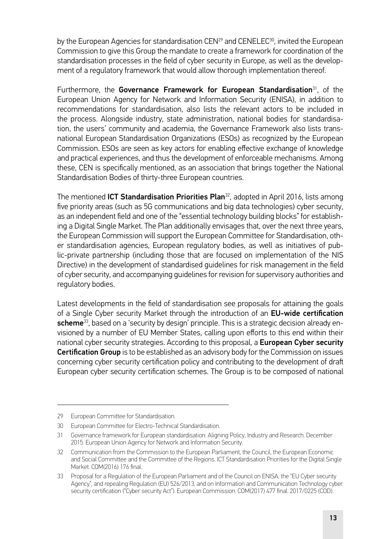by the European Agencies for standardisation CEN<sup>29</sup> and CENELEC<sup>30</sup>, invited the European Commission to give this Group the mandate to create a framework for coordination of the standardisation processes in the field of cyber security in Europe, as well as the development of a regulatory framework that would allow thorough implementation thereof.

Furthermore, the Governance Framework for European Standardisation<sup>31</sup>, of the European Union Agency for Network and Information Security (ENISA), in addition to recommendations for standardisation, also lists the relevant actors to be included in the process. Alongside industry, state administration, national bodies for standardisation, the users' community and academia, the Governance Framework also lists transnational European Standardisation Organizations (ESOs) as recognized by the European Commission. ESOs are seen as key actors for enabling effective exchange of knowledge and practical experiences, and thus the development of enforceable mechanisms. Among these, CEN is specifically mentioned, as an association that brings together the National Standardisation Bodies of thirty-three European countries.

The mentioned **ICT Standardisation Priorities Plan**<sup>32</sup>, adopted in April 2016, lists among five priority areas (such as 5G communications and big data technologies) cyber security, as an independent field and one of the "essential technology building blocks" for establishing a Digital Single Market. The Plan additionally envisages that, over the next three years, the European Commission will support the European Committee for Standardisation, other standardisation agencies, European regulatory bodies, as well as initiatives of public-private partnership (including those that are focused on implementation of the NIS Directive) in the development of standardised guidelines for risk management in the field of cyber security, and accompanying guidelines for revision for supervisory authorities and regulatory bodies.

Latest developments in the field of standardisation see proposals for attaining the goals of a Single Cyber security Market through the introduction of an EU-wide certification scheme<sup>33</sup>, based on a 'security by design' principle. This is a strategic decision already envisioned by a number of EU Member States, calling upon efforts to this end within their national cyber security strategies. According to this proposal, a European Cyber security Certification Group is to be established as an advisory body for the Commission on issues concerning cyber security certification policy and contributing to the development of draft European cyber security certification schemes. The Group is to be composed of national

<sup>29</sup> European Committee for Standardisation.

<sup>30</sup> European Committee for Electro-Technical Standardisation.

<sup>31</sup> Governance framework for European standardisation: Aligning Policy, Industry and Research. December 2015. European Union Agency for Network and Information Security.

<sup>32</sup> Communication from the Commission to the European Parliament, the Council, the European Economic and Social Committee and the Committee of the Regions. ICT Standardisation Priorities for the Digital Single Market. COM(2016) 176 final.

<sup>33</sup> Proposal for a Regulation of the European Parliament and of the Council on ENISA, the "EU Cyber security Agency", and repealing Regulation (EU) 526/2013, and on Information and Communication Technology cyber security certification ("Cyber security Act"). European Commission. COM(2017) 477 final. 2017/0225 (COD).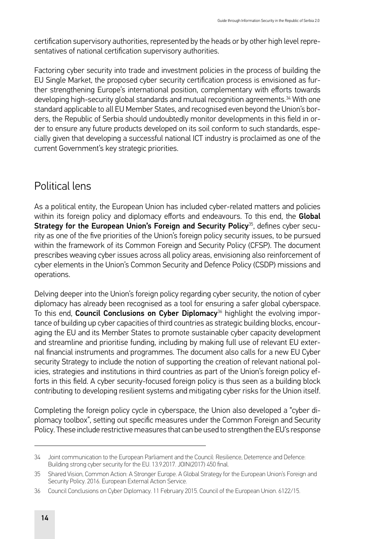<span id="page-27-0"></span>certification supervisory authorities, represented by the heads or by other high level representatives of national certification supervisory authorities.

Factoring cyber security into trade and investment policies in the process of building the EU Single Market, the proposed cyber security certification process is envisioned as further strengthening Europe's international position, complementary with efforts towards developing high-security global standards and mutual recognition agreements.34 With one standard applicable to all EU Member States, and recognised even beyond the Union's borders, the Republic of Serbia should undoubtedly monitor developments in this field in order to ensure any future products developed on its soil conform to such standards, especially given that developing a successful national ICT industry is proclaimed as one of the current Government's key strategic priorities.

#### Political lens

As a political entity, the European Union has included cyber-related matters and policies within its foreign policy and diplomacy efforts and endeavours. To this end, the Global Strategy for the European Union's Foreign and Security Policy<sup>35</sup>, defines cyber security as one of the five priorities of the Union's foreign policy security issues, to be pursued within the framework of its Common Foreign and Security Policy (CFSP). The document prescribes weaving cyber issues across all policy areas, envisioning also reinforcement of cyber elements in the Union's Common Security and Defence Policy (CSDP) missions and operations.

Delving deeper into the Union's foreign policy regarding cyber security, the notion of cyber diplomacy has already been recognised as a tool for ensuring a safer global cyberspace. To this end, Council Conclusions on Cyber Diplomacy<sup>36</sup> highlight the evolving importance of building up cyber capacities of third countries as strategic building blocks, encouraging the EU and its Member States to promote sustainable cyber capacity development and streamline and prioritise funding, including by making full use of relevant EU external financial instruments and programmes. The document also calls for a new EU Cyber security Strategy to include the notion of supporting the creation of relevant national policies, strategies and institutions in third countries as part of the Union's foreign policy efforts in this field. A cyber security-focused foreign policy is thus seen as a building block contributing to developing resilient systems and mitigating cyber risks for the Union itself.

Completing the foreign policy cycle in cyberspace, the Union also developed a "cyber diplomacy toolbox", setting out specific measures under the Common Foreign and Security Policy. These include restrictive measures that can be used to strengthen the EU's response

<sup>34</sup> Joint communication to the European Parliament and the Council: Resilience, Deterrence and Defence: Building strong cyber security for the EU. 13.9.2017. JOIN(2017) 450 final.

<sup>35</sup> Shared Vision, Common Action: A Stronger Europe. A Global Strategy for the European Union's Foreign and Security Policy. 2016. European External Action Service.

<sup>36</sup> Council Conclusions on Cyber Diplomacy. 11 February 2015. Council of the European Union. 6122/15.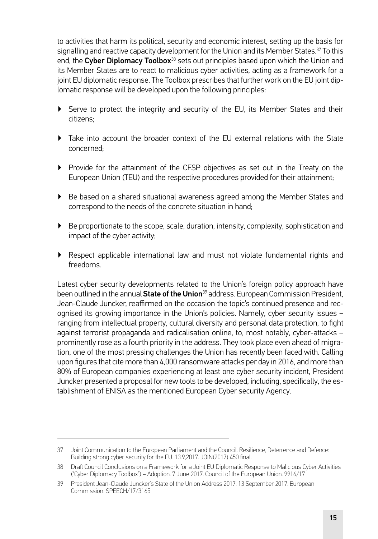to activities that harm its political, security and economic interest, setting up the basis for signalling and reactive capacity development for the Union and its Member States.<sup>37</sup> To this end, the Cyber Diplomacy Toolbox<sup>38</sup> sets out principles based upon which the Union and its Member States are to react to malicious cyber activities, acting as a framework for a joint EU diplomatic response. The Toolbox prescribes that further work on the EU joint diplomatic response will be developed upon the following principles:

- ▶ Serve to protect the integrity and security of the EU, its Member States and their citizens;
- ▶ Take into account the broader context of the EU external relations with the State concerned;
- ▶ Provide for the attainment of the CFSP objectives as set out in the Treaty on the European Union (TEU) and the respective procedures provided for their attainment;
- ▶ Be based on a shared situational awareness agreed among the Member States and correspond to the needs of the concrete situation in hand;
- ▶ Be proportionate to the scope, scale, duration, intensity, complexity, sophistication and impact of the cyber activity;
- ▶ Respect applicable international law and must not violate fundamental rights and freedoms.

Latest cyber security developments related to the Union's foreign policy approach have been outlined in the annual State of the Union<sup>39</sup> address. European Commission President, Jean-Claude Juncker, reaffirmed on the occasion the topic's continued presence and recognised its growing importance in the Union's policies. Namely, cyber security issues – ranging from intellectual property, cultural diversity and personal data protection, to fight against terrorist propaganda and radicalisation online, to, most notably, cyber-attacks – prominently rose as a fourth priority in the address. They took place even ahead of migration, one of the most pressing challenges the Union has recently been faced with. Calling upon figures that cite more than 4,000 ransomware attacks per day in 2016, and more than 80% of European companies experiencing at least one cyber security incident, President Juncker presented a proposal for new tools to be developed, including, specifically, the establishment of ENISA as the mentioned European Cyber security Agency.

<sup>37</sup> Joint Communication to the European Parliament and the Council. Resilience, Deterrence and Defence: Building strong cyber security for the EU. 13.9,2017. JOIN(2017) 450 final.

<sup>38</sup> Draft Council Conclusions on a Framework for a Joint EU Diplomatic Response to Malicious Cyber Activities ("Cyber Diplomacy Toolbox") – Adoption. 7 June 2017. Council of the European Union. 9916/17

<sup>39</sup> President Jean-Claude Juncker's State of the Union Address 2017. 13 September 2017. European Commission. SPEECH/17/3165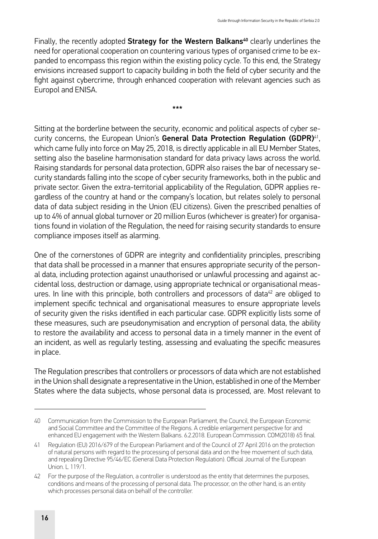Finally, the recently adopted Strategy for the Western Balkans<sup>40</sup> clearly underlines the need for operational cooperation on countering various types of organised crime to be expanded to encompass this region within the existing policy cycle. To this end, the Strategy envisions increased support to capacity building in both the field of cyber security and the fight against cybercrime, through enhanced cooperation with relevant agencies such as Europol and ENISA.

\*\*\*

Sitting at the borderline between the security, economic and political aspects of cyber security concerns, the European Union's General Data Protection Regulation (GDPR)<sup>41</sup>, which came fully into force on May 25, 2018, is directly applicable in all EU Member States, setting also the baseline harmonisation standard for data privacy laws across the world. Raising standards for personal data protection, GDPR also raises the bar of necessary security standards falling into the scope of cyber security frameworks, both in the public and private sector. Given the extra-territorial applicability of the Regulation, GDPR applies regardless of the country at hand or the company's location, but relates solely to personal data of data subject residing in the Union (EU citizens). Given the prescribed penalties of up to 4% of annual global turnover or 20 million Euros (whichever is greater) for organisations found in violation of the Regulation, the need for raising security standards to ensure compliance imposes itself as alarming.

One of the cornerstones of GDPR are integrity and confidentiality principles, prescribing that data shall be processed in a manner that ensures appropriate security of the personal data, including protection against unauthorised or unlawful processing and against accidental loss, destruction or damage, using appropriate technical or organisational measures. In line with this principle, both controllers and processors of data $42$  are obliged to implement specific technical and organisational measures to ensure appropriate levels of security given the risks identified in each particular case. GDPR explicitly lists some of these measures, such are pseudonymisation and encryption of personal data, the ability to restore the availability and access to personal data in a timely manner in the event of an incident, as well as regularly testing, assessing and evaluating the specific measures in place.

The Regulation prescribes that controllers or processors of data which are not established in the Union shall designate a representative in the Union, established in one of the Member States where the data subjects, whose personal data is processed, are. Most relevant to

<sup>40</sup> Communication from the Commission to the European Parliament, the Council, the European Economic and Social Committee and the Committee of the Regions. A credible enlargement perspective for and enhanced EU engagement with the Western Balkans. 6.2.2018. European Commission. COM(2018) 65 final.

<sup>41</sup> Regulation (EU) 2016/679 of the European Parliament and of the Council of 27 April 2016 on the protection of natural persons with regard to the processing of personal data and on the free movement of such data, and repealing Directive 95/46/EC (General Data Protection Regulation). Official Journal of the European Union. L 119/1.

<sup>42</sup> For the purpose of the Regulation, a controller is understood as the entity that determines the purposes, conditions and means of the processing of personal data. The processor, on the other hand, is an entity which processes personal data on behalf of the controller.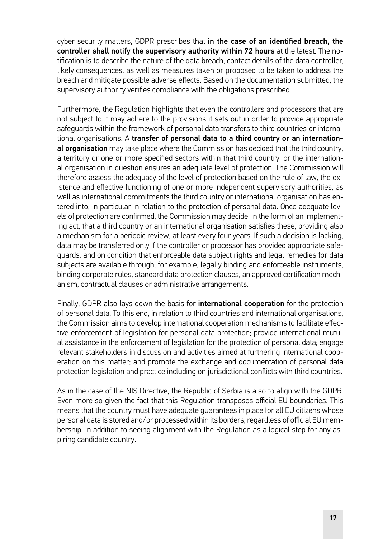cyber security matters, GDPR prescribes that in the case of an identified breach, the controller shall notify the supervisory authority within 72 hours at the latest. The notification is to describe the nature of the data breach, contact details of the data controller, likely consequences, as well as measures taken or proposed to be taken to address the breach and mitigate possible adverse effects. Based on the documentation submitted, the supervisory authority verifies compliance with the obligations prescribed.

Furthermore, the Regulation highlights that even the controllers and processors that are not subject to it may adhere to the provisions it sets out in order to provide appropriate safeguards within the framework of personal data transfers to third countries or international organisations. A transfer of personal data to a third country or an international organisation may take place where the Commission has decided that the third country, a territory or one or more specified sectors within that third country, or the international organisation in question ensures an adequate level of protection. The Commission will therefore assess the adequacy of the level of protection based on the rule of law, the existence and effective functioning of one or more independent supervisory authorities, as well as international commitments the third country or international organisation has entered into, in particular in relation to the protection of personal data. Once adequate levels of protection are confirmed, the Commission may decide, in the form of an implementing act, that a third country or an international organisation satisfies these, providing also a mechanism for a periodic review, at least every four years. If such a decision is lacking, data may be transferred only if the controller or processor has provided appropriate safeguards, and on condition that enforceable data subject rights and legal remedies for data subjects are available through, for example, legally binding and enforceable instruments, binding corporate rules, standard data protection clauses, an approved certification mechanism, contractual clauses or administrative arrangements.

Finally, GDPR also lays down the basis for **international cooperation** for the protection of personal data. To this end, in relation to third countries and international organisations, the Commission aims to develop international cooperation mechanisms to facilitate effective enforcement of legislation for personal data protection; provide international mutual assistance in the enforcement of legislation for the protection of personal data; engage relevant stakeholders in discussion and activities aimed at furthering international cooperation on this matter; and promote the exchange and documentation of personal data protection legislation and practice including on jurisdictional conflicts with third countries.

As in the case of the NIS Directive, the Republic of Serbia is also to align with the GDPR. Even more so given the fact that this Regulation transposes official EU boundaries. This means that the country must have adequate guarantees in place for all EU citizens whose personal data is stored and/or processed within its borders, regardless of official EU membership, in addition to seeing alignment with the Regulation as a logical step for any aspiring candidate country.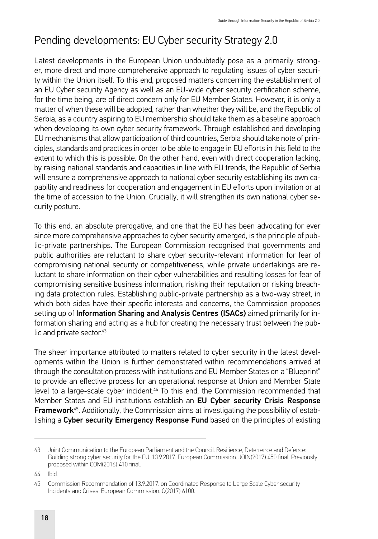#### <span id="page-31-0"></span>Pending developments: EU Cyber security Strategy 2.0

Latest developments in the European Union undoubtedly pose as a primarily stronger, more direct and more comprehensive approach to regulating issues of cyber security within the Union itself. To this end, proposed matters concerning the establishment of an EU Cyber security Agency as well as an EU-wide cyber security certification scheme, for the time being, are of direct concern only for EU Member States. However, it is only a matter of when these will be adopted, rather than whether they will be, and the Republic of Serbia, as a country aspiring to EU membership should take them as a baseline approach when developing its own cyber security framework. Through established and developing EU mechanisms that allow participation of third countries, Serbia should take note of principles, standards and practices in order to be able to engage in EU efforts in this field to the extent to which this is possible. On the other hand, even with direct cooperation lacking, by raising national standards and capacities in line with EU trends, the Republic of Serbia will ensure a comprehensive approach to national cyber security establishing its own capability and readiness for cooperation and engagement in EU efforts upon invitation or at the time of accession to the Union. Crucially, it will strengthen its own national cyber security posture.

To this end, an absolute prerogative, and one that the EU has been advocating for ever since more comprehensive approaches to cyber security emerged, is the principle of public-private partnerships. The European Commission recognised that governments and public authorities are reluctant to share cyber security-relevant information for fear of compromising national security or competitiveness, while private undertakings are reluctant to share information on their cyber vulnerabilities and resulting losses for fear of compromising sensitive business information, risking their reputation or risking breaching data protection rules. Establishing public-private partnership as a two-way street, in which both sides have their specific interests and concerns, the Commission proposes setting up of Information Sharing and Analysis Centres (ISACs) aimed primarily for information sharing and acting as a hub for creating the necessary trust between the public and private sector.<sup>43</sup>

The sheer importance attributed to matters related to cyber security in the latest developments within the Union is further demonstrated within recommendations arrived at through the consultation process with institutions and EU Member States on a "Blueprint" to provide an effective process for an operational response at Union and Member State level to a large-scale cyber incident.44 To this end, the Commission recommended that Member States and EU institutions establish an EU Cyber security Crisis Response Framework<sup>45</sup>. Additionally, the Commission aims at investigating the possibility of establishing a Cyber security Emergency Response Fund based on the principles of existing

44 Ibid.

<sup>43</sup> Joint Communication to the European Parliament and the Council. Resilience, Deterrence and Defence: Building strong cyber security for the EU. 13.9.2017. European Commission. JOIN(2017) 450 final. Previously proposed within COM(2016) 410 final.

<sup>45</sup> Commission Recommendation of 13.9.2017. on Coordinated Response to Large Scale Cyber security Incidents and Crises. European Commission. C(2017) 6100.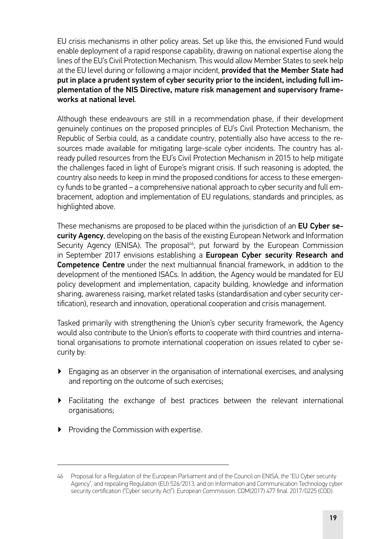EU crisis mechanisms in other policy areas. Set up like this, the envisioned Fund would enable deployment of a rapid response capability, drawing on national expertise along the lines of the EU's Civil Protection Mechanism. This would allow Member States to seek help at the EU level during or following a major incident, **provided that the Member State had** put in place a prudent system of cyber security prior to the incident, including full implementation of the NIS Directive, mature risk management and supervisory frameworks at national level.

Although these endeavours are still in a recommendation phase, if their development genuinely continues on the proposed principles of EU's Civil Protection Mechanism, the Republic of Serbia could, as a candidate country, potentially also have access to the resources made available for mitigating large-scale cyber incidents. The country has already pulled resources from the EU's Civil Protection Mechanism in 2015 to help mitigate the challenges faced in light of Europe's migrant crisis. If such reasoning is adopted, the country also needs to keep in mind the proposed conditions for access to these emergency funds to be granted – a comprehensive national approach to cyber security and full embracement, adoption and implementation of EU regulations, standards and principles, as highlighted above.

These mechanisms are proposed to be placed within the jurisdiction of an EU Cyber security Agency, developing on the basis of the existing European Network and Information Security Agency (ENISA). The proposal<sup>46</sup>, put forward by the European Commission in September 2017 envisions establishing a European Cyber security Research and Competence Centre under the next multiannual financial framework, in addition to the development of the mentioned ISACs. In addition, the Agency would be mandated for EU policy development and implementation, capacity building, knowledge and information sharing, awareness raising, market related tasks (standardisation and cyber security certification), research and innovation, operational cooperation and crisis management.

Tasked primarily with strengthening the Union's cyber security framework, the Agency would also contribute to the Union's efforts to cooperate with third countries and international organisations to promote international cooperation on issues related to cyber security by:

- ▶ Engaging as an observer in the organisation of international exercises, and analysing and reporting on the outcome of such exercises;
- ▶ Facilitating the exchange of best practices between the relevant international organisations;
- ▶ Providing the Commission with expertise.

<sup>46</sup> Proposal for a Regulation of the European Parliament and of the Council on ENISA, the "EU Cyber security Agency", and repealing Regulation (EU) 526/2013, and on Information and Communication Technology cyber security certification ("Cyber security Act"). European Commission. COM(2017) 477 final. 2017/0225 (COD).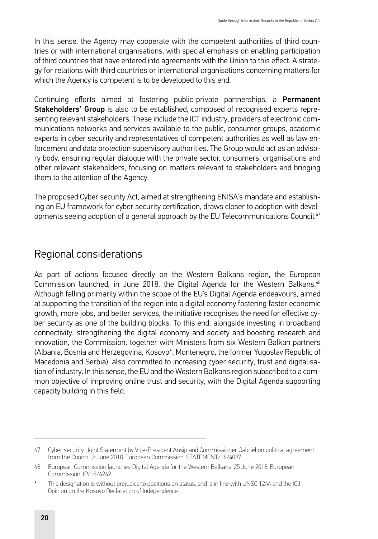<span id="page-33-0"></span>In this sense, the Agency may cooperate with the competent authorities of third countries or with international organisations, with special emphasis on enabling participation of third countries that have entered into agreements with the Union to this effect. A strategy for relations with third countries or international organisations concerning matters for which the Agency is competent is to be developed to this end.

Continuing efforts aimed at fostering public-private partnerships, a Permanent Stakeholders' Group is also to be established, composed of recognised experts representing relevant stakeholders. These include the ICT industry, providers of electronic communications networks and services available to the public, consumer groups, academic experts in cyber security and representatives of competent authorities as well as law enforcement and data protection supervisory authorities. The Group would act as an advisory body, ensuring regular dialogue with the private sector, consumers' organisations and other relevant stakeholders, focusing on matters relevant to stakeholders and bringing them to the attention of the Agency.

The proposed Cyber security Act, aimed at strengthening ENISA's mandate and establishing an EU framework for cyber security certification, draws closer to adoption with developments seeing adoption of a general approach by the EU Telecommunications Council.<sup>47</sup>

#### Regional considerations

As part of actions focused directly on the Western Balkans region, the European Commission launched, in June 2018, the Digital Agenda for the Western Balkans.<sup>48</sup> Although falling primarily within the scope of the EU's Digital Agenda endeavours, aimed at supporting the transition of the region into a digital economy fostering faster economic growth, more jobs, and better services, the initiative recognises the need for effective cyber security as one of the building blocks. To this end, alongside investing in broadband connectivity, strengthening the digital economy and society and boosting research and innovation, the Commission, together with Ministers from six Western Balkan partners (Albania, Bosnia and Herzegovina, Kosovo\*, Montenegro, the former Yugoslav Republic of Macedonia and Serbia), also committed to increasing cyber security, trust and digitalisation of industry. In this sense, the EU and the Western Balkans region subscribed to a common objective of improving online trust and security, with the Digital Agenda supporting capacity building in this field.

<sup>47</sup> Cyber security: Joint Statement by Vice-President Ansip and Commissioner Gabriel on political agreement from the Council. 8 June 2018. European Commission. STATEMENT/18/4097.

<sup>48</sup> European Commission launches Digital Agenda for the Western Balkans. 25 June 2018. European Commission. IP/18/4242.

This designation is without prejudice to positions on status, and is in line with UNSC 1244 and the ICJ Opinion on the Kosovo Declaration of Independence.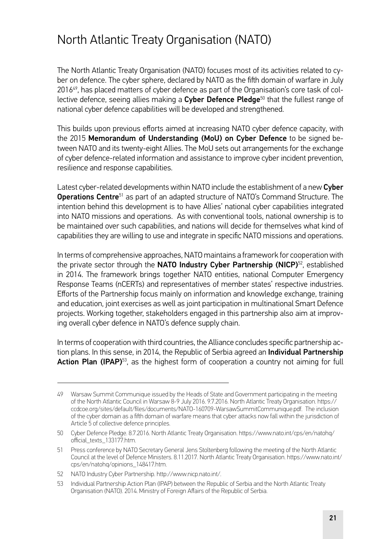### <span id="page-34-0"></span>North Atlantic Treaty Organisation (NATO)

The North Atlantic Treaty Organisation (NATO) focuses most of its activities related to cyber on defence. The cyber sphere, declared by NATO as the fifth domain of warfare in July 201649, has placed matters of cyber defence as part of the Organisation's core task of collective defence, seeing allies making a Cyber Defence Pledge $50$  that the fullest range of national cyber defence capabilities will be developed and strengthened.

This builds upon previous efforts aimed at increasing NATO cyber defence capacity, with the 2015 Memorandum of Understanding (MoU) on Cyber Defence to be signed between NATO and its twenty-eight Allies. The MoU sets out arrangements for the exchange of cyber defence-related information and assistance to improve cyber incident prevention, resilience and response capabilities.

Latest cyber-related developments within NATO include the establishment of a new Cyber Operations Centre<sup>51</sup> as part of an adapted structure of NATO's Command Structure. The intention behind this development is to have Allies' national cyber capabilities integrated into NATO missions and operations. As with conventional tools, national ownership is to be maintained over such capabilities, and nations will decide for themselves what kind of capabilities they are willing to use and integrate in specific NATO missions and operations.

In terms of comprehensive approaches, NATO maintains a framework for cooperation with the private sector through the NATO Industry Cyber Partnership (NICP)<sup>52</sup>, established in 2014. The framework brings together NATO entities, national Computer Emergency Response Teams (nCERTs) and representatives of member states' respective industries. Efforts of the Partnership focus mainly on information and knowledge exchange, training and education, joint exercises as well as joint participation in multinational Smart Defence projects. Working together, stakeholders engaged in this partnership also aim at improving overall cyber defence in NATO's defence supply chain.

In terms of cooperation with third countries, the Alliance concludes specific partnership action plans. In this sense, in 2014, the Republic of Serbia agreed an **Individual Partnership** Action Plan (IPAP)<sup>53</sup>, as the highest form of cooperation a country not aiming for full

<sup>49</sup> Warsaw Summit Communique issued by the Heads of State and Government participating in the meeting of the North Atlantic Council in Warsaw 8-9 July 2016. 9.7.2016. North Atlantic Treaty Organisation. [https://](https://ccdcoe.org/sites/default/files/documents/NATO-160709-WarsawSummitCommunique.pdf) [ccdcoe.org/sites/default/files/documents/NATO-160709-WarsawSummitCommunique.pdf](https://ccdcoe.org/sites/default/files/documents/NATO-160709-WarsawSummitCommunique.pdf). The inclusion of the cyber domain as a fifth domain of warfare means that cyber attacks now fall within the jurisdiction of Article 5 of collective defence principles.

<sup>50</sup> Cyber Defence Pledge. 8.7.2016. North Atlantic Treaty Organisation. [https://www.nato.int/cps/en/natohq/](https://www.nato.int/cps/en/natohq/official_texts_133177.htm) [official\\_texts\\_133177.htm](https://www.nato.int/cps/en/natohq/official_texts_133177.htm).

<sup>51</sup> Press conference by NATO Secretary General Jens Stoltenberg following the meeting of the North Atlantic Council at the level of Defence Ministers. 8.11.2017. North Atlantic Treaty Organisation. [https://www.nato.int/](https://www.nato.int/cps/en/natohq/opinions_148417.htm) [cps/en/natohq/opinions\\_148417.htm](https://www.nato.int/cps/en/natohq/opinions_148417.htm).

<sup>52</sup> NATO Industry Cyber Partnership. [http://www.nicp.nato.int/.](http://www.nicp.nato.int/)

<sup>53</sup> Individual Partnership Action Plan (IPAP) between the Republic of Serbia and the North Atlantic Treaty Organisation (NATO). 2014. Ministry of Foreign Affairs of the Republic of Serbia.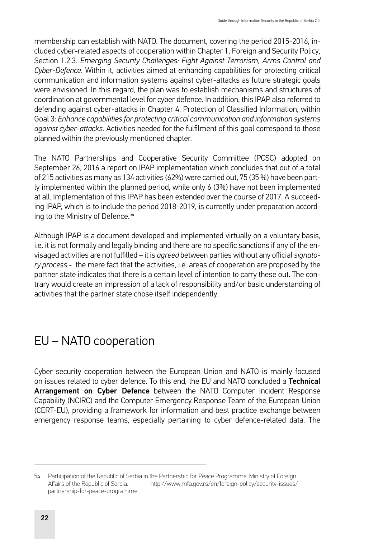<span id="page-35-0"></span>membership can establish with NATO. The document, covering the period 2015-2016, included cyber-related aspects of cooperation within Chapter 1, Foreign and Security Policy, Section 1.2.3. *Emerging Security Challenges: Fight Against Terrorism, Arms Control and Cyber-Defence*. Within it, activities aimed at enhancing capabilities for protecting critical communication and information systems against cyber-attacks as future strategic goals were envisioned. In this regard, the plan was to establish mechanisms and structures of coordination at governmental level for cyber defence. In addition, this IPAP also referred to defending against cyber-attacks in Chapter 4, Protection of Classified Information, within Goal 3: *Enhance capabilities for protecting critical communication and information systems against cyber-attacks*. Activities needed for the fulfilment of this goal correspond to those planned within the previously mentioned chapter.

The NATO Partnerships and Cooperative Security Committee (PCSC) adopted on September 26, 2016 a report on IPAP implementation which concludes that out of a total of 215 activities as many as 134 activities (62%) were carried out, 75 (35 %) have been partly implemented within the planned period, while only 6 (3%) have not been implemented at all. Implementation of this IPAP has been extended over the course of 2017. A succeeding IPAP, which is to include the period 2018-2019, is currently under preparation according to the Ministry of Defence.<sup>54</sup>

Although IPAP is a document developed and implemented virtually on a voluntary basis, i.e. it is not formally and legally binding and there are no specific sanctions if any of the envisaged activities are not fulfilled – it is *agreed* between parties without any official *signatory process* - the mere fact that the activities, i.e. areas of cooperation are proposed by the partner state indicates that there is a certain level of intention to carry these out. The contrary would create an impression of a lack of responsibility and/or basic understanding of activities that the partner state chose itself independently.

### EU – NATO cooperation

Cyber security cooperation between the European Union and NATO is mainly focused on issues related to cyber defence. To this end, the EU and NATO concluded a Technical Arrangement on Cyber Defence between the NATO Computer Incident Response Capability (NCIRC) and the Computer Emergency Response Team of the European Union (CERT-EU), providing a framework for information and best practice exchange between emergency response teams, especially pertaining to cyber defence-related data. The

<sup>54</sup> Participation of the Republic of Serbia in the Partnership for Peace Programme. Ministry of Foreign<br>Affairs of the Republic of Serbia http://www.mfa.gov.rs/en/foreign-policy/security-issues/ [http://www.mfa.gov.rs/en/foreign-policy/security-issues/](http://www.mfa.gov.rs/en/foreign-policy/security-issues/partnership-for-peace-programme) [partnership-for-peace-programme](http://www.mfa.gov.rs/en/foreign-policy/security-issues/partnership-for-peace-programme).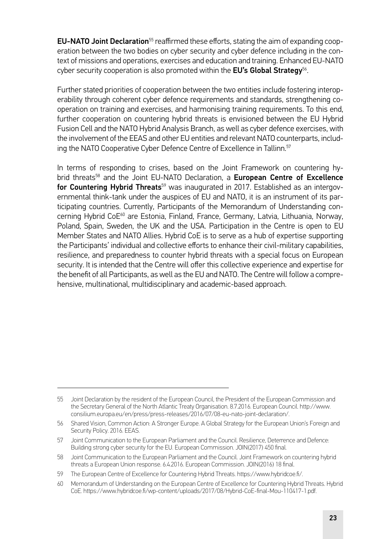**EU-NATO Joint Declaration**<sup>55</sup> reaffirmed these efforts, stating the aim of expanding cooperation between the two bodies on cyber security and cyber defence including in the context of missions and operations, exercises and education and training. Enhanced EU-NATO cyber security cooperation is also promoted within the EU's Global Strategy<sup>56</sup>.

Further stated priorities of cooperation between the two entities include fostering interoperability through coherent cyber defence requirements and standards, strengthening cooperation on training and exercises, and harmonising training requirements. To this end, further cooperation on countering hybrid threats is envisioned between the EU Hybrid Fusion Cell and the NATO Hybrid Analysis Branch, as well as cyber defence exercises, with the involvement of the EEAS and other EU entities and relevant NATO counterparts, including the NATO Cooperative Cyber Defence Centre of Excellence in Tallinn.<sup>57</sup>

In terms of responding to crises, based on the Joint Framework on countering hybrid threats<sup>58</sup> and the Joint EU-NATO Declaration, a **European Centre of Excellence** for Countering Hybrid Threats<sup>59</sup> was inaugurated in 2017. Established as an intergovernmental think-tank under the auspices of EU and NATO, it is an instrument of its participating countries. Currently, Participants of the Memorandum of Understanding concerning Hybrid CoE<sup>60</sup> are Estonia, Finland, France, Germany, Latvia, Lithuania, Norway, Poland, Spain, Sweden, the UK and the USA. Participation in the Centre is open to EU Member States and NATO Allies. Hybrid CoE is to serve as a hub of expertise supporting the Participants' individual and collective efforts to enhance their civil-military capabilities, resilience, and preparedness to counter hybrid threats with a special focus on European security. It is intended that the Centre will offer this collective experience and expertise for the benefit of all Participants, as well as the EU and NATO. The Centre will follow a comprehensive, multinational, multidisciplinary and academic-based approach.

<sup>55</sup> Joint Declaration by the resident of the European Council, the President of the European Commission and the Secretary General of the North Atlantic Treaty Organisation. 8.7.2016. European Council. [http://www.](http://www.consilium.europa.eu/en/press/press-releases/2016/07/08-eu-nato-joint-declaration/) [consilium.europa.eu/en/press/press-releases/2016/07/08-eu-nato-joint-declaration/](http://www.consilium.europa.eu/en/press/press-releases/2016/07/08-eu-nato-joint-declaration/).

<sup>56</sup> Shared Vision, Common Action: A Stronger Europe. A Global Strategy for the European Union's Foreign and Security Policy. 2016. EEAS.

<sup>57</sup> Joint Communication to the European Parliament and the Council. Resilience, Deterrence and Defence: Building strong cyber security for the EU. European Commission. JOIN(2017) 450 final.

<sup>58</sup> Joint Communication to the European Parliament and the Council. Joint Framework on countering hybrid threats a European Union response. 6.4.2016. European Commission. JOIN(2016) 18 final.

<sup>59</sup> The European Centre of Excellence for Countering Hybrid Threats. [https://www.hybridcoe.fi/.](https://www.hybridcoe.fi/)

<sup>60</sup> Memorandum of Understanding on the European Centre of Excellence for Countering Hybrid Threats. Hybrid CoE. [https://www.hybridcoe.fi/wp-content/uploads/2017/08/Hybrid-CoE-final-Mou-110417-1.pdf.](https://www.hybridcoe.fi/wp-content/uploads/2017/08/Hybrid-CoE-final-Mou-110417-1.pdf)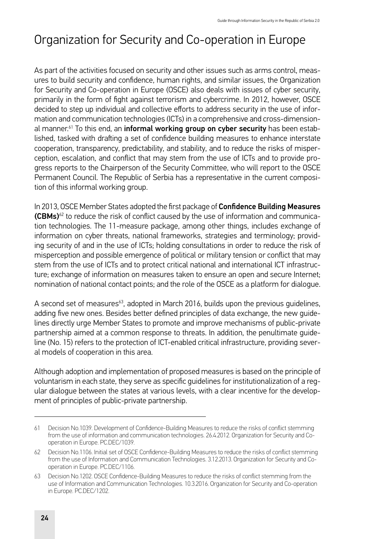# Organization for Security and Co-operation in Europe

As part of the activities focused on security and other issues such as arms control, measures to build security and confidence, human rights, and similar issues, the Organization for Security and Co-operation in Europe (OSCE) also deals with issues of cyber security, primarily in the form of fight against terrorism and cybercrime. In 2012, however, OSCE decided to step up individual and collective efforts to address security in the use of information and communication technologies (ICTs) in a comprehensive and cross-dimensional manner.<sup>61</sup> To this end, an informal working group on cyber security has been established, tasked with drafting a set of confidence building measures to enhance interstate cooperation, transparency, predictability, and stability, and to reduce the risks of misperception, escalation, and conflict that may stem from the use of ICTs and to provide progress reports to the Chairperson of the Security Committee, who will report to the OSCE Permanent Council. The Republic of Serbia has a representative in the current composition of this informal working group.

In 2013, OSCE Member States adopted the first package of Confidence Building Measures  $(CBMs)^{62}$  to reduce the risk of conflict caused by the use of information and communication technologies. The 11-measure package, among other things, includes exchange of information on cyber threats, national frameworks, strategies and terminology; providing security of and in the use of ICTs; holding consultations in order to reduce the risk of misperception and possible emergence of political or military tension or conflict that may stem from the use of ICTs and to protect critical national and international ICT infrastructure; exchange of information on measures taken to ensure an open and secure Internet; nomination of national contact points; and the role of the OSCE as a platform for dialogue.

A second set of measures $63$ , adopted in March 2016, builds upon the previous quidelines, adding five new ones. Besides better defined principles of data exchange, the new guidelines directly urge Member States to promote and improve mechanisms of public-private partnership aimed at a common response to threats. In addition, the penultimate guideline (No. 15) refers to the protection of ICT-enabled critical infrastructure, providing several models of cooperation in this area.

Although adoption and implementation of proposed measures is based on the principle of voluntarism in each state, they serve as specific guidelines for institutionalization of a regular dialogue between the states at various levels, with a clear incentive for the development of principles of public-private partnership.

<sup>61</sup> Decision No.1039. Development of Confidence-Building Measures to reduce the risks of conflict stemming from the use of information and communication technologies. 26.4.2012. Organization for Security and Cooperation in Europe. PC.DEC/1039.

<sup>62</sup> Decision No.1106. Initial set of OSCE Confidence-Building Measures to reduce the risks of conflict stemming from the use of Information and Communication Technologies. 3.12.2013. Organization for Security and Cooperation in Europe. PC.DEC/1106.

<sup>63</sup> Decision No.1202. OSCE Confidence-Building Measures to reduce the risks of conflict stemming from the use of Information and Communication Technologies. 10.3.2016. Organization for Security and Co-operation in Europe. PC.DEC/1202.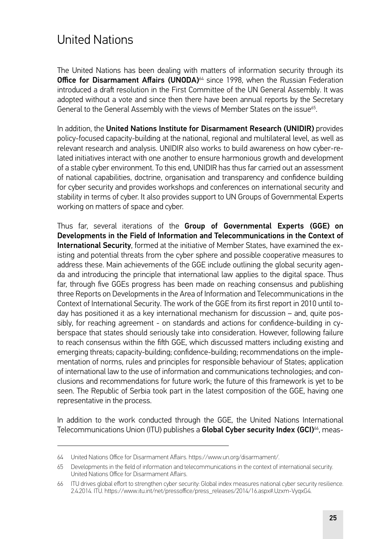### United Nations

The United Nations has been dealing with matters of information security through its **Office for Disarmament Affairs (UNODA)** $64$  since 1998, when the Russian Federation introduced a draft resolution in the First Committee of the UN General Assembly. It was adopted without a vote and since then there have been annual reports by the Secretary General to the General Assembly with the views of Member States on the issue<sup>65</sup>.

In addition, the United Nations Institute for Disarmament Research (UNIDIR) provides policy-focused capacity-building at the national, regional and multilateral level, as well as relevant research and analysis. UNIDIR also works to build awareness on how cyber-related initiatives interact with one another to ensure harmonious growth and development of a stable cyber environment. To this end, UNIDIR has thus far carried out an assessment of national capabilities, doctrine, organisation and transparency and confidence building for cyber security and provides workshops and conferences on international security and stability in terms of cyber. It also provides support to UN Groups of Governmental Experts working on matters of space and cyber.

Thus far, several iterations of the Group of Governmental Experts (GGE) on Developments in the Field of Information and Telecommunications in the Context of **International Security**, formed at the initiative of Member States, have examined the existing and potential threats from the cyber sphere and possible cooperative measures to address these. Main achievements of the GGE include outlining the global security agenda and introducing the principle that international law applies to the digital space. Thus far, through five GGEs progress has been made on reaching consensus and publishing three Reports on Developments in the Area of Information and Telecommunications in the Context of International Security. The work of the GGE from its first report in 2010 until today has positioned it as a key international mechanism for discussion – and, quite possibly, for reaching agreement - on standards and actions for confidence-building in cyberspace that states should seriously take into consideration. However, following failure to reach consensus within the fifth GGE, which discussed matters including existing and emerging threats; capacity-building; confidence-building; recommendations on the implementation of norms, rules and principles for responsible behaviour of States; application of international law to the use of information and communications technologies; and conclusions and recommendations for future work; the future of this framework is yet to be seen. The Republic of Serbia took part in the latest composition of the GGE, having one representative in the process.

In addition to the work conducted through the GGE, the United Nations International Telecommunications Union (ITU) publishes a Global Cyber security Index (GCI)<sup>66</sup>, meas-

<sup>64</sup> United Nations Office for Disarmament Affairs. [https://www.un.org/disarmament/.](https://www.un.org/disarmament/)

<sup>65</sup> Developments in the field of information and telecommunications in the context of international security. United Nations Office for Disarmament Affairs.

<sup>66</sup> ITU drives global effort to strengthen cyber security: Global index measures national cyber security resilience. 2.4.2014. ITU. https://www.itu.int/net/pressoffice/press\_releases/2014/16.aspx#.Uzxm-VyqxG4.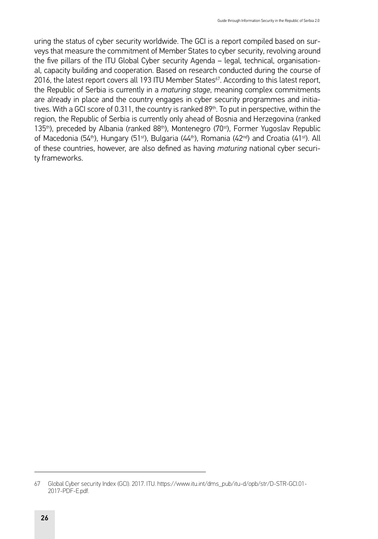uring the status of cyber security worldwide. The GCI is a report compiled based on surveys that measure the commitment of Member States to cyber security, revolving around the five pillars of the ITU Global Cyber security Agenda – legal, technical, organisational, capacity building and cooperation. Based on research conducted during the course of 2016, the latest report covers all 193 ITU Member States<sup>67</sup>. According to this latest report, the Republic of Serbia is currently in a *maturing stage*, meaning complex commitments are already in place and the country engages in cyber security programmes and initiatives. With a GCI score of 0.311, the country is ranked 89<sup>th</sup>. To put in perspective, within the region, the Republic of Serbia is currently only ahead of Bosnia and Herzegovina (ranked 135<sup>th</sup>), preceded by Albania (ranked 88<sup>th</sup>), Montenegro (70<sup>st</sup>), Former Yugoslav Republic of Macedonia (54<sup>th</sup>), Hungary (51<sup>st</sup>), Bulgaria (44<sup>th</sup>), Romania (42<sup>nd</sup>) and Croatia (41<sup>st</sup>). All of these countries, however, are also defined as having *maturing* national cyber security frameworks.

<sup>67</sup> Global Cyber security Index (GCI). 2017. ITU. [https://www.itu.int/dms\\_pub/itu-d/opb/str/D-STR-GCI.01-](https://www.itu.int/dms_pub/itu-d/opb/str/D-STR-GCI.01-2017-PDF-E.pdf) [2017-PDF-E.pdf](https://www.itu.int/dms_pub/itu-d/opb/str/D-STR-GCI.01-2017-PDF-E.pdf).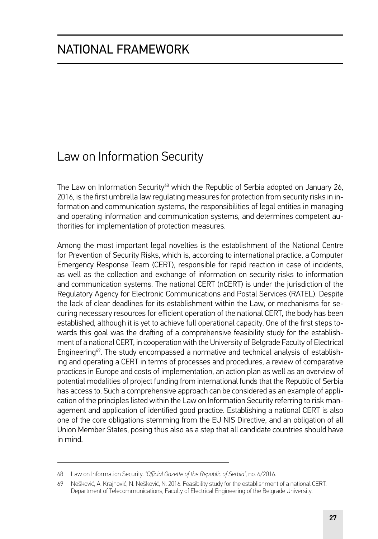### Law on Information Security

The Law on Information Security<sup>68</sup> which the Republic of Serbia adopted on January 26, 2016, is the first umbrella law regulating measures for protection from security risks in information and communication systems, the responsibilities of legal entities in managing and operating information and communication systems, and determines competent authorities for implementation of protection measures.

Among the most important legal novelties is the establishment of the National Centre for Prevention of Security Risks, which is, according to international practice, a Computer Emergency Response Team (CERT), responsible for rapid reaction in case of incidents, as well as the collection and exchange of information on security risks to information and communication systems. The national CERT (nCERT) is under the jurisdiction of the Regulatory Agency for Electronic Communications and Postal Services (RATEL). Despite the lack of clear deadlines for its establishment within the Law, or mechanisms for securing necessary resources for efficient operation of the national CERT, the body has been established, although it is yet to achieve full operational capacity. One of the first steps towards this goal was the drafting of a comprehensive feasibility study for the establishment of a national CERT, in cooperation with the University of Belgrade Faculty of Electrical Engineering<sup>69</sup>. The study encompassed a normative and technical analysis of establishing and operating a CERT in terms of processes and procedures, a review of comparative practices in Europe and costs of implementation, an action plan as well as an overview of potential modalities of project funding from international funds that the Republic of Serbia has access to. Such a comprehensive approach can be considered as an example of application of the principles listed within the Law on Information Security referring to risk management and application of identified good practice. Establishing a national CERT is also one of the core obligations stemming from the EU NIS Directive, and an obligation of all Union Member States, posing thus also as a step that all candidate countries should have in mind.

<sup>68</sup> Law on Information Security. *"Official Gazette of the Republic of Serbia"*, no. 6/2016.

<sup>69</sup> Nešković, A. Krajnović, N. Nešković, N. 2016. Feasibility study for the establishment of a national CERT. Department of Telecommunications, Faculty of Electrical Engineering of the Belgrade University.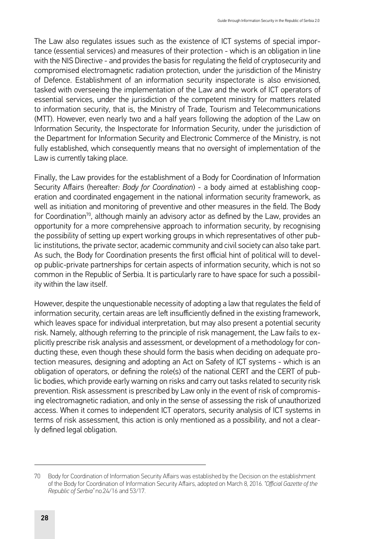The Law also regulates issues such as the existence of ICT systems of special importance (essential services) and measures of their protection - which is an obligation in line with the NIS Directive - and provides the basis for regulating the field of cryptosecurity and compromised electromagnetic radiation protection, under the jurisdiction of the Ministry of Defence. Establishment of an information security inspectorate is also envisioned, tasked with overseeing the implementation of the Law and the work of ICT operators of essential services, under the jurisdiction of the competent ministry for matters related to information security, that is, the Ministry of Trade, Tourism and Telecommunications (MTT). However, even nearly two and a half years following the adoption of the Law on Information Security, the Inspectorate for Information Security, under the jurisdiction of the Department for Information Security and Electronic Commerce of the Ministry, is not fully established, which consequently means that no oversight of implementation of the Law is currently taking place.

Finally, the Law provides for the establishment of a Body for Coordination of Information Security Affairs (hereafter*: Body for Coordination*) - a body aimed at establishing cooperation and coordinated engagement in the national information security framework, as well as initiation and monitoring of preventive and other measures in the field. The Body for Coordination<sup>70</sup>, although mainly an advisory actor as defined by the Law, provides an opportunity for a more comprehensive approach to information security, by recognising the possibility of setting up expert working groups in which representatives of other public institutions, the private sector, academic community and civil society can also take part. As such, the Body for Coordination presents the first official hint of political will to develop public-private partnerships for certain aspects of information security, which is not so common in the Republic of Serbia. It is particularly rare to have space for such a possibility within the law itself.

However, despite the unquestionable necessity of adopting a law that regulates the field of information security, certain areas are left insufficiently defined in the existing framework, which leaves space for individual interpretation, but may also present a potential security risk. Namely, although referring to the principle of risk management, the Law fails to explicitly prescribe risk analysis and assessment, or development of a methodology for conducting these, even though these should form the basis when deciding on adequate protection measures, designing and adopting an Act on Safety of ICT systems - which is an obligation of operators, or defining the role(s) of the national CERT and the CERT of public bodies, which provide early warning on risks and carry out tasks related to security risk prevention. Risk assessment is prescribed by Law only in the event of risk of compromising electromagnetic radiation, and only in the sense of assessing the risk of unauthorized access. When it comes to independent ICT operators, security analysis of ICT systems in terms of risk assessment, this action is only mentioned as a possibility, and not a clearly defined legal obligation.

<sup>70</sup> Body for Coordination of Information Security Affairs was established by the Decision on the establishment of the Body for Coordination of Information Security Affairs, adopted on March 8, 2016. *"Official Gazette of the Republic of Serbia"* no.24/16 and 53/17.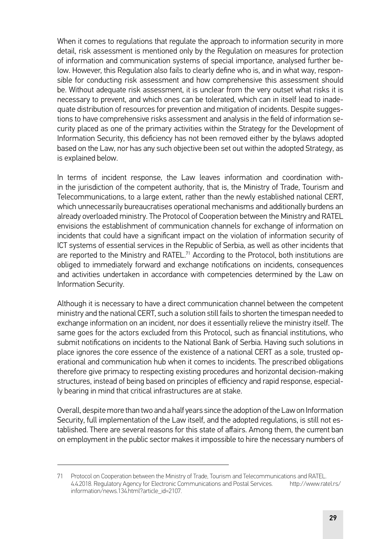When it comes to regulations that regulate the approach to information security in more detail, risk assessment is mentioned only by the Regulation on measures for protection of information and communication systems of special importance, analysed further below. However, this Regulation also fails to clearly define who is, and in what way, responsible for conducting risk assessment and how comprehensive this assessment should be. Without adequate risk assessment, it is unclear from the very outset what risks it is necessary to prevent, and which ones can be tolerated, which can in itself lead to inadequate distribution of resources for prevention and mitigation of incidents. Despite suggestions to have comprehensive risks assessment and analysis in the field of information security placed as one of the primary activities within the Strategy for the Development of Information Security, this deficiency has not been removed either by the bylaws adopted based on the Law, nor has any such objective been set out within the adopted Strategy, as is explained below.

In terms of incident response, the Law leaves information and coordination within the jurisdiction of the competent authority, that is, the Ministry of Trade, Tourism and Telecommunications, to a large extent, rather than the newly established national CERT, which unnecessarily bureaucratises operational mechanisms and additionally burdens an already overloaded ministry. The Protocol of Cooperation between the Ministry and RATEL envisions the establishment of communication channels for exchange of information on incidents that could have a significant impact on the violation of information security of ICT systems of essential services in the Republic of Serbia, as well as other incidents that are reported to the Ministry and RATEL.<sup>71</sup> According to the Protocol, both institutions are obliged to immediately forward and exchange notifications on incidents, consequences and activities undertaken in accordance with competencies determined by the Law on Information Security.

Although it is necessary to have a direct communication channel between the competent ministry and the national CERT, such a solution still fails to shorten the timespan needed to exchange information on an incident, nor does it essentially relieve the ministry itself. The same goes for the actors excluded from this Protocol, such as financial institutions, who submit notifications on incidents to the National Bank of Serbia. Having such solutions in place ignores the core essence of the existence of a national CERT as a sole, trusted operational and communication hub when it comes to incidents. The prescribed obligations therefore give primacy to respecting existing procedures and horizontal decision-making structures, instead of being based on principles of efficiency and rapid response, especially bearing in mind that critical infrastructures are at stake.

Overall, despite more than two and a half years since the adoption of the Law on Information Security, full implementation of the Law itself, and the adopted regulations, is still not established. There are several reasons for this state of affairs. Among them, the current ban on employment in the public sector makes it impossible to hire the necessary numbers of

<sup>71</sup> Protocol on Cooperation between the Ministry of Trade, Tourism and Telecommunications and RATEL. 4.4.2018. Regulatory Agency for Electronic Communications and Postal Services. [http://www.ratel.rs/](http://www.ratel.rs/information/news.134.html?article_id=2107) [information/news.134.html?article\\_id=2107.](http://www.ratel.rs/information/news.134.html?article_id=2107)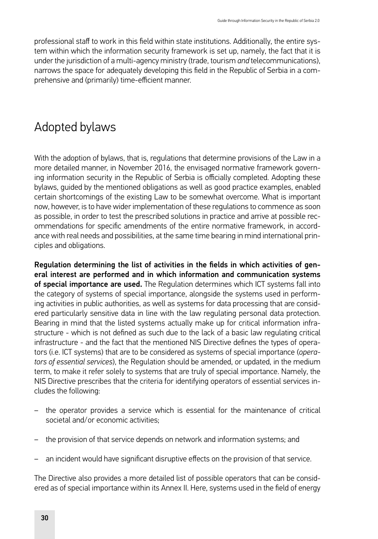professional staff to work in this field within state institutions. Additionally, the entire system within which the information security framework is set up, namely, the fact that it is under the jurisdiction of a multi-agency ministry (trade, tourism *and* telecommunications), narrows the space for adequately developing this field in the Republic of Serbia in a comprehensive and (primarily) time-efficient manner.

### Adopted bylaws

With the adoption of bylaws, that is, regulations that determine provisions of the Law in a more detailed manner, in November 2016, the envisaged normative framework governing information security in the Republic of Serbia is officially completed. Adopting these bylaws, guided by the mentioned obligations as well as good practice examples, enabled certain shortcomings of the existing Law to be somewhat overcome. What is important now, however, is to have wider implementation of these regulations to commence as soon as possible, in order to test the prescribed solutions in practice and arrive at possible recommendations for specific amendments of the entire normative framework, in accordance with real needs and possibilities, at the same time bearing in mind international principles and obligations.

Regulation determining the list of activities in the fields in which activities of general interest are performed and in which information and communication systems of special importance are used. The Regulation determines which ICT systems fall into the category of systems of special importance, alongside the systems used in performing activities in public authorities, as well as systems for data processing that are considered particularly sensitive data in line with the law regulating personal data protection. Bearing in mind that the listed systems actually make up for critical information infrastructure - which is not defined as such due to the lack of a basic law regulating critical infrastructure - and the fact that the mentioned NIS Directive defines the types of operators (i.e. ICT systems) that are to be considered as systems of special importance (*operators of essential services*), the Regulation should be amended, or updated, in the medium term, to make it refer solely to systems that are truly of special importance. Namely, the NIS Directive prescribes that the criteria for identifying operators of essential services includes the following:

- the operator provides a service which is essential for the maintenance of critical societal and/or economic activities;
- the provision of that service depends on network and information systems; and
- an incident would have significant disruptive effects on the provision of that service.

The Directive also provides a more detailed list of possible operators that can be considered as of special importance within its Annex II. Here, systems used in the field of energy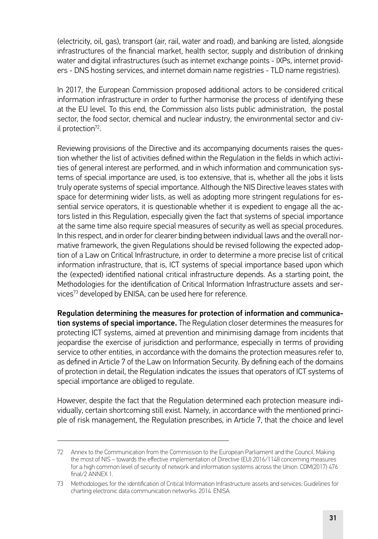(electricity, oil, gas), transport (air, rail, water and road), and banking are listed, alongside infrastructures of the financial market, health sector, supply and distribution of drinking water and digital infrastructures (such as internet exchange points - IXPs, internet providers - DNS hosting services, and internet domain name registries - TLD name registries).

In 2017, the European Commission proposed additional actors to be considered critical information infrastructure in order to further harmonise the process of identifying these at the EU level. To this end, the Commission also lists public administration, the postal sector, the food sector, chemical and nuclear industry, the environmental sector and civil protection<sup>72</sup>.

Reviewing provisions of the Directive and its accompanying documents raises the question whether the list of activities defined within the Regulation in the fields in which activities of general interest are performed, and in which information and communication systems of special importance are used, is too extensive, that is, whether all the jobs it lists truly operate systems of special importance. Although the NIS Directive leaves states with space for determining wider lists, as well as adopting more stringent regulations for essential service operators, it is questionable whether it is expedient to engage all the actors listed in this Regulation, especially given the fact that systems of special importance at the same time also require special measures of security as well as special procedures. In this respect, and in order for clearer binding between individual laws and the overall normative framework, the given Regulations should be revised following the expected adoption of a Law on Critical Infrastructure, in order to determine a more precise list of critical information infrastructure, that is, ICT systems of special importance based upon which the (expected) identified national critical infrastructure depends. As a starting point, the Methodologies for the identification of Critical Information Infrastructure assets and services73 developed by ENISA, can be used here for reference.

Regulation determining the measures for protection of information and communication systems of special importance. The Regulation closer determines the measures for protecting ICT systems, aimed at prevention and minimising damage from incidents that jeopardise the exercise of jurisdiction and performance, especially in terms of providing service to other entities, in accordance with the domains the protection measures refer to, as defined in Article 7 of the Law on Information Security. By defining each of the domains of protection in detail, the Regulation indicates the issues that operators of ICT systems of special importance are obliged to regulate.

However, despite the fact that the Regulation determined each protection measure individually, certain shortcoming still exist. Namely, in accordance with the mentioned principle of risk management, the Regulation prescribes, in Article 7, that the choice and level

<sup>72</sup> Annex to the Communication from the Commission to the European Parliament and the Council. Making the most of NIS – towards the effective implementation of Directive (EU) 2016/1148 concerning measures for a high common level of security of network and information systems across the Union. COM(2017) 476 final/2 ANNEX 1.

<sup>73</sup> Methodologies for the identification of Critical Information Infrastructure assets and services: Guidelines for charting electronic data communication networks. 2014. ENISA.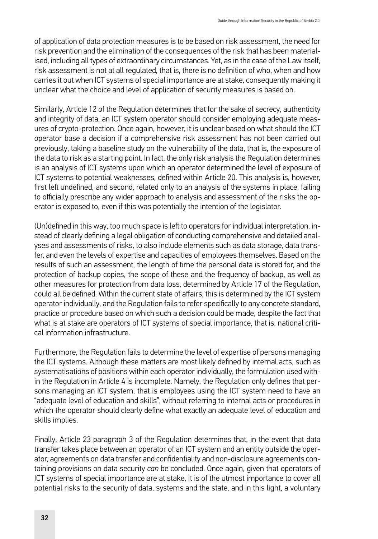of application of data protection measures is to be based on risk assessment, the need for risk prevention and the elimination of the consequences of the risk that has been materialised, including all types of extraordinary circumstances. Yet, as in the case of the Law itself, risk assessment is not at all regulated, that is, there is no definition of who, when and how carries it out when ICT systems of special importance are at stake, consequently making it unclear what the choice and level of application of security measures is based on.

Similarly, Article 12 of the Regulation determines that for the sake of secrecy, authenticity and integrity of data, an ICT system operator should consider employing adequate measures of crypto-protection. Once again, however, it is unclear based on what should the ICT operator base a decision if a comprehensive risk assessment has not been carried out previously, taking a baseline study on the vulnerability of the data, that is, the exposure of the data to risk as a starting point. In fact, the only risk analysis the Regulation determines is an analysis of ICT systems upon which an operator determined the level of exposure of ICT systems to potential weaknesses, defined within Article 20. This analysis is, however, first left undefined, and second, related only to an analysis of the systems in place, failing to officially prescribe any wider approach to analysis and assessment of the risks the operator is exposed to, even if this was potentially the intention of the legislator.

(Un)defined in this way, too much space is left to operators for individual interpretation, instead of clearly defining a legal obligation of conducting comprehensive and detailed analyses and assessments of risks, to also include elements such as data storage, data transfer, and even the levels of expertise and capacities of employees themselves. Based on the results of such an assessment, the length of time the personal data is stored for, and the protection of backup copies, the scope of these and the frequency of backup, as well as other measures for protection from data loss, determined by Article 17 of the Regulation, could all be defined. Within the current state of affairs, this is determined by the ICT system operator individually, and the Regulation fails to refer specifically to any concrete standard, practice or procedure based on which such a decision could be made, despite the fact that what is at stake are operators of ICT systems of special importance, that is, national critical information infrastructure.

Furthermore, the Regulation fails to determine the level of expertise of persons managing the ICT systems. Although these matters are most likely defined by internal acts, such as systematisations of positions within each operator individually, the formulation used within the Regulation in Article 4 is incomplete. Namely, the Regulation only defines that persons managing an ICT system, that is employees using the ICT system need to have an "adequate level of education and skills", without referring to internal acts or procedures in which the operator should clearly define what exactly an adequate level of education and skills implies.

Finally, Article 23 paragraph 3 of the Regulation determines that, in the event that data transfer takes place between an operator of an ICT system and an entity outside the operator, agreements on data transfer and confidentiality and non-disclosure agreements containing provisions on data security *can* be concluded. Once again, given that operators of ICT systems of special importance are at stake, it is of the utmost importance to cover all potential risks to the security of data, systems and the state, and in this light, a voluntary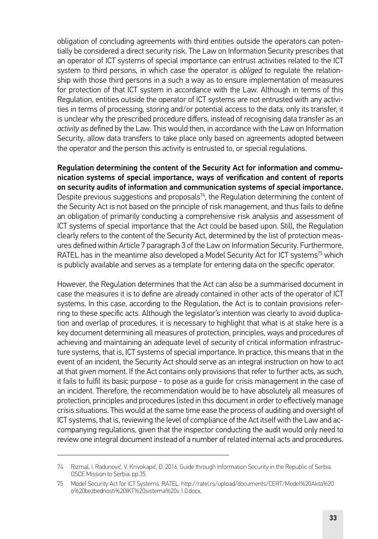obligation of concluding agreements with third entities outside the operators can potentially be considered a direct security risk. The Law on Information Security prescribes that an operator of ICT systems of special importance can entrust activities related to the ICT system to third persons, in which case the operator is *obliged* to regulate the relationship with those third persons in a such a way as to ensure implementation of measures for protection of that ICT system in accordance with the Law. Although in terms of this Regulation, entities outside the operator of ICT systems are not entrusted with any activities in terms of processing, storing and/or potential access to the data, only its transfer, it is unclear why the prescribed procedure differs, instead of recognising data transfer as an *activity* as defined by the Law. This would then, in accordance with the Law on Information Security, allow data transfers to take place only based on agreements adopted between the operator and the person this activity is entrusted to, or special regulations.

Regulation determining the content of the Security Act for information and communication systems of special importance, ways of verification and content of reports on security audits of information and communication systems of special importance. Despite previous suggestions and proposals $74$ , the Regulation determining the content of the Security Act is not based on the principle of risk management, and thus fails to define an obligation of primarily conducting a comprehensive risk analysis and assessment of ICT systems of special importance that the Act could be based upon. Still, the Regulation clearly refers to the content of the Security Act, determined by the list of protection measures defined within Article 7 paragraph 3 of the Law on Information Security. Furthermore, RATEL has in the meantime also developed a Model Security Act for ICT systems<sup>75</sup> which is publicly available and serves as a template for entering data on the specific operator.

However, the Regulation determines that the Act can also be a summarised document in case the measures it is to define are already contained in other acts of the operator of ICT systems. In this case, according to the Regulation, the Act is to contain provisions referring to these specific acts. Although the legislator's intention was clearly to avoid duplication and overlap of procedures, it is necessary to highlight that what is at stake here is a key document determining all measures of protection, principles, ways and procedures of achieving and maintaining an adequate level of security of critical information infrastructure systems, that is, ICT systems of special importance. In practice, this means that in the event of an incident, the Security Act should serve as an integral instruction on how to act at that given moment. If the Act contains only provisions that refer to further acts, as such, it fails to fulfil its basic purpose - to pose as a guide for crisis management in the case of an incident. Therefore, the recommendation would be to have absolutely all measures of protection, principles and procedures listed in this document in order to effectively manage crisis situations. This would at the same time ease the process of auditing and oversight of ICT systems, that is, reviewing the level of compliance of the Act itself with the Law and accompanying regulations, given that the inspector conducting the audit would only need to review one integral document instead of a number of related internal acts and procedures.

<sup>74</sup> Rizmal, I. Radunović, V. Krivokapić, Đ. 2016. Guide through Information Security in the Republic of Serbia. OSCE Mission to Serbia. pp.35.

<sup>75</sup> Model Security Act for ICT Systems. RATEL. [http://ratel.rs/upload/documents/CERT/Model%20Akta%20](http://ratel.rs/upload/documents/CERT/Model%20Akta%20o%20bezbednosti%20IKT%20sistema%20v.1.0.docx) [o%20bezbednosti%20IKT%20sistema%20v.1.0.docx](http://ratel.rs/upload/documents/CERT/Model%20Akta%20o%20bezbednosti%20IKT%20sistema%20v.1.0.docx).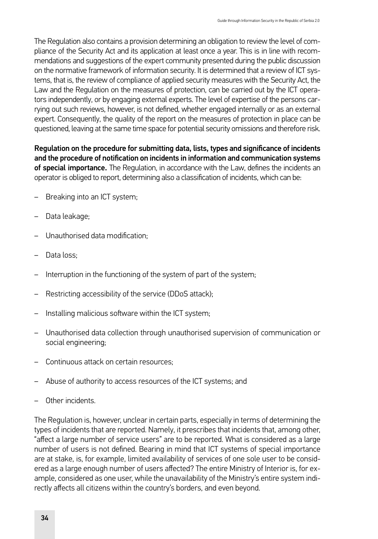The Regulation also contains a provision determining an obligation to review the level of compliance of the Security Act and its application at least once a year. This is in line with recommendations and suggestions of the expert community presented during the public discussion on the normative framework of information security. It is determined that a review of ICT systems, that is, the review of compliance of applied security measures with the Security Act, the Law and the Regulation on the measures of protection, can be carried out by the ICT operators independently, or by engaging external experts. The level of expertise of the persons carrying out such reviews, however, is not defined, whether engaged internally or as an external expert. Consequently, the quality of the report on the measures of protection in place can be questioned, leaving at the same time space for potential security omissions and therefore risk.

Regulation on the procedure for submitting data, lists, types and significance of incidents and the procedure of notification on incidents in information and communication systems of special importance. The Regulation, in accordance with the Law, defines the incidents an operator is obliged to report, determining also a classification of incidents, which can be:

- Breaking into an ICT system;
- Data leakage;
- Unauthorised data modification;
- Data loss:
- Interruption in the functioning of the system of part of the system;
- Restricting accessibility of the service (DDoS attack);
- Installing malicious software within the ICT system;
- Unauthorised data collection through unauthorised supervision of communication or social engineering;
- Continuous attack on certain resources;
- Abuse of authority to access resources of the ICT systems; and
- Other incidents.

The Regulation is, however, unclear in certain parts, especially in terms of determining the types of incidents that are reported. Namely, it prescribes that incidents that, among other, "affect a large number of service users" are to be reported. What is considered as a large number of users is not defined. Bearing in mind that ICT systems of special importance are at stake, is, for example, limited availability of services of one sole user to be considered as a large enough number of users affected? The entire Ministry of Interior is, for example, considered as one user, while the unavailability of the Ministry's entire system indirectly affects all citizens within the country's borders, and even beyond.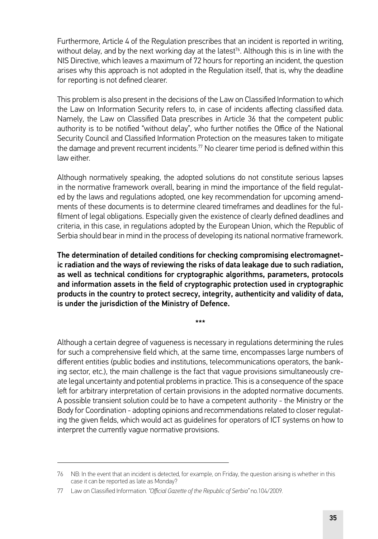Furthermore, Article 4 of the Regulation prescribes that an incident is reported in writing, without delay, and by the next working day at the latest<sup>76</sup>. Although this is in line with the NIS Directive, which leaves a maximum of 72 hours for reporting an incident, the question arises why this approach is not adopted in the Regulation itself, that is, why the deadline for reporting is not defined clearer.

This problem is also present in the decisions of the Law on Classified Information to which the Law on Information Security refers to, in case of incidents affecting classified data. Namely, the Law on Classified Data prescribes in Article 36 that the competent public authority is to be notified "without delay", who further notifies the Office of the National Security Council and Classified Information Protection on the measures taken to mitigate the damage and prevent recurrent incidents.77 No clearer time period is defined within this law either.

Although normatively speaking, the adopted solutions do not constitute serious lapses in the normative framework overall, bearing in mind the importance of the field regulated by the laws and regulations adopted, one key recommendation for upcoming amendments of these documents is to determine cleared timeframes and deadlines for the fulfilment of legal obligations. Especially given the existence of clearly defined deadlines and criteria, in this case, in regulations adopted by the European Union, which the Republic of Serbia should bear in mind in the process of developing its national normative framework.

The determination of detailed conditions for checking compromising electromagnetic radiation and the ways of reviewing the risks of data leakage due to such radiation, as well as technical conditions for cryptographic algorithms, parameters, protocols and information assets in the field of cryptographic protection used in cryptographic products in the country to protect secrecy, integrity, authenticity and validity of data, is under the jurisdiction of the Ministry of Defence.

\*\*\*

Although a certain degree of vagueness is necessary in regulations determining the rules for such a comprehensive field which, at the same time, encompasses large numbers of different entities (public bodies and institutions, telecommunications operators, the banking sector, etc.), the main challenge is the fact that vague provisions simultaneously create legal uncertainty and potential problems in practice. This is a consequence of the space left for arbitrary interpretation of certain provisions in the adopted normative documents. A possible transient solution could be to have a competent authority - the Ministry or the Body for Coordination - adopting opinions and recommendations related to closer regulating the given fields, which would act as guidelines for operators of ICT systems on how to interpret the currently vague normative provisions.

<sup>76</sup> NB: In the event that an incident is detected, for example, on Friday, the question arising is whether in this case it can be reported as late as Monday?

<sup>77</sup> Law on Classified Information. *"Official Gazette of the Republic of Serbia"* no.104/2009.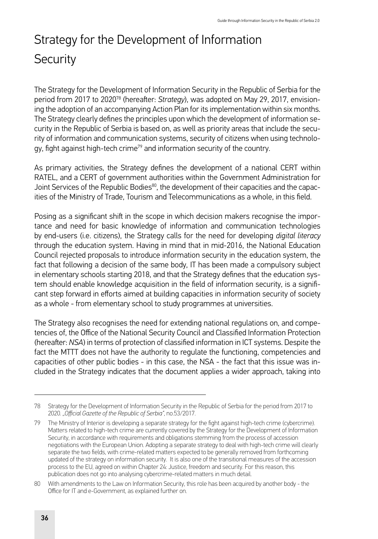# Strategy for the Development of Information **Security**

The Strategy for the Development of Information Security in the Republic of Serbia for the period from 2017 to 202078 (hereafter: *Strategy*), was adopted on May 29, 2017, envisioning the adoption of an accompanying Action Plan for its implementation within six months. The Strategy clearly defines the principles upon which the development of information security in the Republic of Serbia is based on, as well as priority areas that include the security of information and communication systems, security of citizens when using technology, fight against high-tech crime<sup>79</sup> and information security of the country.

As primary activities, the Strategy defines the development of a national CERT within RATEL, and a CERT of government authorities within the Government Administration for Joint Services of the Republic Bodies $^{80}$ , the development of their capacities and the capacities of the Ministry of Trade, Tourism and Telecommunications as a whole, in this field.

Posing as a significant shift in the scope in which decision makers recognise the importance and need for basic knowledge of information and communication technologies by end-users (i.e. citizens), the Strategy calls for the need for developing *digital literacy* through the education system. Having in mind that in mid-2016, the National Education Council rejected proposals to introduce information security in the education system, the fact that following a decision of the same body, IT has been made a compulsory subject in elementary schools starting 2018, and that the Strategy defines that the education system should enable knowledge acquisition in the field of information security, is a significant step forward in efforts aimed at building capacities in information security of society as a whole - from elementary school to study programmes at universities.

The Strategy also recognises the need for extending national regulations on, and competencies of, the Office of the National Security Council and Classified Information Protection (hereafter: *NSA*) in terms of protection of classified information in ICT systems. Despite the fact the MTTT does not have the authority to regulate the functioning, competencies and capacities of other public bodies - in this case, the NSA - the fact that this issue was included in the Strategy indicates that the document applies a wider approach, taking into

<sup>78</sup> Strategy for the Development of Information Security in the Republic of Serbia for the period from 2017 to 2020. *"Official Gazette of the Republic of Serbia"*, no.53/2017.

<sup>79</sup> The Ministry of Interior is developing a separate strategy for the fight against high-tech crime (cybercrime). Matters related to high-tech crime are currently covered by the Strategy for the Development of Information Security, in accordance with requirements and obligations stemming from the process of accession negotiations with the European Union. Adopting a separate strategy to deal with high-tech crime will clearly separate the two fields, with crime-related matters expected to be generally removed from forthcoming updated of the strategy on information security. It is also one of the transitional measures of the accession process to the EU, agreed on within Chapter 24: Justice, freedom and security. For this reason, this publication does not go into analysing cybercrime-related matters in much detail.

<sup>80</sup> With amendments to the Law on Information Security, this role has been acquired by another body - the Office for IT and e-Government, as explained further on.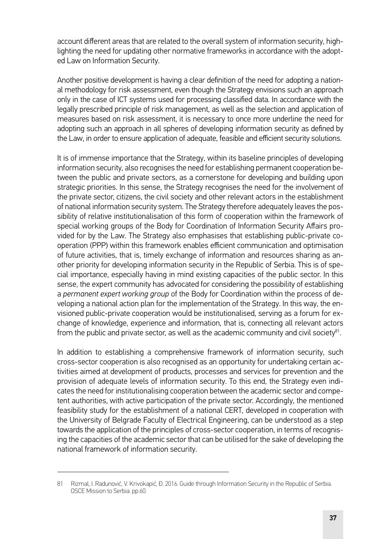account different areas that are related to the overall system of information security, highlighting the need for updating other normative frameworks in accordance with the adopted Law on Information Security.

Another positive development is having a clear definition of the need for adopting a national methodology for risk assessment, even though the Strategy envisions such an approach only in the case of ICT systems used for processing classified data. In accordance with the legally prescribed principle of risk management, as well as the selection and application of measures based on risk assessment, it is necessary to once more underline the need for adopting such an approach in all spheres of developing information security as defined by the Law, in order to ensure application of adequate, feasible and efficient security solutions.

It is of immense importance that the Strategy, within its baseline principles of developing information security, also recognises the need for establishing permanent cooperation between the public and private sectors, as a cornerstone for developing and building upon strategic priorities. In this sense, the Strategy recognises the need for the involvement of the private sector, citizens, the civil society and other relevant actors in the establishment of national information security system. The Strategy therefore adequately leaves the possibility of relative institutionalisation of this form of cooperation within the framework of special working groups of the Body for Coordination of Information Security Affairs provided for by the Law. The Strategy also emphasises that establishing public-private cooperation (PPP) within this framework enables efficient communication and optimisation of future activities, that is, timely exchange of information and resources sharing as another priority for developing information security in the Republic of Serbia. This is of special importance, especially having in mind existing capacities of the public sector. In this sense, the expert community has advocated for considering the possibility of establishing a *permanent expert working group* of the Body for Coordination within the process of developing a national action plan for the implementation of the Strategy. In this way, the envisioned public-private cooperation would be institutionalised, serving as a forum for exchange of knowledge, experience and information, that is, connecting all relevant actors from the public and private sector, as well as the academic community and civil society $81$ .

In addition to establishing a comprehensive framework of information security, such cross-sector cooperation is also recognised as an opportunity for undertaking certain activities aimed at development of products, processes and services for prevention and the provision of adequate levels of information security. To this end, the Strategy even indicates the need for institutionalising cooperation between the academic sector and competent authorities, with active participation of the private sector. Accordingly, the mentioned feasibility study for the establishment of a national CERT, developed in cooperation with the University of Belgrade Faculty of Electrical Engineering, can be understood as a step towards the application of the principles of cross-sector cooperation, in terms of recognising the capacities of the academic sector that can be utilised for the sake of developing the national framework of information security.

<sup>81</sup> Rizmal, I. Radunović, V. Krivokapić, Đ. 2016. Guide through Information Security in the Republic of Serbia. OSCE Mission to Serbia. pp.60.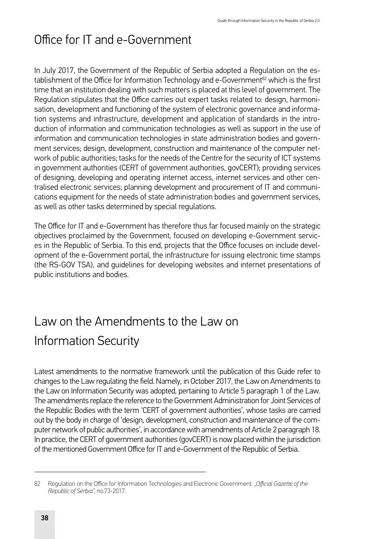# Office for IT and e-Government

In July 2017, the Government of the Republic of Serbia adopted a Regulation on the establishment of the Office for Information Technology and e-Government<sup>82</sup> which is the first time that an institution dealing with such matters is placed at this level of government. The Regulation stipulates that the Office carries out expert tasks related to: design, harmonisation, development and functioning of the system of electronic governance and information systems and infrastructure, development and application of standards in the introduction of information and communication technologies as well as support in the use of information and communication technologies in state administration bodies and government services; design, development, construction and maintenance of the computer network of public authorities; tasks for the needs of the Centre for the security of ICT systems in government authorities (CERT of government authorities, govCERT); providing services of designing, developing and operating internet access, internet services and other centralised electronic services; planning development and procurement of IT and communications equipment for the needs of state administration bodies and government services, as well as other tasks determined by special regulations.

The Office for IT and e-Government has therefore thus far focused mainly on the strategic objectives proclaimed by the Government, focused on developing e-Government services in the Republic of Serbia. To this end, projects that the Office focuses on include development of the e-Government portal, the infrastructure for issuing electronic time stamps (the RS-GOV TSA), and guidelines for developing websites and internet presentations of public institutions and bodies.

# Law on the Amendments to the Law on Information Security

Latest amendments to the normative framework until the publication of this Guide refer to changes to the Law regulating the field. Namely, in October 2017, the Law on Amendments to the Law on Information Security was adopted, pertaining to Article 5 paragraph 1 of the Law. The amendments replace the reference to the Government Administration for Joint Services of the Republic Bodies with the term 'CERT of government authorities', whose tasks are carried out by the body in charge of 'design, development, construction and maintenance of the computer network of public authorities', in accordance with amendments of Article 2 paragraph 18. In practice, the CERT of government authorities (govCERT) is now placed within the jurisdiction of the mentioned Government Office for IT and e-Government of the Republic of Serbia.

<sup>82</sup> Regulation on the Office for Information Technologies and Electronic Government. *"Official Gazette of the Republic of Serbia"*, no.73-2017.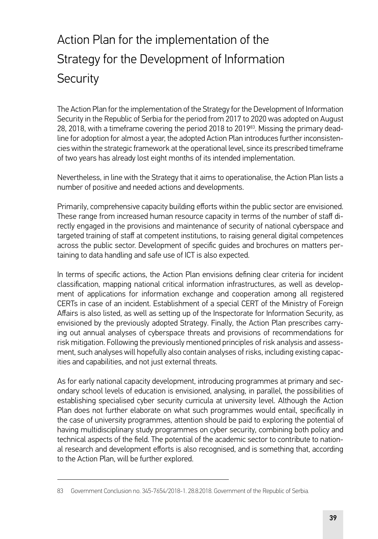# Action Plan for the implementation of the Strategy for the Development of Information **Security**

The Action Plan for the implementation of the Strategy for the Development of Information Security in the Republic of Serbia for the period from 2017 to 2020 was adopted on August 28, 2018, with a timeframe covering the period 2018 to 201983. Missing the primary deadline for adoption for almost a year, the adopted Action Plan introduces further inconsistencies within the strategic framework at the operational level, since its prescribed timeframe of two years has already lost eight months of its intended implementation.

Nevertheless, in line with the Strategy that it aims to operationalise, the Action Plan lists a number of positive and needed actions and developments.

Primarily, comprehensive capacity building efforts within the public sector are envisioned. These range from increased human resource capacity in terms of the number of staff directly engaged in the provisions and maintenance of security of national cyberspace and targeted training of staff at competent institutions, to raising general digital competences across the public sector. Development of specific guides and brochures on matters pertaining to data handling and safe use of ICT is also expected.

In terms of specific actions, the Action Plan envisions defining clear criteria for incident classification, mapping national critical information infrastructures, as well as development of applications for information exchange and cooperation among all registered CERTs in case of an incident. Establishment of a special CERT of the Ministry of Foreign Affairs is also listed, as well as setting up of the Inspectorate for Information Security, as envisioned by the previously adopted Strategy. Finally, the Action Plan prescribes carrying out annual analyses of cyberspace threats and provisions of recommendations for risk mitigation. Following the previously mentioned principles of risk analysis and assessment, such analyses will hopefully also contain analyses of risks, including existing capacities and capabilities, and not just external threats.

As for early national capacity development, introducing programmes at primary and secondary school levels of education is envisioned, analysing, in parallel, the possibilities of establishing specialised cyber security curricula at university level. Although the Action Plan does not further elaborate on what such programmes would entail, specifically in the case of university programmes, attention should be paid to exploring the potential of having multidisciplinary study programmes on cyber security, combining both policy and technical aspects of the field. The potential of the academic sector to contribute to national research and development efforts is also recognised, and is something that, according to the Action Plan, will be further explored.

<sup>83</sup> Government Conclusion no. 345-7654/2018-1. 28.8.2018. Government of the Republic of Serbia.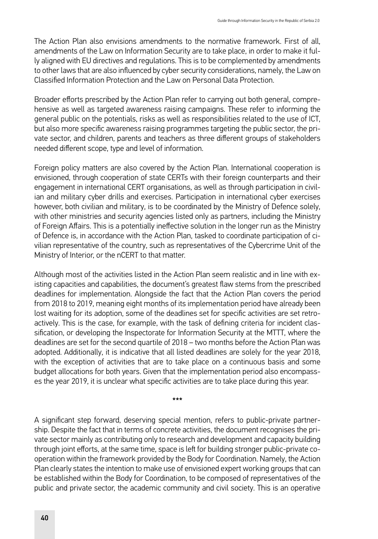The Action Plan also envisions amendments to the normative framework. First of all, amendments of the Law on Information Security are to take place, in order to make it fully aligned with EU directives and regulations. This is to be complemented by amendments to other laws that are also influenced by cyber security considerations, namely, the Law on Classified Information Protection and the Law on Personal Data Protection.

Broader efforts prescribed by the Action Plan refer to carrying out both general, comprehensive as well as targeted awareness raising campaigns. These refer to informing the general public on the potentials, risks as well as responsibilities related to the use of ICT, but also more specific awareness raising programmes targeting the public sector, the private sector, and children, parents and teachers as three different groups of stakeholders needed different scope, type and level of information.

Foreign policy matters are also covered by the Action Plan. International cooperation is envisioned, through cooperation of state CERTs with their foreign counterparts and their engagement in international CERT organisations, as well as through participation in civilian and military cyber drills and exercises. Participation in international cyber exercises however, both civilian and military, is to be coordinated by the Ministry of Defence solely, with other ministries and security agencies listed only as partners, including the Ministry of Foreign Affairs. This is a potentially ineffective solution in the longer run as the Ministry of Defence is, in accordance with the Action Plan, tasked to coordinate participation of civilian representative of the country, such as representatives of the Cybercrime Unit of the Ministry of Interior, or the nCERT to that matter.

Although most of the activities listed in the Action Plan seem realistic and in line with existing capacities and capabilities, the document's greatest flaw stems from the prescribed deadlines for implementation. Alongside the fact that the Action Plan covers the period from 2018 to 2019, meaning eight months of its implementation period have already been lost waiting for its adoption, some of the deadlines set for specific activities are set retroactively. This is the case, for example, with the task of defining criteria for incident classification, or developing the Inspectorate for Information Security at the MTTT, where the deadlines are set for the second quartile of 2018 – two months before the Action Plan was adopted. Additionally, it is indicative that all listed deadlines are solely for the year 2018, with the exception of activities that are to take place on a continuous basis and some budget allocations for both years. Given that the implementation period also encompasses the year 2019, it is unclear what specific activities are to take place during this year.

A significant step forward, deserving special mention, refers to public-private partnership. Despite the fact that in terms of concrete activities, the document recognises the private sector mainly as contributing only to research and development and capacity building through joint efforts, at the same time, space is left for building stronger public-private cooperation within the framework provided by the Body for Coordination. Namely, the Action Plan clearly states the intention to make use of envisioned expert working groups that can be established within the Body for Coordination, to be composed of representatives of the public and private sector, the academic community and civil society. This is an operative

\*\*\*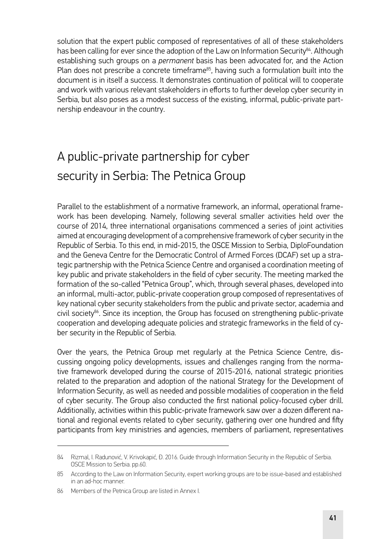solution that the expert public composed of representatives of all of these stakeholders has been calling for ever since the adoption of the Law on Information Security<sup>84</sup>. Although establishing such groups on a *permanent* basis has been advocated for, and the Action Plan does not prescribe a concrete timeframe<sup>85</sup>, having such a formulation built into the document is in itself a success. It demonstrates continuation of political will to cooperate and work with various relevant stakeholders in efforts to further develop cyber security in Serbia, but also poses as a modest success of the existing, informal, public-private partnership endeavour in the country.

# A public-private partnership for cyber security in Serbia: The Petnica Group

Parallel to the establishment of a normative framework, an informal, operational framework has been developing. Namely, following several smaller activities held over the course of 2014, three international organisations commenced a series of joint activities aimed at encouraging development of a comprehensive framework of cyber security in the Republic of Serbia. To this end, in mid-2015, the OSCE Mission to Serbia, DiploFoundation and the Geneva Centre for the Democratic Control of Armed Forces (DCAF) set up a strategic partnership with the Petnica Science Centre and organised a coordination meeting of key public and private stakeholders in the field of cyber security. The meeting marked the formation of the so-called "Petnica Group", which, through several phases, developed into an informal, multi-actor, public-private cooperation group composed of representatives of key national cyber security stakeholders from the public and private sector, academia and civil society<sup>86</sup>. Since its inception, the Group has focused on strengthening public-private cooperation and developing adequate policies and strategic frameworks in the field of cyber security in the Republic of Serbia.

Over the years, the Petnica Group met regularly at the Petnica Science Centre, discussing ongoing policy developments, issues and challenges ranging from the normative framework developed during the course of 2015-2016, national strategic priorities related to the preparation and adoption of the national Strategy for the Development of Information Security, as well as needed and possible modalities of cooperation in the field of cyber security. The Group also conducted the first national policy-focused cyber drill. Additionally, activities within this public-private framework saw over a dozen different national and regional events related to cyber security, gathering over one hundred and fifty participants from key ministries and agencies, members of parliament, representatives

<sup>84</sup> Rizmal, I. Radunović, V. Krivokapić, Đ. 2016. Guide through Information Security in the Republic of Serbia. OSCE Mission to Serbia. pp.60.

<sup>85</sup> According to the Law on Information Security, expert working groups are to be issue-based and established in an ad-hoc manner.

<sup>86</sup> Members of the Petnica Group are listed in Annex I.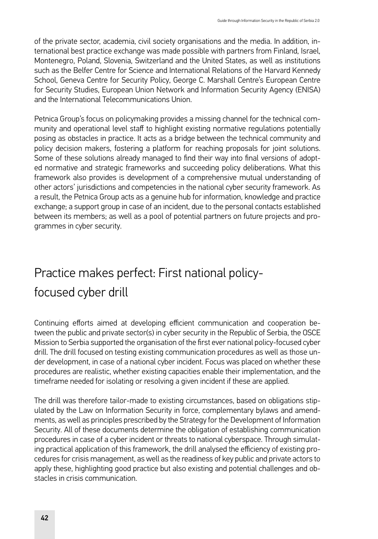of the private sector, academia, civil society organisations and the media. In addition, international best practice exchange was made possible with partners from Finland, Israel, Montenegro, Poland, Slovenia, Switzerland and the United States, as well as institutions such as the Belfer Centre for Science and International Relations of the Harvard Kennedy School, Geneva Centre for Security Policy, George C. Marshall Centre's European Centre for Security Studies, European Union Network and Information Security Agency (ENISA) and the International Telecommunications Union.

Petnica Group's focus on policymaking provides a missing channel for the technical community and operational level staff to highlight existing normative regulations potentially posing as obstacles in practice. It acts as a bridge between the technical community and policy decision makers, fostering a platform for reaching proposals for joint solutions. Some of these solutions already managed to find their way into final versions of adopted normative and strategic frameworks and succeeding policy deliberations. What this framework also provides is development of a comprehensive mutual understanding of other actors' jurisdictions and competencies in the national cyber security framework. As a result, the Petnica Group acts as a genuine hub for information, knowledge and practice exchange; a support group in case of an incident, due to the personal contacts established between its members; as well as a pool of potential partners on future projects and programmes in cyber security.

# Practice makes perfect: First national policyfocused cyber drill

Continuing efforts aimed at developing efficient communication and cooperation between the public and private sector(s) in cyber security in the Republic of Serbia, the OSCE Mission to Serbia supported the organisation of the first ever national policy-focused cyber drill. The drill focused on testing existing communication procedures as well as those under development, in case of a national cyber incident. Focus was placed on whether these procedures are realistic, whether existing capacities enable their implementation, and the timeframe needed for isolating or resolving a given incident if these are applied.

The drill was therefore tailor-made to existing circumstances, based on obligations stipulated by the Law on Information Security in force, complementary bylaws and amendments, as well as principles prescribed by the Strategy for the Development of Information Security. All of these documents determine the obligation of establishing communication procedures in case of a cyber incident or threats to national cyberspace. Through simulating practical application of this framework, the drill analysed the efficiency of existing procedures for crisis management, as well as the readiness of key public and private actors to apply these, highlighting good practice but also existing and potential challenges and obstacles in crisis communication.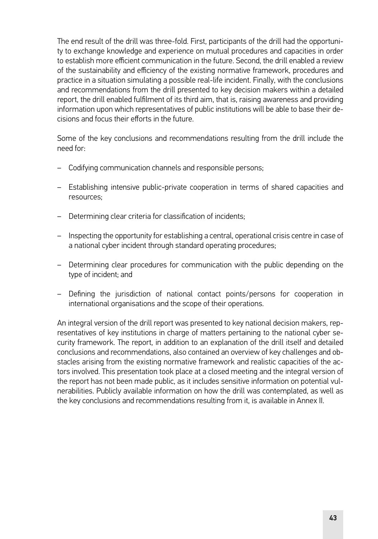The end result of the drill was three-fold. First, participants of the drill had the opportunity to exchange knowledge and experience on mutual procedures and capacities in order to establish more efficient communication in the future. Second, the drill enabled a review of the sustainability and efficiency of the existing normative framework, procedures and practice in a situation simulating a possible real-life incident. Finally, with the conclusions and recommendations from the drill presented to key decision makers within a detailed report, the drill enabled fulfilment of its third aim, that is, raising awareness and providing information upon which representatives of public institutions will be able to base their decisions and focus their efforts in the future.

Some of the key conclusions and recommendations resulting from the drill include the need for:

- Codifying communication channels and responsible persons;
- Establishing intensive public-private cooperation in terms of shared capacities and resources;
- Determining clear criteria for classification of incidents;
- Inspecting the opportunity for establishing a central, operational crisis centre in case of a national cyber incident through standard operating procedures;
- Determining clear procedures for communication with the public depending on the type of incident; and
- Defining the jurisdiction of national contact points/persons for cooperation in international organisations and the scope of their operations.

An integral version of the drill report was presented to key national decision makers, representatives of key institutions in charge of matters pertaining to the national cyber security framework. The report, in addition to an explanation of the drill itself and detailed conclusions and recommendations, also contained an overview of key challenges and obstacles arising from the existing normative framework and realistic capacities of the actors involved. This presentation took place at a closed meeting and the integral version of the report has not been made public, as it includes sensitive information on potential vulnerabilities. Publicly available information on how the drill was contemplated, as well as the key conclusions and recommendations resulting from it, is available in Annex II.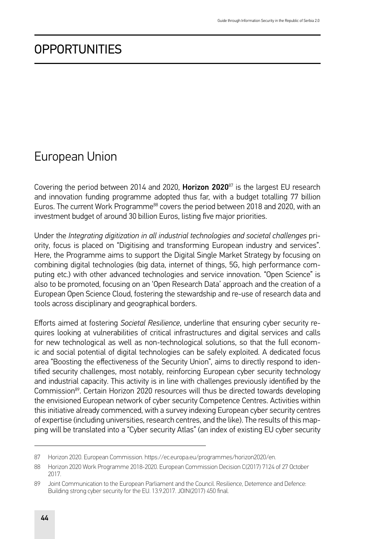## **OPPORTUNITIES**

### European Union

Covering the period between 2014 and 2020, **Horizon 2020**<sup>87</sup> is the largest EU research and innovation funding programme adopted thus far, with a budget totalling 77 billion Euros. The current Work Programme<sup>88</sup> covers the period between 2018 and 2020, with an investment budget of around 30 billion Euros, listing five major priorities.

Under the *Integrating digitization in all industrial technologies and societal challenges* priority, focus is placed on "Digitising and transforming European industry and services". Here, the Programme aims to support the Digital Single Market Strategy by focusing on combining digital technologies (big data, internet of things, 5G, high performance computing etc.) with other advanced technologies and service innovation. "Open Science" is also to be promoted, focusing on an 'Open Research Data' approach and the creation of a European Open Science Cloud, fostering the stewardship and re-use of research data and tools across disciplinary and geographical borders.

Efforts aimed at fostering *Societal Resilience*, underline that ensuring cyber security requires looking at vulnerabilities of critical infrastructures and digital services and calls for new technological as well as non-technological solutions, so that the full economic and social potential of digital technologies can be safely exploited. A dedicated focus area "Boosting the effectiveness of the Security Union", aims to directly respond to identified security challenges, most notably, reinforcing European cyber security technology and industrial capacity. This activity is in line with challenges previously identified by the Commission<sup>89</sup>. Certain Horizon 2020 resources will thus be directed towards developing the envisioned European network of cyber security Competence Centres. Activities within this initiative already commenced, with a survey indexing European cyber security centres of expertise (including universities, research centres, and the like). The results of this mapping will be translated into a "Cyber security Atlas" (an index of existing EU cyber security

<sup>87</sup> Horizon 2020. European Commission. [https://ec.europa.eu/programmes/horizon2020/en.](https://ec.europa.eu/programmes/horizon2020/en)

<sup>88</sup> Horizon 2020 Work Programme 2018-2020. European Commission Decision C(2017) 7124 of 27 October 2017.

<sup>89</sup> Joint Communication to the European Parliament and the Council. Resilience, Deterrence and Defence: Building strong cyber security for the EU. 13.9.2017. JOIN(2017) 450 final.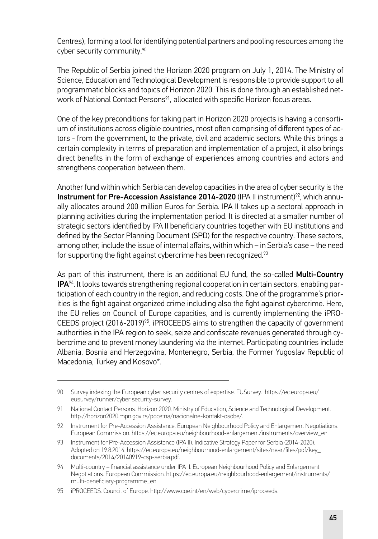Centres), forming a tool for identifying potential partners and pooling resources among the cyber security community.90

The Republic of Serbia joined the Horizon 2020 program on July 1, 2014. The Ministry of Science, Education and Technological Development is responsible to provide support to all programmatic blocks and topics of Horizon 2020. This is done through an established network of National Contact Persons<sup>91</sup>, allocated with specific Horizon focus areas.

One of the key preconditions for taking part in Horizon 2020 projects is having a consortium of institutions across eligible countries, most often comprising of different types of actors - from the government, to the private, civil and academic sectors. While this brings a certain complexity in terms of preparation and implementation of a project, it also brings direct benefits in the form of exchange of experiences among countries and actors and strengthens cooperation between them.

Another fund within which Serbia can develop capacities in the area of cyber security is the Instrument for Pre-Accession Assistance 2014-2020 (IPA II instrument)<sup>92</sup>, which annually allocates around 200 million Euros for Serbia. IPA II takes up a sectoral approach in planning activities during the implementation period. It is directed at a smaller number of strategic sectors identified by IPA II beneficiary countries together with EU institutions and defined by the Sector Planning Document (SPD) for the respective country. These sectors, among other, include the issue of internal affairs, within which – in Serbia's case – the need for supporting the fight against cybercrime has been recognized.<sup>93</sup>

As part of this instrument, there is an additional EU fund, the so-called **Multi-Country** IPA94. It looks towards strengthening regional cooperation in certain sectors, enabling participation of each country in the region, and reducing costs. One of the programme's priorities is the fight against organized crime including also the fight against cybercrime. Here, the EU relies on Council of Europe capacities, and is currently implementing the iPRO-CEEDS project (2016-2019)<sup>95</sup>. iPROCEEDS aims to strengthen the capacity of government authorities in the IPA region to seek, seize and confiscate revenues generated through cybercrime and to prevent money laundering via the internet. Participating countries include Albania, Bosnia and Herzegovina, Montenegro, Serbia, the Former Yugoslav Republic of Macedonia, Turkey and Kosovo\*.

<sup>90</sup> Survey indexing the European cyber security centres of expertise. EUSurvey. [https://ec.europa.eu/](https://ec.europa.eu/eusurvey/runner/cybersecurity-survey) [eusurvey/runner/cyber security-survey.](https://ec.europa.eu/eusurvey/runner/cybersecurity-survey)

<sup>91</sup> National Contact Persons. Horizon 2020. Ministry of Education, Science and Technological Development. [http://horizon2020.mpn.gov.rs/pocetna/nacionalne-kontakt-osobe/.](http://horizon2020.mpn.gov.rs/pocetna/nacionalne-kontakt-osobe/)

<sup>92</sup> Instrument for Pre-Accession Assistance. European Neighbourhood Policy and Enlargement Negotiations. European Commission. [https://ec.europa.eu/neighbourhood-enlargement/instruments/overview\\_en.](https://ec.europa.eu/neighbourhood-enlargement/instruments/overview_en)

<sup>93</sup> Instrument for Pre-Accession Assistance (IPA II). Indicative Strategy Paper for Serbia (2014-2020). Adopted on 19.8.2014. [https://ec.europa.eu/neighbourhood-enlargement/sites/near/files/pdf/key\\_](https://ec.europa.eu/neighbourhood-enlargement/sites/near/files/pdf/key_documents/2014/20140919-csp-serbia.pdf) [documents/2014/20140919-csp-serbia.pdf.](https://ec.europa.eu/neighbourhood-enlargement/sites/near/files/pdf/key_documents/2014/20140919-csp-serbia.pdf)

<sup>94</sup> Multi-country – financial assistance under IPA II. European Neighbourhood Policy and Enlargement Negotiations. European Commission. [https://ec.europa.eu/neighbourhood-enlargement/instruments/](https://ec.europa.eu/neighbourhood-enlargement/instruments/multi-beneficiary-programme_en) [multi-beneficiary-programme\\_en.](https://ec.europa.eu/neighbourhood-enlargement/instruments/multi-beneficiary-programme_en)

<sup>95</sup> iPROCEEDS. Council of Europe.<http://www.coe.int/en/web/cybercrime/iproceeds>.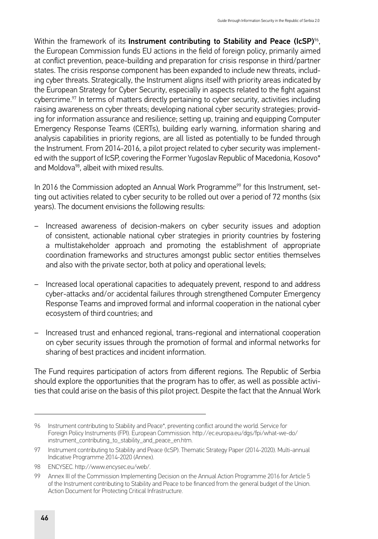Within the framework of its Instrument contributing to Stability and Peace (IcSP)%. the European Commission funds EU actions in the field of foreign policy, primarily aimed at conflict prevention, peace-building and preparation for crisis response in third/partner states. The crisis response component has been expanded to include new threats, including cyber threats. Strategically, the Instrument aligns itself with priority areas indicated by the European Strategy for Cyber Security, especially in aspects related to the fight against cybercrime.97 In terms of matters directly pertaining to cyber security, activities including raising awareness on cyber threats; developing national cyber security strategies; providing for information assurance and resilience; setting up, training and equipping Computer Emergency Response Teams (CERTs), building early warning, information sharing and analysis capabilities in priority regions, are all listed as potentially to be funded through the Instrument. From 2014-2016, a pilot project related to cyber security was implemented with the support of IcSP, covering the Former Yugoslav Republic of Macedonia, Kosovo\* and Moldova<sup>98</sup>, albeit with mixed results.

In 2016 the Commission adopted an Annual Work Programme<sup>99</sup> for this Instrument, setting out activities related to cyber security to be rolled out over a period of 72 months (six years). The document envisions the following results:

- Increased awareness of decision-makers on cyber security issues and adoption of consistent, actionable national cyber strategies in priority countries by fostering a multistakeholder approach and promoting the establishment of appropriate coordination frameworks and structures amongst public sector entities themselves and also with the private sector, both at policy and operational levels;
- Increased local operational capacities to adequately prevent, respond to and address cyber-attacks and/or accidental failures through strengthened Computer Emergency Response Teams and improved formal and informal cooperation in the national cyber ecosystem of third countries; and
- Increased trust and enhanced regional, trans-regional and international cooperation on cyber security issues through the promotion of formal and informal networks for sharing of best practices and incident information.

The Fund requires participation of actors from different regions. The Republic of Serbia should explore the opportunities that the program has to offer, as well as possible activities that could arise on the basis of this pilot project. Despite the fact that the Annual Work

<sup>96</sup> Instrument contributing to Stability and Peace\*, preventing conflict around the world. Service for Foreign Policy Instruments (FPI). European Commission. [http://ec.europa.eu/dgs/fpi/what-we-do/](http://ec.europa.eu/dgs/fpi/what-we-do/instrument_contributing_to_stability_and_peace_en.htm) [instrument\\_contributing\\_to\\_stability\\_and\\_peace\\_en.htm](http://ec.europa.eu/dgs/fpi/what-we-do/instrument_contributing_to_stability_and_peace_en.htm).

<sup>97</sup> Instrument contributing to Stability and Peace (IcSP). Thematic Strategy Paper (2014-2020). Multi-annual Indicative Programme 2014-2020 (Annex).

<sup>98</sup> ENCYSEC. <http://www.encysec.eu/web/>.

<sup>99</sup> Annex III of the Commission Implementing Decision on the Annual Action Programme 2016 for Article 5 of the Instrument contributing to Stability and Peace to be financed from the general budget of the Union. Action Document for Protecting Critical Infrastructure.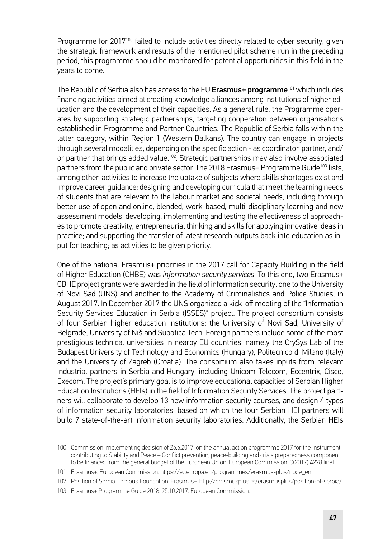Programme for 2017<sup>100</sup> failed to include activities directly related to cyber security, given the strategic framework and results of the mentioned pilot scheme run in the preceding period, this programme should be monitored for potential opportunities in this field in the years to come.

The Republic of Serbia also has access to the EU Erasmus+ programme<sup>101</sup> which includes financing activities aimed at creating knowledge alliances among institutions of higher education and the development of their capacities. As a general rule, the Programme operates by supporting strategic partnerships, targeting cooperation between organisations established in Programme and Partner Countries. The Republic of Serbia falls within the latter category, within Region 1 (Western Balkans). The country can engage in projects through several modalities, depending on the specific action - as coordinator, partner, and/ or partner that brings added value.102. Strategic partnerships may also involve associated partners from the public and private sector. The 2018 Erasmus+ Programme Guide<sup>103</sup> lists, among other, activities to increase the uptake of subjects where skills shortages exist and improve career guidance; designing and developing curricula that meet the learning needs of students that are relevant to the labour market and societal needs, including through better use of open and online, blended, work-based, multi-disciplinary learning and new assessment models; developing, implementing and testing the effectiveness of approaches to promote creativity, entrepreneurial thinking and skills for applying innovative ideas in practice; and supporting the transfer of latest research outputs back into education as input for teaching; as activities to be given priority.

One of the national Erasmus+ priorities in the 2017 call for Capacity Building in the field of Higher Education (CHBE) was *information security services*. To this end, two Erasmus+ CBHE project grants were awarded in the field of information security, one to the University of Novi Sad (UNS) and another to the Academy of Criminalistics and Police Studies, in August 2017. In December 2017 the UNS organized a kick-off meeting of the "Information Security Services Education in Serbia (ISSES)" project. The project consortium consists of four Serbian higher education institutions: the University of Novi Sad, University of Belgrade, University of Niš and Subotica Tech. Foreign partners include some of the most prestigious technical universities in nearby EU countries, namely the CrySys Lab of the Budapest University of Technology and Economics (Hungary), Politecnico di Milano (Italy) and the University of Zagreb (Croatia). The consortium also takes inputs from relevant industrial partners in Serbia and Hungary, including Unicom-Telecom, Eccentrix, Cisco, Execom. The project's primary goal is to improve educational capacities of Serbian Higher Education Institutions (HEIs) in the field of Information Security Services. The project partners will collaborate to develop 13 new information security courses, and design 4 types of information security laboratories, based on which the four Serbian HEI partners will build 7 state-of-the-art information security laboratories. Additionally, the Serbian HEIs

<sup>100</sup> Commission implementing decision of 26.6.2017. on the annual action programme 2017 for the Instrument contributing to Stability and Peace – Conflict prevention, peace-building and crisis preparedness component to be financed from the general budget of the European Union. European Commission. C(2017) 4278 final.

<sup>101</sup> Erasmus+. European Commission. [https://ec.europa.eu/programmes/erasmus-plus/node\\_en](https://ec.europa.eu/programmes/erasmus-plus/node_en).

<sup>102</sup> Position of Serbia. Tempus Foundation. Erasmus+. <http://erasmusplus.rs/erasmusplus/position-of-serbia/>.

<sup>103</sup> Erasmus+ Programme Guide 2018. 25.10.2017. European Commission.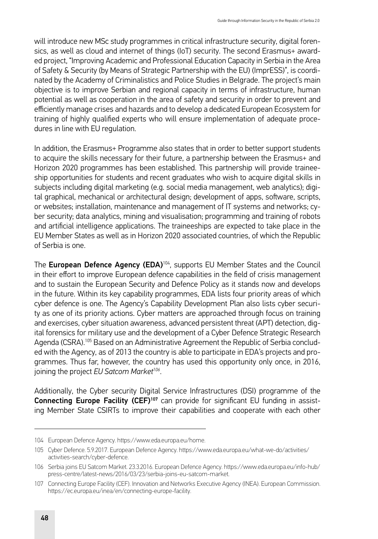will introduce new MSc study programmes in critical infrastructure security, digital forensics, as well as cloud and internet of things (IoT) security. The second Erasmus+ awarded project, "Improving Academic and Professional Education Capacity in Serbia in the Area of Safety & Security (by Means of Strategic Partnership with the EU) (ImprESS)", is coordinated by the Academy of Criminalistics and Police Studies in Belgrade. The project's main objective is to improve Serbian and regional capacity in terms of infrastructure, human potential as well as cooperation in the area of safety and security in order to prevent and efficiently manage crises and hazards and to develop a dedicated European Ecosystem for training of highly qualified experts who will ensure implementation of adequate procedures in line with EU regulation.

In addition, the Erasmus+ Programme also states that in order to better support students to acquire the skills necessary for their future, a partnership between the Erasmus+ and Horizon 2020 programmes has been established. This partnership will provide traineeship opportunities for students and recent graduates who wish to acquire digital skills in subjects including digital marketing (e.g. social media management, web analytics); digital graphical, mechanical or architectural design; development of apps, software, scripts, or websites; installation, maintenance and management of IT systems and networks; cyber security; data analytics, mining and visualisation; programming and training of robots and artificial intelligence applications. The traineeships are expected to take place in the EU Member States as well as in Horizon 2020 associated countries, of which the Republic of Serbia is one.

The European Defence Agency (EDA)<sup>104</sup>, supports EU Member States and the Council in their effort to improve European defence capabilities in the field of crisis management and to sustain the European Security and Defence Policy as it stands now and develops in the future. Within its key capability programmes, EDA lists four priority areas of which cyber defence is one. The Agency's Capability Development Plan also lists cyber security as one of its priority actions. Cyber matters are approached through focus on training and exercises, cyber situation awareness, advanced persistent threat (APT) detection, digital forensics for military use and the development of a Cyber Defence Strategic Research Agenda (CSRA).105 Based on an Administrative Agreement the Republic of Serbia concluded with the Agency, as of 2013 the country is able to participate in EDA's projects and programmes. Thus far, however, the country has used this opportunity only once, in 2016, joining the project *EU Satcom Market<sup>106</sup>*.

Additionally, the Cyber security Digital Service Infrastructures (DSI) programme of the Connecting Europe Facility (CEF)<sup>107</sup> can provide for significant EU funding in assisting Member State CSIRTs to improve their capabilities and cooperate with each other

<sup>104</sup> European Defence Agency.<https://www.eda.europa.eu/home>.

<sup>105</sup> Cyber Defence. 5.9.2017. European Defence Agency. [https://www.eda.europa.eu/what-we-do/activities/](https://www.eda.europa.eu/what-we-do/activities/activities-search/cyber-defence) [activities-search/cyber-defence](https://www.eda.europa.eu/what-we-do/activities/activities-search/cyber-defence).

<sup>106</sup> Serbia joins EU Satcom Market. 23.3.2016. European Defence Agency. [https://www.eda.europa.eu/info-hub/](https://www.eda.europa.eu/info-hub/press-centre/latest-news/2016/03/23/serbia-joins-eu-satcom-market) [press-centre/latest-news/2016/03/23/serbia-joins-eu-satcom-market.](https://www.eda.europa.eu/info-hub/press-centre/latest-news/2016/03/23/serbia-joins-eu-satcom-market)

<sup>107</sup> Connecting Europe Facility (CEF). Innovation and Networks Executive Agency (INEA). European Commission. <https://ec.europa.eu/inea/en/connecting-europe-facility>.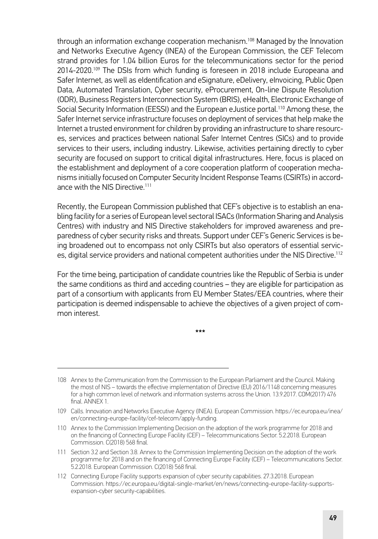through an information exchange cooperation mechanism.<sup>108</sup> Managed by the Innovation and Networks Executive Agency (INEA) of the European Commission, the CEF Telecom strand provides for 1.04 billion Euros for the telecommunications sector for the period 2014-2020.109 The DSIs from which funding is foreseen in 2018 include Europeana and Safer Internet, as well as eIdentification and eSignature, eDelivery, eInvoicing, Public Open Data, Automated Translation, Cyber security, eProcurement, On-line Dispute Resolution (ODR), Business Registers Interconnection System (BRIS), eHealth, Electronic Exchange of Social Security Information (EESSI) and the European eJustice portal.110 Among these, the Safer Internet service infrastructure focuses on deployment of services that help make the Internet a trusted environment for children by providing an infrastructure to share resources, services and practices between national Safer Internet Centres (SICs) and to provide services to their users, including industry. Likewise, activities pertaining directly to cyber security are focused on support to critical digital infrastructures. Here, focus is placed on the establishment and deployment of a core cooperation platform of cooperation mechanisms initially focused on Computer Security Incident Response Teams (CSIRTs) in accordance with the NIS Directive.<sup>111</sup>

Recently, the European Commission published that CEF's objective is to establish an enabling facility for a series of European level sectoral ISACs (Information Sharing and Analysis Centres) with industry and NIS Directive stakeholders for improved awareness and preparedness of cyber security risks and threats. Support under CEF's Generic Services is being broadened out to encompass not only CSIRTs but also operators of essential services, digital service providers and national competent authorities under the NIS Directive.<sup>112</sup>

For the time being, participation of candidate countries like the Republic of Serbia is under the same conditions as third and acceding countries – they are eligible for participation as part of a consortium with applicants from EU Member States/EEA countries, where their participation is deemed indispensable to achieve the objectives of a given project of common interest.

\*\*\*

<sup>108</sup> Annex to the Communication from the Commission to the European Parliament and the Council. Making the most of NIS – towards the effective implementation of Directive (EU) 2016/1148 concerning measures for a high common level of network and information systems across the Union. 13.9.2017. COM(2017) 476 final. ANNEX 1.

<sup>109</sup> Calls. Innovation and Networks Executive Agency (INEA). European Commission. [https://ec.europa.eu/inea/](https://ec.europa.eu/inea/en/connecting-europe-facility/cef-telecom/apply-funding) [en/connecting-europe-facility/cef-telecom/apply-funding.](https://ec.europa.eu/inea/en/connecting-europe-facility/cef-telecom/apply-funding)

<sup>110</sup> Annex to the Commission Implementing Decision on the adoption of the work programme for 2018 and on the financing of Connecting Europe Facility (CEF) – Telecommunications Sector. 5.2.2018. European Commission. C(2018) 568 final.

<sup>111</sup> Section 3.2 and Section 3.8. Annex to the Commission Implementing Decision on the adoption of the work programme for 2018 and on the financing of Connecting Europe Facility (CEF) – Telecommunications Sector. 5.2.2018. European Commission. C(2018) 568 final.

<sup>112</sup> Connecting Europe Facility supports expansion of cyber security capabilities. 27.3.2018. European Commission. [https://ec.europa.eu/digital-single-market/en/news/connecting-europe-facility-supports](https://ec.europa.eu/digital-single-market/en/news/connecting-europe-facility-supports-expansion-cybersecurity-capabilities)[expansion-cyber security-capabilities.](https://ec.europa.eu/digital-single-market/en/news/connecting-europe-facility-supports-expansion-cybersecurity-capabilities)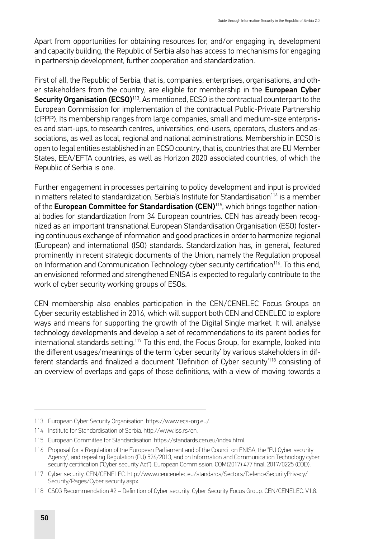Apart from opportunities for obtaining resources for, and/or engaging in, development and capacity building, the Republic of Serbia also has access to mechanisms for engaging in partnership development, further cooperation and standardization.

First of all, the Republic of Serbia, that is, companies, enterprises, organisations, and other stakeholders from the country, are eligible for membership in the European Cyber Security Organisation (ECSO)<sup>113</sup>. As mentioned, ECSO is the contractual counterpart to the European Commission for implementation of the contractual Public-Private Partnership (cPPP). Its membership ranges from large companies, small and medium-size enterprises and start-ups, to research centres, universities, end-users, operators, clusters and associations, as well as local, regional and national administrations. Membership in ECSO is open to legal entities established in an ECSO country, that is, countries that are EU Member States, EEA/EFTA countries, as well as Horizon 2020 associated countries, of which the Republic of Serbia is one.

Further engagement in processes pertaining to policy development and input is provided in matters related to standardization. Serbia's Institute for Standardisation<sup>114</sup> is a member of the **European Committee for Standardisation (CEN)**<sup>115</sup>, which brings together national bodies for standardization from 34 European countries. CEN has already been recognized as an important transnational European Standardisation Organisation (ESO) fostering continuous exchange of information and good practices in order to harmonize regional (European) and international (ISO) standards. Standardization has, in general, featured prominently in recent strategic documents of the Union, namely the Regulation proposal on Information and Communication Technology cyber security certification<sup>116</sup>. To this end, an envisioned reformed and strengthened ENISA is expected to regularly contribute to the work of cyber security working groups of ESOs.

CEN membership also enables participation in the CEN/CENELEC Focus Groups on Cyber security established in 2016, which will support both CEN and CENELEC to explore ways and means for supporting the growth of the Digital Single market. It will analyse technology developments and develop a set of recommendations to its parent bodies for international standards setting.117 To this end, the Focus Group, for example, looked into the different usages/meanings of the term 'cyber security' by various stakeholders in different standards and finalized a document 'Definition of Cyber security'<sup>118</sup> consisting of an overview of overlaps and gaps of those definitions, with a view of moving towards a

<sup>113</sup> European Cyber Security Organisation. <https://www.ecs-org.eu/>.

<sup>114</sup> Institute for Standardisation of Serbia. [http://www.iss.rs/en.](http://www.iss.rs/en)

<sup>115</sup> European Committee for Standardisation. [https://standards.cen.eu/index.html.](https://standards.cen.eu/index.html)

<sup>116</sup> Proposal for a Regulation of the European Parliament and of the Council on ENISA, the "EU Cyber security Agency", and repealing Regulation (EU) 526/2013, and on Information and Communication Technology cyber security certification ("Cyber security Act"). European Commission. COM(2017) 477 final. 2017/0225 (COD).

<sup>117</sup> Cyber security. CEN/CENELEC. [http://www.cencenelec.eu/standards/Sectors/DefenceSecurityPrivacy/](http://www.cencenelec.eu/standards/Sectors/DefenceSecurityPrivacy/Security/Pages/Cybersecurity.aspx) [Security/Pages/Cyber security.aspx](http://www.cencenelec.eu/standards/Sectors/DefenceSecurityPrivacy/Security/Pages/Cybersecurity.aspx).

<sup>118</sup> CSCG Recommendation #2 – Definition of Cyber security. Cyber Security Focus Group. CEN/CENELEC. V1.8.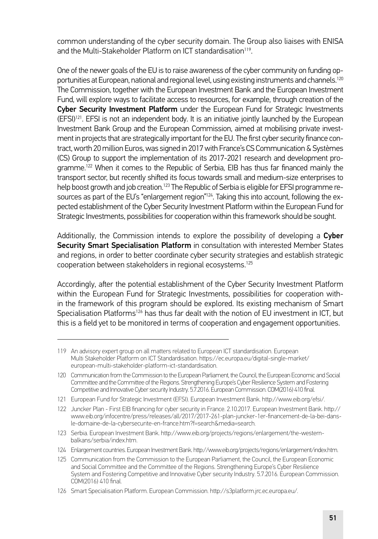common understanding of the cyber security domain. The Group also liaises with ENISA and the Multi-Stakeholder Platform on ICT standardisation<sup>119</sup>.

One of the newer goals of the EU is to raise awareness of the cyber community on funding opportunities at European, national and regional level, using existing instruments and channels.<sup>120</sup> The Commission, together with the European Investment Bank and the European Investment Fund, will explore ways to facilitate access to resources, for example, through creation of the Cyber Security Investment Platform under the European Fund for Strategic Investments  $(EFSI)^{121}$ . EFSI is not an independent body. It is an initiative jointly launched by the European Investment Bank Group and the European Commission, aimed at mobilising private investment in projects that are strategically important for the EU. The first cyber security finance contract, worth 20 million Euros, was signed in 2017 with France's CS Communication & Systèmes (CS) Group to support the implementation of its 2017-2021 research and development programme.122 When it comes to the Republic of Serbia, EIB has thus far financed mainly the transport sector, but recently shifted its focus towards small and medium-size enterprises to help boost growth and job creation.<sup>123</sup> The Republic of Serbia is eligible for EFSI programme resources as part of the EU's "enlargement region"<sup>124</sup>. Taking this into account, following the expected establishment of the Cyber Security Investment Platform within the European Fund for Strategic Investments, possibilities for cooperation within this framework should be sought.

Additionally, the Commission intends to explore the possibility of developing a Cyber Security Smart Specialisation Platform in consultation with interested Member States and regions, in order to better coordinate cyber security strategies and establish strategic cooperation between stakeholders in regional ecosystems.125

Accordingly, after the potential establishment of the Cyber Security Investment Platform within the European Fund for Strategic Investments, possibilities for cooperation within the framework of this program should be explored. Its existing mechanism of Smart Specialisation Platforms<sup>126</sup> has thus far dealt with the notion of EU investment in ICT, but this is a field yet to be monitored in terms of cooperation and engagement opportunities.

123 Serbia. European Investment Bank. [http://www.eib.org/projects/regions/enlargement/the-western](http://www.eib.org/projects/regions/enlargement/the-western-balkans/serbia/index.htm)[balkans/serbia/index.htm](http://www.eib.org/projects/regions/enlargement/the-western-balkans/serbia/index.htm).

<sup>119</sup> An advisory expert group on all matters related to European ICT standardisation. European Multi Stakeholder Platform on ICT Standardisation. [https://ec.europa.eu/digital-single-market/](https://ec.europa.eu/digital-single-market/european-multi-stakeholder-platform-ict-standardisation) [european-multi-stakeholder-platform-ict-standardisation.](https://ec.europa.eu/digital-single-market/european-multi-stakeholder-platform-ict-standardisation)

<sup>120</sup> Communication from the Commission to the European Parliament, the Council, the European Economic and Social Committee and the Committee of the Regions. Strengthening Europe's Cyber Resilience System and Fostering Competitive and Innovative Cyber security Industry. 5.7.2016. European Commission. COM(2016) 410 final.

<sup>121</sup> European Fund for Strategic Investment (EFSI). European Investment Bank. <http://www.eib.org/efsi/>.

<sup>122</sup> Juncker Plan - First EIB financing for cyber security in France. 2.10.2017. European Investment Bank. [http://](http://www.eib.org/infocentre/press/releases/all/2017/2017-261-plan-juncker-1er-financement-de-la-bei-dans-le-domaine-de-la-cybersecurite-en-france.htm?f=search&media=search) [www.eib.org/infocentre/press/releases/all/2017/2017-261-plan-juncker-1er-financement-de-la-bei-dans](http://www.eib.org/infocentre/press/releases/all/2017/2017-261-plan-juncker-1er-financement-de-la-bei-dans-le-domaine-de-la-cybersecurite-en-france.htm?f=search&media=search)[le-domaine-de-la-cybersecurite-en-france.htm?f=search&media=search](http://www.eib.org/infocentre/press/releases/all/2017/2017-261-plan-juncker-1er-financement-de-la-bei-dans-le-domaine-de-la-cybersecurite-en-france.htm?f=search&media=search).

<sup>124</sup> Enlargement countries. European Investment Bank. [http://www.eib.org/projects/regions/enlargement/index.htm.](http://www.eib.org/projects/regions/enlargement/index.htm)

<sup>125</sup> Communication from the Commission to the European Parliament, the Council, the European Economic and Social Committee and the Committee of the Regions. Strengthening Europe's Cyber Resilience System and Fostering Competitive and Innovative Cyber security Industry. 5.7.2016. European Commission. COM(2016) 410 final.

<sup>126</sup> Smart Specialisation Platform. European Commission. [http://s3platform.jrc.ec.europa.eu/.](http://s3platform.jrc.ec.europa.eu/)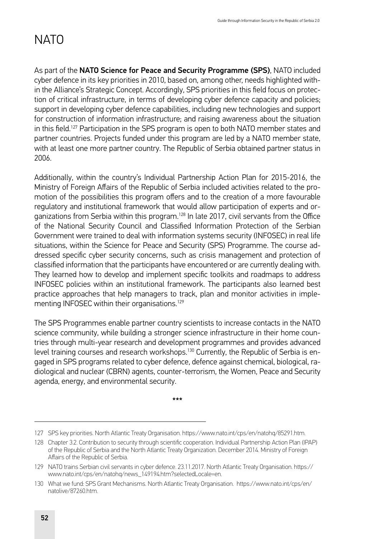# **NATO**

As part of the NATO Science for Peace and Security Programme (SPS), NATO included cyber defence in its key priorities in 2010, based on, among other, needs highlighted within the Alliance's Strategic Concept. Accordingly, SPS priorities in this field focus on protection of critical infrastructure, in terms of developing cyber defence capacity and policies; support in developing cyber defence capabilities, including new technologies and support for construction of information infrastructure; and raising awareness about the situation in this field.127 Participation in the SPS program is open to both NATO member states and partner countries. Projects funded under this program are led by a NATO member state, with at least one more partner country. The Republic of Serbia obtained partner status in 2006.

Additionally, within the country's Individual Partnership Action Plan for 2015-2016, the Ministry of Foreign Affairs of the Republic of Serbia included activities related to the promotion of the possibilities this program offers and to the creation of a more favourable regulatory and institutional framework that would allow participation of experts and organizations from Serbia within this program.<sup>128</sup> In late 2017, civil servants from the Office of the National Security Council and Classified Information Protection of the Serbian Government were trained to deal with information systems security (INFOSEC) in real life situations, within the Science for Peace and Security (SPS) Programme. The course addressed specific cyber security concerns, such as crisis management and protection of classified information that the participants have encountered or are currently dealing with. They learned how to develop and implement specific toolkits and roadmaps to address INFOSEC policies within an institutional framework. The participants also learned best practice approaches that help managers to track, plan and monitor activities in implementing INFOSEC within their organisations.<sup>129</sup>

The SPS Programmes enable partner country scientists to increase contacts in the NATO science community, while building a stronger science infrastructure in their home countries through multi-year research and development programmes and provides advanced level training courses and research workshops.130 Currently, the Republic of Serbia is engaged in SPS programs related to cyber defence, defence against chemical, biological, radiological and nuclear (CBRN) agents, counter-terrorism, the Women, Peace and Security agenda, energy, and environmental security.

\*\*\*

<sup>127</sup> SPS key priorities. North Atlantic Treaty Organisation. <https://www.nato.int/cps/en/natohq/85291.htm>.

<sup>128</sup> Chapter 3.2. Contribution to security through scientific cooperation. Individual Partnership Action Plan (IPAP) of the Republic of Serbia and the North Atlantic Treaty Organization. December 2014. Ministry of Foreign Affairs of the Republic of Serbia.

<sup>129</sup> NATO trains Serbian civil servants in cyber defence. 23.11.2017. North Atlantic Treaty Organisation. [https://](https://www.nato.int/cps/en/natohq/news_149194.htm?selectedLocale=en) [www.nato.int/cps/en/natohq/news\\_149194.htm?selectedLocale=en.](https://www.nato.int/cps/en/natohq/news_149194.htm?selectedLocale=en)

<sup>130</sup> What we fund: SPS Grant Mechanisms. North Atlantic Treaty Organisation. [https://www.nato.int/cps/en/](https://www.nato.int/cps/en/natolive/87260.htm) [natolive/87260.htm](https://www.nato.int/cps/en/natolive/87260.htm).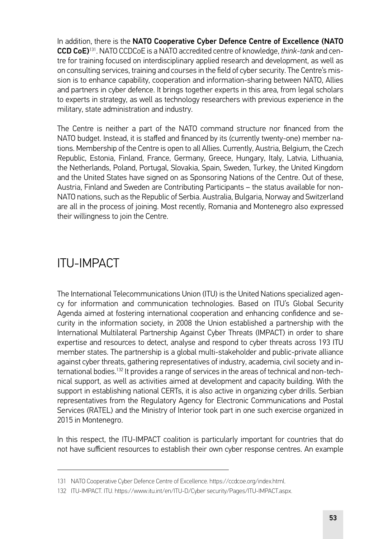In addition, there is the NATO Cooperative Cyber Defence Centre of Excellence (NATO CCD CoE)131. NATO CCDCoE is a NATO accredited centre of knowledge, *think-tank* and centre for training focused on interdisciplinary applied research and development, as well as on consulting services, training and courses in the field of cyber security. The Centre's mission is to enhance capability, cooperation and information-sharing between NATO, Allies and partners in cyber defence. It brings together experts in this area, from legal scholars to experts in strategy, as well as technology researchers with previous experience in the military, state administration and industry.

The Centre is neither a part of the NATO command structure nor financed from the NATO budget. Instead, it is staffed and financed by its (currently twenty-one) member nations. Membership of the Centre is open to all Allies. Currently, Austria, Belgium, the Czech Republic, Estonia, Finland, France, Germany, Greece, Hungary, Italy, Latvia, Lithuania, the Netherlands, Poland, Portugal, Slovakia, Spain, Sweden, Turkey, the United Kingdom and the United States have signed on as Sponsoring Nations of the Centre. Out of these, Austria, Finland and Sweden are Contributing Participants – the status available for non-NATO nations, such as the Republic of Serbia. Australia, Bulgaria, Norway and Switzerland are all in the process of joining. Most recently, Romania and Montenegro also expressed their willingness to join the Centre.

## ITU-IMPACT

The International Telecommunications Union (ITU) is the United Nations specialized agency for information and communication technologies. Based on ITU's Global Security Agenda aimed at fostering international cooperation and enhancing confidence and security in the information society, in 2008 the Union established a partnership with the International Multilateral Partnership Against Cyber Threats (IMPACT) in order to share expertise and resources to detect, analyse and respond to cyber threats across 193 ITU member states. The partnership is a global multi-stakeholder and public-private alliance against cyber threats, gathering representatives of industry, academia, civil society and international bodies.132 It provides a range of services in the areas of technical and non-technical support, as well as activities aimed at development and capacity building. With the support in establishing national CERTs, it is also active in organizing cyber drills. Serbian representatives from the Regulatory Agency for Electronic Communications and Postal Services (RATEL) and the Ministry of Interior took part in one such exercise organized in 2015 in Montenegro.

In this respect, the ITU-IMPACT coalition is particularly important for countries that do not have sufficient resources to establish their own cyber response centres. An example

<sup>131</sup> NATO Cooperative Cyber Defence Centre of Excellence.<https://ccdcoe.org/index.html>.

<sup>132</sup> ITU-IMPACT. ITU. [https://www.itu.int/en/ITU-D/Cyber security/Pages/ITU-IMPACT.aspx.](https://www.itu.int/en/ITU-D/Cybersecurity/Pages/ITU-IMPACT.aspx)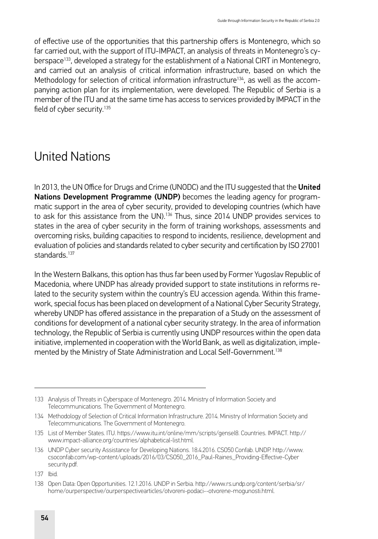of effective use of the opportunities that this partnership offers is Montenegro, which so far carried out, with the support of ITU-IMPACT, an analysis of threats in Montenegro's cyberspace133, developed a strategy for the establishment of a National CIRT in Montenegro, and carried out an analysis of critical information infrastructure, based on which the Methodology for selection of critical information infrastructure<sup>134</sup>, as well as the accompanying action plan for its implementation, were developed. The Republic of Serbia is a member of the ITU and at the same time has access to services provided by IMPACT in the field of cyber security.<sup>135</sup>

## United Nations

In 2013, the UN Office for Drugs and Crime (UNODC) and the ITU suggested that the United Nations Development Programme (UNDP) becomes the leading agency for programmatic support in the area of cyber security, provided to developing countries (which have to ask for this assistance from the UN).<sup>136</sup> Thus, since 2014 UNDP provides services to states in the area of cyber security in the form of training workshops, assessments and overcoming risks, building capacities to respond to incidents, resilience, development and evaluation of policies and standards related to cyber security and certification by ISO 27001 standards<sup>137</sup>

In the Western Balkans, this option has thus far been used by Former Yugoslav Republic of Macedonia, where UNDP has already provided support to state institutions in reforms related to the security system within the country's EU accession agenda. Within this framework, special focus has been placed on development of a National Cyber Security Strategy, whereby UNDP has offered assistance in the preparation of a Study on the assessment of conditions for development of a national cyber security strategy. In the area of information technology, the Republic of Serbia is currently using UNDP resources within the open data initiative, implemented in cooperation with the World Bank, as well as digitalization, implemented by the Ministry of State Administration and Local Self-Government.<sup>138</sup>

<sup>133</sup> Analysis of Threats in Cyberspace of Montenegro. 2014. Ministry of Information Society and Telecommunications. The Government of Montenegro.

<sup>134</sup> Methodology of Selection of Critical Information Infrastructure. 2014. Ministry of Information Society and Telecommunications. The Government of Montenegro.

<sup>135</sup> List of Member States. ITU.<https://www.itu.int/online/mm/scripts/gensel8>. Countries. IMPACT. [http://](http://www.impact-alliance.org/countries/alphabetical-list.html) [www.impact-alliance.org/countries/alphabetical-list.html.](http://www.impact-alliance.org/countries/alphabetical-list.html)

<sup>136</sup> UNDP Cyber security Assistance for Developing Nations. 18.4.2016. CSO50 Confab. UNDP. [http://www.](http://www.csoconfab.com/wp-content/uploads/2016/03/CSO50_2016_Paul-Raines_Providing-Effective-Cybersecurity.pdf) [csoconfab.com/wp-content/uploads/2016/03/CSO50\\_2016\\_Paul-Raines\\_Providing-Effective-Cyber](http://www.csoconfab.com/wp-content/uploads/2016/03/CSO50_2016_Paul-Raines_Providing-Effective-Cybersecurity.pdf)  [security.pdf](http://www.csoconfab.com/wp-content/uploads/2016/03/CSO50_2016_Paul-Raines_Providing-Effective-Cybersecurity.pdf).

<sup>137</sup> Ibid.

<sup>138</sup> Open Data: Open Opportunities. 12.1.2016. UNDP in Serbia. [http://www.rs.undp.org/content/serbia/sr/](http://www.rs.undp.org/content/serbia/sr/home/ourperspective/ourperspectivearticles/otvoreni-podaci--otvorene-mogunosti.html) [home/ourperspective/ourperspectivearticles/otvoreni-podaci--otvorene-mogunosti.html.](http://www.rs.undp.org/content/serbia/sr/home/ourperspective/ourperspectivearticles/otvoreni-podaci--otvorene-mogunosti.html)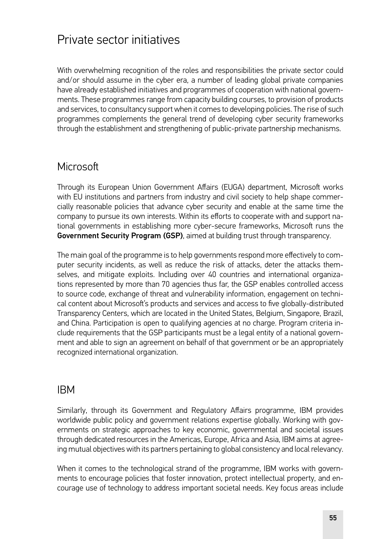### Private sector initiatives

With overwhelming recognition of the roles and responsibilities the private sector could and/or should assume in the cyber era, a number of leading global private companies have already established initiatives and programmes of cooperation with national governments. These programmes range from capacity building courses, to provision of products and services, to consultancy support when it comes to developing policies. The rise of such programmes complements the general trend of developing cyber security frameworks through the establishment and strengthening of public-private partnership mechanisms.

#### **Microsoft**

Through its European Union Government Affairs (EUGA) department, Microsoft works with EU institutions and partners from industry and civil society to help shape commercially reasonable policies that advance cyber security and enable at the same time the company to pursue its own interests. Within its efforts to cooperate with and support national governments in establishing more cyber-secure frameworks, Microsoft runs the Government Security Program (GSP), aimed at building trust through transparency.

The main goal of the programme is to help governments respond more effectively to computer security incidents, as well as reduce the risk of attacks, deter the attacks themselves, and mitigate exploits. Including over 40 countries and international organizations represented by more than 70 agencies thus far, the GSP enables controlled access to source code, exchange of threat and vulnerability information, engagement on technical content about Microsoft's products and services and access to five globally-distributed Transparency Centers, which are located in the United States, Belgium, Singapore, Brazil, and China. Participation is open to qualifying agencies at no charge. Program criteria include requirements that the GSP participants must be a legal entity of a national government and able to sign an agreement on behalf of that government or be an appropriately recognized international organization.

#### IBM

Similarly, through its Government and Regulatory Affairs programme, IBM provides worldwide public policy and government relations expertise globally. Working with governments on strategic approaches to key economic, governmental and societal issues through dedicated resources in the Americas, Europe, Africa and Asia, IBM aims at agreeing mutual objectives with its partners pertaining to global consistency and local relevancy.

When it comes to the technological strand of the programme, IBM works with governments to encourage policies that foster innovation, protect intellectual property, and encourage use of technology to address important societal needs. Key focus areas include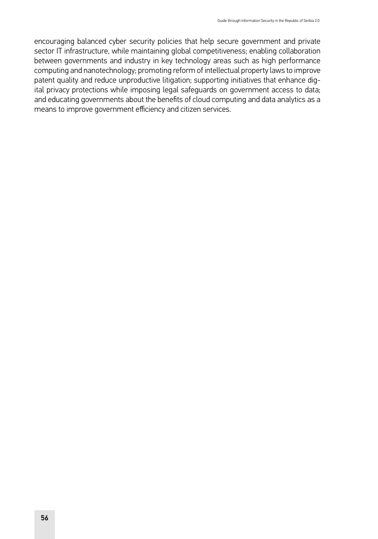encouraging balanced cyber security policies that help secure government and private sector IT infrastructure, while maintaining global competitiveness; enabling collaboration between governments and industry in key technology areas such as high performance computing and nanotechnology; promoting reform of intellectual property laws to improve patent quality and reduce unproductive litigation; supporting initiatives that enhance digital privacy protections while imposing legal safeguards on government access to data; and educating governments about the benefits of cloud computing and data analytics as a means to improve government efficiency and citizen services.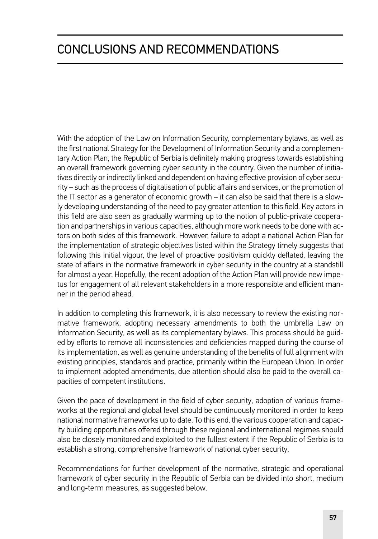# CONCLUSIONS AND RECOMMENDATIONS

With the adoption of the Law on Information Security, complementary bylaws, as well as the first national Strategy for the Development of Information Security and a complementary Action Plan, the Republic of Serbia is definitely making progress towards establishing an overall framework governing cyber security in the country. Given the number of initiatives directly or indirectly linked and dependent on having effective provision of cyber security – such as the process of digitalisation of public affairs and services, or the promotion of the IT sector as a generator of economic growth – it can also be said that there is a slowly developing understanding of the need to pay greater attention to this field. Key actors in this field are also seen as gradually warming up to the notion of public-private cooperation and partnerships in various capacities, although more work needs to be done with actors on both sides of this framework. However, failure to adopt a national Action Plan for the implementation of strategic objectives listed within the Strategy timely suggests that following this initial vigour, the level of proactive positivism quickly deflated, leaving the state of affairs in the normative framework in cyber security in the country at a standstill for almost a year. Hopefully, the recent adoption of the Action Plan will provide new impetus for engagement of all relevant stakeholders in a more responsible and efficient manner in the period ahead.

In addition to completing this framework, it is also necessary to review the existing normative framework, adopting necessary amendments to both the umbrella Law on Information Security, as well as its complementary bylaws. This process should be guided by efforts to remove all inconsistencies and deficiencies mapped during the course of its implementation, as well as genuine understanding of the benefits of full alignment with existing principles, standards and practice, primarily within the European Union. In order to implement adopted amendments, due attention should also be paid to the overall capacities of competent institutions.

Given the pace of development in the field of cyber security, adoption of various frameworks at the regional and global level should be continuously monitored in order to keep national normative frameworks up to date. To this end, the various cooperation and capacity building opportunities offered through these regional and international regimes should also be closely monitored and exploited to the fullest extent if the Republic of Serbia is to establish a strong, comprehensive framework of national cyber security.

Recommendations for further development of the normative, strategic and operational framework of cyber security in the Republic of Serbia can be divided into short, medium and long-term measures, as suggested below.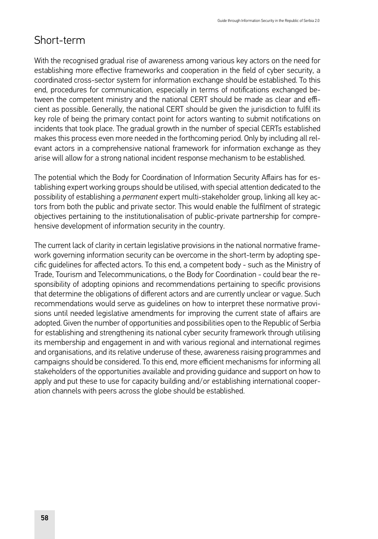#### Short-term

With the recognised gradual rise of awareness among various key actors on the need for establishing more effective frameworks and cooperation in the field of cyber security, a coordinated cross-sector system for information exchange should be established. To this end, procedures for communication, especially in terms of notifications exchanged between the competent ministry and the national CERT should be made as clear and efficient as possible. Generally, the national CERT should be given the jurisdiction to fulfil its key role of being the primary contact point for actors wanting to submit notifications on incidents that took place. The gradual growth in the number of special CERTs established makes this process even more needed in the forthcoming period. Only by including all relevant actors in a comprehensive national framework for information exchange as they arise will allow for a strong national incident response mechanism to be established.

The potential which the Body for Coordination of Information Security Affairs has for establishing expert working groups should be utilised, with special attention dedicated to the possibility of establishing a *permanent* expert multi-stakeholder group, linking all key actors from both the public and private sector. This would enable the fulfilment of strategic objectives pertaining to the institutionalisation of public-private partnership for comprehensive development of information security in the country.

The current lack of clarity in certain legislative provisions in the national normative framework governing information security can be overcome in the short-term by adopting specific guidelines for affected actors. To this end, a competent body - such as the Ministry of Trade, Tourism and Telecommunications, o the Body for Coordination - could bear the responsibility of adopting opinions and recommendations pertaining to specific provisions that determine the obligations of different actors and are currently unclear or vague. Such recommendations would serve as guidelines on how to interpret these normative provisions until needed legislative amendments for improving the current state of affairs are adopted. Given the number of opportunities and possibilities open to the Republic of Serbia for establishing and strengthening its national cyber security framework through utilising its membership and engagement in and with various regional and international regimes and organisations, and its relative underuse of these, awareness raising programmes and campaigns should be considered. To this end, more efficient mechanisms for informing all stakeholders of the opportunities available and providing guidance and support on how to apply and put these to use for capacity building and/or establishing international cooperation channels with peers across the globe should be established.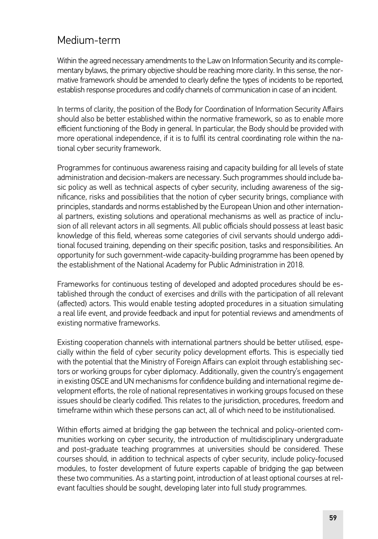#### Medium-term

Within the agreed necessary amendments to the Law on Information Security and its complementary bylaws, the primary objective should be reaching more clarity. In this sense, the normative framework should be amended to clearly define the types of incidents to be reported, establish response procedures and codify channels of communication in case of an incident.

In terms of clarity, the position of the Body for Coordination of Information Security Affairs should also be better established within the normative framework, so as to enable more efficient functioning of the Body in general. In particular, the Body should be provided with more operational independence, if it is to fulfil its central coordinating role within the national cyber security framework.

Programmes for continuous awareness raising and capacity building for all levels of state administration and decision-makers are necessary. Such programmes should include basic policy as well as technical aspects of cyber security, including awareness of the significance, risks and possibilities that the notion of cyber security brings, compliance with principles, standards and norms established by the European Union and other international partners, existing solutions and operational mechanisms as well as practice of inclusion of all relevant actors in all segments. All public officials should possess at least basic knowledge of this field, whereas some categories of civil servants should undergo additional focused training, depending on their specific position, tasks and responsibilities. An opportunity for such government-wide capacity-building programme has been opened by the establishment of the National Academy for Public Administration in 2018.

Frameworks for continuous testing of developed and adopted procedures should be established through the conduct of exercises and drills with the participation of all relevant (affected) actors. This would enable testing adopted procedures in a situation simulating a real life event, and provide feedback and input for potential reviews and amendments of existing normative frameworks.

Existing cooperation channels with international partners should be better utilised, especially within the field of cyber security policy development efforts. This is especially tied with the potential that the Ministry of Foreign Affairs can exploit through establishing sectors or working groups for cyber diplomacy. Additionally, given the country's engagement in existing OSCE and UN mechanisms for confidence building and international regime development efforts, the role of national representatives in working groups focused on these issues should be clearly codified. This relates to the jurisdiction, procedures, freedom and timeframe within which these persons can act, all of which need to be institutionalised.

Within efforts aimed at bridging the gap between the technical and policy-oriented communities working on cyber security, the introduction of multidisciplinary undergraduate and post-graduate teaching programmes at universities should be considered. These courses should, in addition to technical aspects of cyber security, include policy-focused modules, to foster development of future experts capable of bridging the gap between these two communities. As a starting point, introduction of at least optional courses at relevant faculties should be sought, developing later into full study programmes.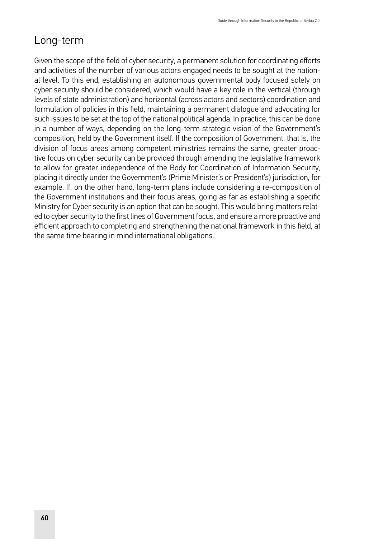# Long-term

Given the scope of the field of cyber security, a permanent solution for coordinating efforts and activities of the number of various actors engaged needs to be sought at the national level. To this end, establishing an autonomous governmental body focused solely on cyber security should be considered, which would have a key role in the vertical (through levels of state administration) and horizontal (across actors and sectors) coordination and formulation of policies in this field, maintaining a permanent dialogue and advocating for such issues to be set at the top of the national political agenda. In practice, this can be done in a number of ways, depending on the long-term strategic vision of the Government's composition, held by the Government itself. If the composition of Government, that is, the division of focus areas among competent ministries remains the same, greater proactive focus on cyber security can be provided through amending the legislative framework to allow for greater independence of the Body for Coordination of Information Security, placing it directly under the Government's (Prime Minister's or President's) jurisdiction, for example. If, on the other hand, long-term plans include considering a re-composition of the Government institutions and their focus areas, going as far as establishing a specific Ministry for Cyber security is an option that can be sought. This would bring matters related to cyber security to the first lines of Government focus, and ensure a more proactive and efficient approach to completing and strengthening the national framework in this field, at the same time bearing in mind international obligations.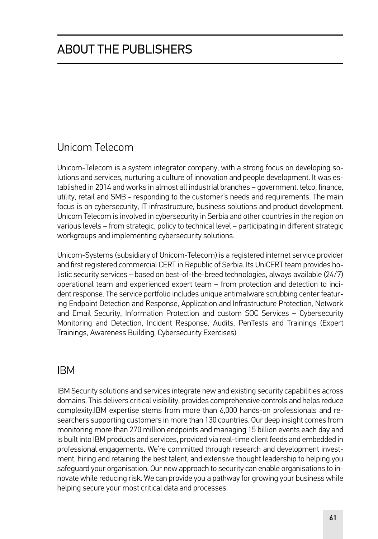# Unicom Telecom

Unicom-Telecom is a system integrator company, with a strong focus on developing solutions and services, nurturing a culture of innovation and people development. It was established in 2014 and works in almost all industrial branches – government, telco, finance, utility, retail and SMB - responding to the customer's needs and requirements. The main focus is on cybersecurity, IT infrastructure, business solutions and product development. Unicom Telecom is involved in cybersecurity in Serbia and other countries in the region on various levels – from strategic, policy to technical level – participating in different strategic workgroups and implementing cybersecurity solutions.

Unicom-Systems (subsidiary of Unicom-Telecom) is a registered internet service provider and first registered commercial CERT in Republic of Serbia. Its UniCERT team provides holistic security services – based on best-of-the-breed technologies, always available (24/7) operational team and experienced expert team – from protection and detection to incident response. The service portfolio includes unique antimalware scrubbing center featuring Endpoint Detection and Response, Application and Infrastructure Protection, Network and Email Security, Information Protection and custom SOC Services – Cybersecurity Monitoring and Detection, Incident Response, Audits, PenTests and Trainings (Expert Trainings, Awareness Building, Cybersecurity Exercises)

#### IBM

IBM Security solutions and services integrate new and existing security capabilities across domains. This delivers critical visibility, provides comprehensive controls and helps reduce complexity.IBM expertise stems from more than 6,000 hands-on professionals and researchers supporting customers in more than 130 countries. Our deep insight comes from monitoring more than 270 million endpoints and managing 15 billion events each day and is built into IBM products and services, provided via real-time client feeds and embedded in professional engagements. We're committed through research and development investment, hiring and retaining the best talent, and extensive thought leadership to helping you safeguard your organisation. Our new approach to security can enable organisations to innovate while reducing risk. We can provide you a pathway for growing your business while helping secure your most critical data and processes.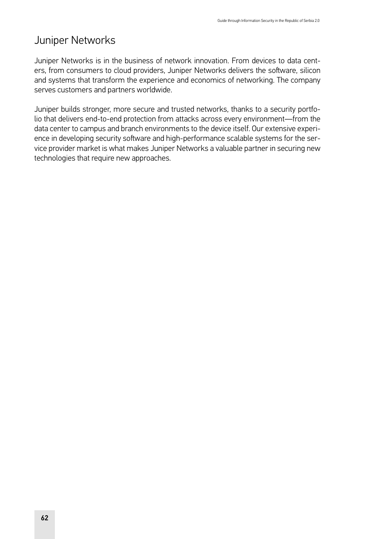### Juniper Networks

Juniper Networks is in the business of network innovation. From devices to data centers, from consumers to cloud providers, Juniper Networks delivers the software, silicon and systems that transform the experience and economics of networking. The company serves customers and partners worldwide.

Juniper builds stronger, more secure and trusted networks, thanks to a security portfolio that delivers end-to-end protection from attacks across every environment—from the data center to campus and branch environments to the device itself. Our extensive experience in developing security software and high-performance scalable systems for the service provider market is what makes Juniper Networks a valuable partner in securing new technologies that require new approaches.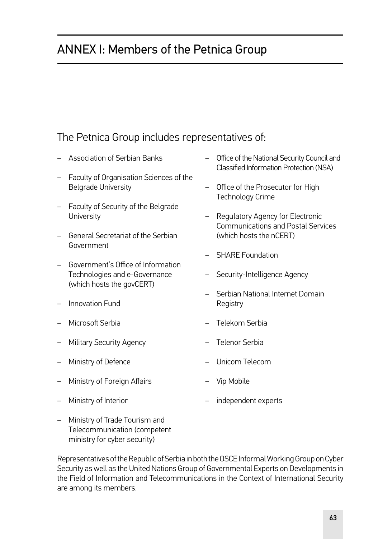# ANNEX I: Members of the Petnica Group

### The Petnica Group includes representatives of:

- Association of Serbian Banks
- Faculty of Organisation Sciences of the Belgrade University
- Faculty of Security of the Belgrade **University**
- General Secretariat of the Serbian Government
- Government's Office of Information Technologies and e-Governance (which hosts the govCERT)
- Innovation Fund
- Microsoft Serbia
- Military Security Agency
- Ministry of Defence
- Ministry of Foreign Affairs
- Ministry of Interior
- Office of the National Security Council and Classified Information Protection (NSA)
- Office of the Prosecutor for High Technology Crime
- Regulatory Agency for Electronic Communications and Postal Services (which hosts the nCERT)
- SHARE Foundation
- Security-Intelligence Agency
- Serbian National Internet Domain **Registry**
- Telekom Serbia
- Telenor Serbia
- Unicom Telecom
- Vip Mobile
	- independent experts
- Ministry of Trade Tourism and Telecommunication (competent ministry for cyber security)

Representatives of the Republic of Serbia in both the OSCE Informal Working Group on Cyber Security as well as the United Nations Group of Governmental Experts on Developments in the Field of Information and Telecommunications in the Context of International Security are among its members.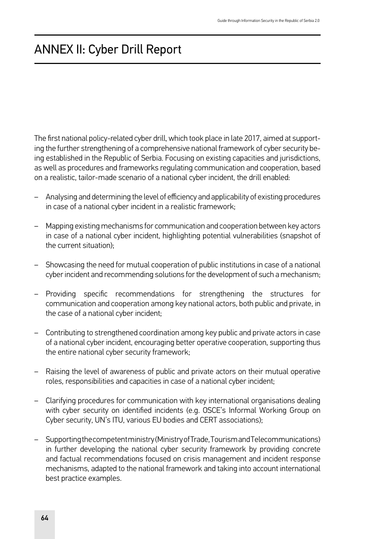# ANNEX II: Cyber Drill Report

The first national policy-related cyber drill, which took place in late 2017, aimed at supporting the further strengthening of a comprehensive national framework of cyber security being established in the Republic of Serbia. Focusing on existing capacities and jurisdictions, as well as procedures and frameworks regulating communication and cooperation, based on a realistic, tailor-made scenario of a national cyber incident, the drill enabled:

- Analysing and determining the level of efficiency and applicability of existing procedures in case of a national cyber incident in a realistic framework;
- Mapping existing mechanisms for communication and cooperation between key actors in case of a national cyber incident, highlighting potential vulnerabilities (snapshot of the current situation);
- Showcasing the need for mutual cooperation of public institutions in case of a national cyber incident and recommending solutions for the development of such a mechanism;
- Providing specific recommendations for strengthening the structures for communication and cooperation among key national actors, both public and private, in the case of a national cyber incident;
- Contributing to strengthened coordination among key public and private actors in case of a national cyber incident, encouraging better operative cooperation, supporting thus the entire national cyber security framework;
- Raising the level of awareness of public and private actors on their mutual operative roles, responsibilities and capacities in case of a national cyber incident;
- Clarifying procedures for communication with key international organisations dealing with cyber security on identified incidents (e.g. OSCE's Informal Working Group on Cyber security, UN's ITU, various EU bodies and CERT associations);
- Supporting the competent ministry (Ministry of Trade, Tourism and Telecommunications) in further developing the national cyber security framework by providing concrete and factual recommendations focused on crisis management and incident response mechanisms, adapted to the national framework and taking into account international best practice examples.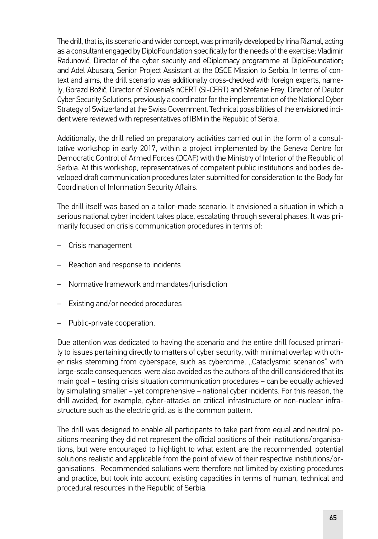The drill, that is, its scenario and wider concept, was primarily developed by Irina Rizmal, acting as a consultant engaged by DiploFoundation specifically for the needs of the exercise; Vladimir Radunović, Director of the cyber security and eDiplomacy programme at DiploFoundation; and Adel Abusara, Senior Project Assistant at the OSCE Mission to Serbia. In terms of context and aims, the drill scenario was additionally cross-checked with foreign experts, namely, Gorazd Božič, Director of Slovenia's nCERT (SI-CERT) and Stefanie Frey, Director of Deutor Cyber Security Solutions, previously a coordinator for the implementation of the National Cyber Strategy of Switzerland at the Swiss Government. Technical possibilities of the envisioned incident were reviewed with representatives of IBM in the Republic of Serbia.

Additionally, the drill relied on preparatory activities carried out in the form of a consultative workshop in early 2017, within a project implemented by the Geneva Centre for Democratic Control of Armed Forces (DCAF) with the Ministry of Interior of the Republic of Serbia. At this workshop, representatives of competent public institutions and bodies developed draft communication procedures later submitted for consideration to the Body for Coordination of Information Security Affairs.

The drill itself was based on a tailor-made scenario. It envisioned a situation in which a serious national cyber incident takes place, escalating through several phases. It was primarily focused on crisis communication procedures in terms of:

- Crisis management
- Reaction and response to incidents
- Normative framework and mandates/jurisdiction
- Existing and/or needed procedures
- Public-private cooperation.

Due attention was dedicated to having the scenario and the entire drill focused primarily to issues pertaining directly to matters of cyber security, with minimal overlap with other risks stemming from cyberspace, such as cybercrime. "Cataclysmic scenarios" with large-scale consequences were also avoided as the authors of the drill considered that its main goal – testing crisis situation communication procedures – can be equally achieved by simulating smaller – yet comprehensive – national cyber incidents. For this reason, the drill avoided, for example, cyber-attacks on critical infrastructure or non-nuclear infrastructure such as the electric grid, as is the common pattern.

The drill was designed to enable all participants to take part from equal and neutral positions meaning they did not represent the official positions of their institutions/organisations, but were encouraged to highlight to what extent are the recommended, potential solutions realistic and applicable from the point of view of their respective institutions/organisations. Recommended solutions were therefore not limited by existing procedures and practice, but took into account existing capacities in terms of human, technical and procedural resources in the Republic of Serbia.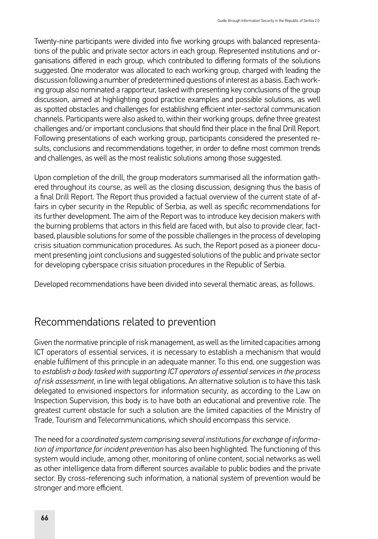Twenty-nine participants were divided into five working groups with balanced representations of the public and private sector actors in each group. Represented institutions and organisations differed in each group, which contributed to differing formats of the solutions suggested. One moderator was allocated to each working group, charged with leading the discussion following a number of predetermined questions of interest as a basis. Each working group also nominated a rapporteur, tasked with presenting key conclusions of the group discussion, aimed at highlighting good practice examples and possible solutions, as well as spotted obstacles and challenges for establishing efficient inter-sectoral communication channels. Participants were also asked to, within their working groups, define three greatest challenges and/or important conclusions that should find their place in the final Drill Report. Following presentations of each working group, participants considered the presented results, conclusions and recommendations together, in order to define most common trends and challenges, as well as the most realistic solutions among those suggested.

Upon completion of the drill, the group moderators summarised all the information gathered throughout its course, as well as the closing discussion, designing thus the basis of a final Drill Report. The Report thus provided a factual overview of the current state of affairs in cyber security in the Republic of Serbia, as well as specific recommendations for its further development. The aim of the Report was to introduce key decision makers with the burning problems that actors in this field are faced with, but also to provide clear, factbased, plausible solutions for some of the possible challenges in the process of developing crisis situation communication procedures. As such, the Report posed as a pioneer document presenting joint conclusions and suggested solutions of the public and private sector for developing cyberspace crisis situation procedures in the Republic of Serbia.

Developed recommendations have been divided into several thematic areas, as follows.

### Recommendations related to prevention

Given the normative principle of risk management, as well as the limited capacities among ICT operators of essential services, it is necessary to establish a mechanism that would enable fulfilment of this principle in an adequate manner. To this end, one suggestion was to *establish a body tasked with supporting ICT operators of essential services in the process of risk assessment*, in line with legal obligations. An alternative solution is to have this task delegated to envisioned inspectors for information security, as according to the Law on Inspection Supervision, this body is to have both an educational and preventive role. The greatest current obstacle for such a solution are the limited capacities of the Ministry of Trade, Tourism and Telecommunications, which should encompass this service.

The need for a *coordinated system comprising several institutions for exchange of information of importance for incident prevention* has also been highlighted. The functioning of this system would include, among other, monitoring of online content, social networks as well as other intelligence data from different sources available to public bodies and the private sector. By cross-referencing such information, a national system of prevention would be stronger and more efficient.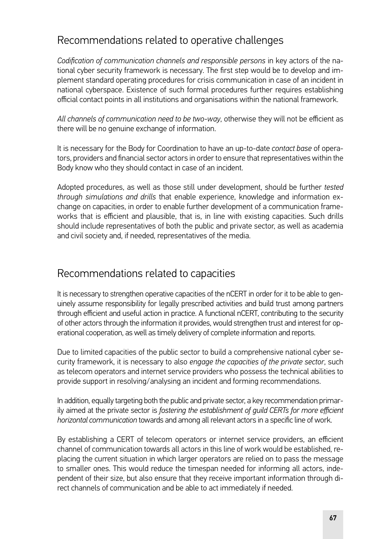### Recommendations related to operative challenges

*Codification of communication channels and responsible persons* in key actors of the national cyber security framework is necessary. The first step would be to develop and implement standard operating procedures for crisis communication in case of an incident in national cyberspace. Existence of such formal procedures further requires establishing official contact points in all institutions and organisations within the national framework.

*All channels of communication need to be two-way*, otherwise they will not be efficient as there will be no genuine exchange of information.

It is necessary for the Body for Coordination to have an up-to-date *contact base* of operators, providers and financial sector actors in order to ensure that representatives within the Body know who they should contact in case of an incident.

Adopted procedures, as well as those still under development, should be further *tested through simulations and drills* that enable experience, knowledge and information exchange on capacities, in order to enable further development of a communication frameworks that is efficient and plausible, that is, in line with existing capacities. Such drills should include representatives of both the public and private sector, as well as academia and civil society and, if needed, representatives of the media.

#### Recommendations related to capacities

It is necessary to strengthen operative capacities of the nCERT in order for it to be able to genuinely assume responsibility for legally prescribed activities and build trust among partners through efficient and useful action in practice. A functional nCERT, contributing to the security of other actors through the information it provides, would strengthen trust and interest for operational cooperation, as well as timely delivery of complete information and reports.

Due to limited capacities of the public sector to build a comprehensive national cyber security framework, it is necessary to also *engage the capacities of the private sector*, such as telecom operators and internet service providers who possess the technical abilities to provide support in resolving/analysing an incident and forming recommendations.

In addition, equally targeting both the public and private sector, a key recommendation primarily aimed at the private sector is *fostering the establishment of guild CERTs for more efficient horizontal communication* towards and among all relevant actors in a specific line of work.

By establishing a CERT of telecom operators or internet service providers, an efficient channel of communication towards all actors in this line of work would be established, replacing the current situation in which larger operators are relied on to pass the message to smaller ones. This would reduce the timespan needed for informing all actors, independent of their size, but also ensure that they receive important information through direct channels of communication and be able to act immediately if needed.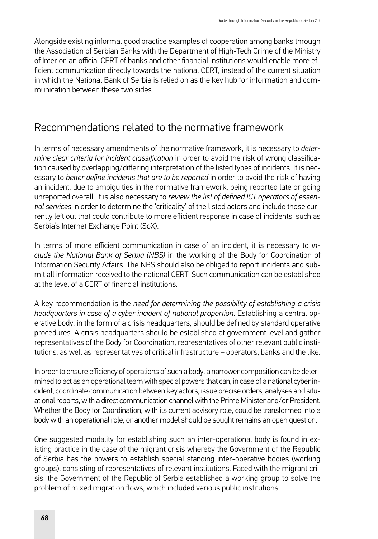Alongside existing informal good practice examples of cooperation among banks through the Association of Serbian Banks with the Department of High-Tech Crime of the Ministry of Interior, an official CERT of banks and other financial institutions would enable more efficient communication directly towards the national CERT, instead of the current situation in which the National Bank of Serbia is relied on as the key hub for information and communication between these two sides.

#### Recommendations related to the normative framework

In terms of necessary amendments of the normative framework, it is necessary to *determine clear criteria for incident classification* in order to avoid the risk of wrong classification caused by overlapping/differing interpretation of the listed types of incidents. It is necessary to *better define incidents that are to be reported* in order to avoid the risk of having an incident, due to ambiguities in the normative framework, being reported late or going unreported overall. It is also necessary to *review the list of defined ICT operators of essential services* in order to determine the 'criticality' of the listed actors and include those currently left out that could contribute to more efficient response in case of incidents, such as Serbia's Internet Exchange Point (SoX).

In terms of more efficient communication in case of an incident, it is necessary to *include the National Bank of Serbia (NBS)* in the working of the Body for Coordination of Information Security Affairs. The NBS should also be obliged to report incidents and submit all information received to the national CERT. Such communication can be established at the level of a CERT of financial institutions.

A key recommendation is the *need for determining the possibility of establishing a crisis headquarters in case of a cyber incident of national proportion*. Establishing a central operative body, in the form of a crisis headquarters, should be defined by standard operative procedures. A crisis headquarters should be established at government level and gather representatives of the Body for Coordination, representatives of other relevant public institutions, as well as representatives of critical infrastructure – operators, banks and the like.

In order to ensure efficiency of operations of such a body, a narrower composition can be determined to act as an operational team with special powers that can, in case of a national cyber incident, coordinate communication between key actors, issue precise orders, analyses and situational reports, with a direct communication channel with the Prime Minister and/or President. Whether the Body for Coordination, with its current advisory role, could be transformed into a body with an operational role, or another model should be sought remains an open question.

One suggested modality for establishing such an inter-operational body is found in existing practice in the case of the migrant crisis whereby the Government of the Republic of Serbia has the powers to establish special standing inter-operative bodies (working groups), consisting of representatives of relevant institutions. Faced with the migrant crisis, the Government of the Republic of Serbia established a working group to solve the problem of mixed migration flows, which included various public institutions.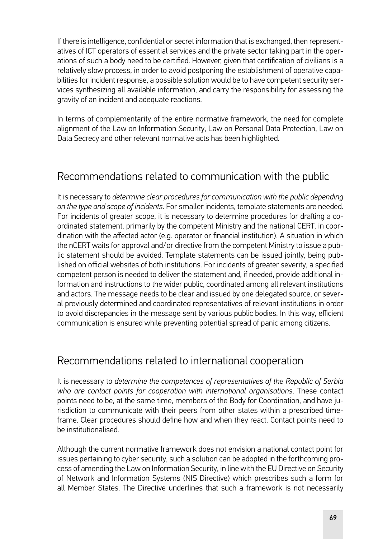If there is intelligence, confidential or secret information that is exchanged, then representatives of ICT operators of essential services and the private sector taking part in the operations of such a body need to be certified. However, given that certification of civilians is a relatively slow process, in order to avoid postponing the establishment of operative capabilities for incident response, a possible solution would be to have competent security services synthesizing all available information, and carry the responsibility for assessing the gravity of an incident and adequate reactions.

In terms of complementarity of the entire normative framework, the need for complete alignment of the Law on Information Security, Law on Personal Data Protection, Law on Data Secrecy and other relevant normative acts has been highlighted.

# Recommendations related to communication with the public

It is necessary to *determine clear procedures for communication with the public depending on the type and scope of incidents*. For smaller incidents, template statements are needed. For incidents of greater scope, it is necessary to determine procedures for drafting a coordinated statement, primarily by the competent Ministry and the national CERT, in coordination with the affected actor (e.g. operator or financial institution). A situation in which the nCERT waits for approval and/or directive from the competent Ministry to issue a public statement should be avoided. Template statements can be issued jointly, being published on official websites of both institutions. For incidents of greater severity, a specified competent person is needed to deliver the statement and, if needed, provide additional information and instructions to the wider public, coordinated among all relevant institutions and actors. The message needs to be clear and issued by one delegated source, or several previously determined and coordinated representatives of relevant institutions in order to avoid discrepancies in the message sent by various public bodies. In this way, efficient communication is ensured while preventing potential spread of panic among citizens.

#### Recommendations related to international cooperation

It is necessary to *determine the competences of representatives of the Republic of Serbia who are contact points for cooperation with international organisations*. These contact points need to be, at the same time, members of the Body for Coordination, and have jurisdiction to communicate with their peers from other states within a prescribed timeframe. Clear procedures should define how and when they react. Contact points need to be institutionalised.

Although the current normative framework does not envision a national contact point for issues pertaining to cyber security, such a solution can be adopted in the forthcoming process of amending the Law on Information Security, in line with the EU Directive on Security of Network and Information Systems (NIS Directive) which prescribes such a form for all Member States. The Directive underlines that such a framework is not necessarily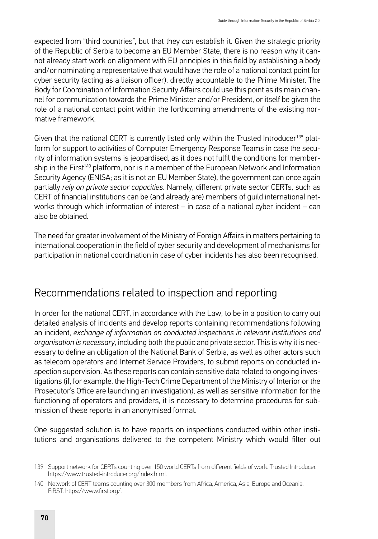expected from "third countries", but that they *can* establish it. Given the strategic priority of the Republic of Serbia to become an EU Member State, there is no reason why it cannot already start work on alignment with EU principles in this field by establishing a body and/or nominating a representative that would have the role of a national contact point for cyber security (acting as a liaison officer), directly accountable to the Prime Minister. The Body for Coordination of Information Security Affairs could use this point as its main channel for communication towards the Prime Minister and/or President, or itself be given the role of a national contact point within the forthcoming amendments of the existing normative framework.

Given that the national CERT is currently listed only within the Trusted Introducer<sup>139</sup> platform for support to activities of Computer Emergency Response Teams in case the security of information systems is jeopardised, as it does not fulfil the conditions for membership in the First<sup>140</sup> platform, nor is it a member of the European Network and Information Security Agency (ENISA; as it is not an EU Member State), the government can once again partially *rely on private sector capacities*. Namely, different private sector CERTs, such as CERT of financial institutions can be (and already are) members of guild international networks through which information of interest – in case of a national cyber incident – can also be obtained.

The need for greater involvement of the Ministry of Foreign Affairs in matters pertaining to international cooperation in the field of cyber security and development of mechanisms for participation in national coordination in case of cyber incidents has also been recognised.

### Recommendations related to inspection and reporting

In order for the national CERT, in accordance with the Law, to be in a position to carry out detailed analysis of incidents and develop reports containing recommendations following an incident, *exchange of information on conducted inspections in relevant institutions and organisation is necessary*, including both the public and private sector. This is why it is necessary to define an obligation of the National Bank of Serbia, as well as other actors such as telecom operators and Internet Service Providers, to submit reports on conducted inspection supervision. As these reports can contain sensitive data related to ongoing investigations (if, for example, the High-Tech Crime Department of the Ministry of Interior or the Prosecutor's Office are launching an investigation), as well as sensitive information for the functioning of operators and providers, it is necessary to determine procedures for submission of these reports in an anonymised format.

One suggested solution is to have reports on inspections conducted within other institutions and organisations delivered to the competent Ministry which would filter out

<sup>139</sup> Support network for CERTs counting over 150 world CERTs from different fields of work. Trusted Introducer. <https://www.trusted-introducer.org/index.html>.

<sup>140</sup> Network of CERT teams counting over 300 members from Africa, America, Asia, Europe and Oceania. FiRST. <https://www.first.org/>.